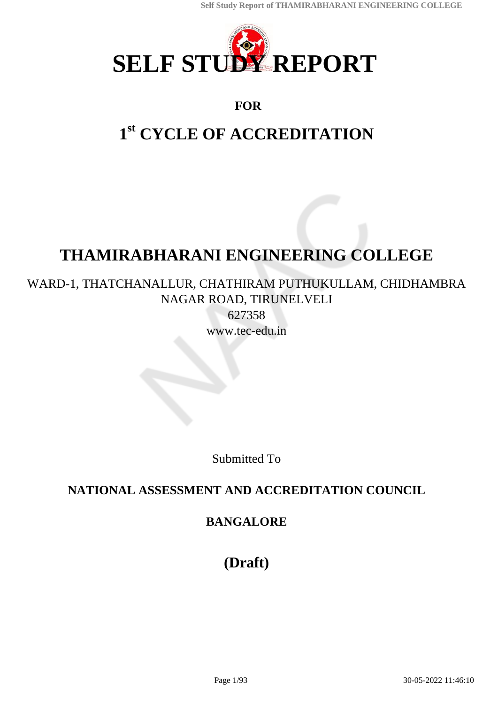

# **FOR**

# **1 st CYCLE OF ACCREDITATION**

# **THAMIRABHARANI ENGINEERING COLLEGE**

# WARD-1, THATCHANALLUR, CHATHIRAM PUTHUKULLAM, CHIDHAMBRA NAGAR ROAD, TIRUNELVELI

627358 www.tec-edu.in

Submitted To

# **NATIONAL ASSESSMENT AND ACCREDITATION COUNCIL**

# **BANGALORE**

**(Draft)**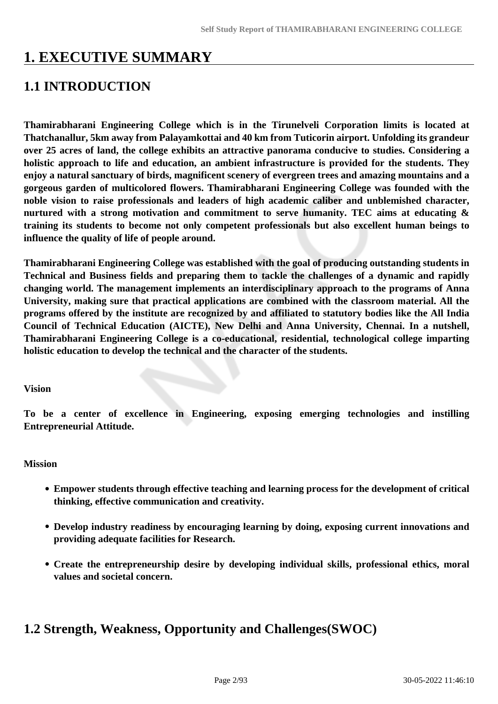# **1. EXECUTIVE SUMMARY**

# **1.1 INTRODUCTION**

**Thamirabharani Engineering College which is in the Tirunelveli Corporation limits is located at Thatchanallur, 5km away from Palayamkottai and 40 km from Tuticorin airport. Unfolding its grandeur over 25 acres of land, the college exhibits an attractive panorama conducive to studies. Considering a holistic approach to life and education, an ambient infrastructure is provided for the students. They enjoy a natural sanctuary of birds, magnificent scenery of evergreen trees and amazing mountains and a gorgeous garden of multicolored flowers. Thamirabharani Engineering College was founded with the noble vision to raise professionals and leaders of high academic caliber and unblemished character, nurtured with a strong motivation and commitment to serve humanity. TEC aims at educating & training its students to become not only competent professionals but also excellent human beings to influence the quality of life of people around.**

**Thamirabharani Engineering College was established with the goal of producing outstanding students in Technical and Business fields and preparing them to tackle the challenges of a dynamic and rapidly changing world. The management implements an interdisciplinary approach to the programs of Anna University, making sure that practical applications are combined with the classroom material. All the programs offered by the institute are recognized by and affiliated to statutory bodies like the All India Council of Technical Education (AICTE), New Delhi and Anna University, Chennai. In a nutshell, Thamirabharani Engineering College is a co-educational, residential, technological college imparting holistic education to develop the technical and the character of the students.**

#### **Vision**

**To be a center of excellence in Engineering, exposing emerging technologies and instilling Entrepreneurial Attitude.**

#### **Mission**

- **Empower students through effective teaching and learning process for the development of critical thinking, effective communication and creativity.**
- **Develop industry readiness by encouraging learning by doing, exposing current innovations and providing adequate facilities for Research.**
- **Create the entrepreneurship desire by developing individual skills, professional ethics, moral values and societal concern.**

# **1.2 Strength, Weakness, Opportunity and Challenges(SWOC)**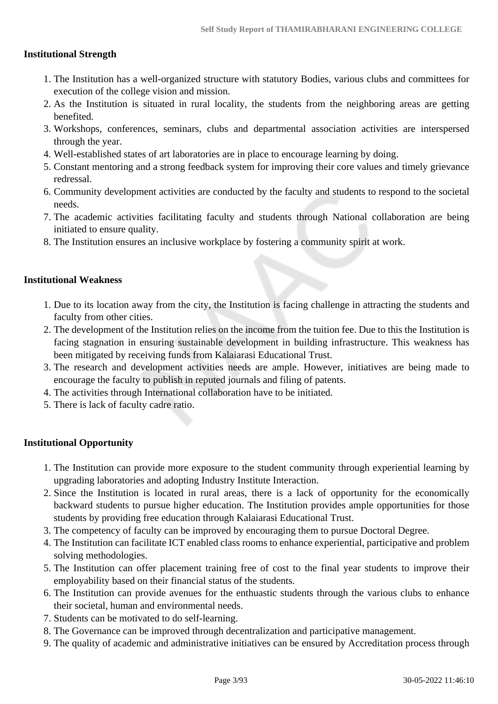#### **Institutional Strength**

- 1. The Institution has a well-organized structure with statutory Bodies, various clubs and committees for execution of the college vision and mission.
- 2. As the Institution is situated in rural locality, the students from the neighboring areas are getting benefited.
- 3. Workshops, conferences, seminars, clubs and departmental association activities are interspersed through the year.
- 4. Well-established states of art laboratories are in place to encourage learning by doing.
- 5. Constant mentoring and a strong feedback system for improving their core values and timely grievance redressal.
- 6. Community development activities are conducted by the faculty and students to respond to the societal needs.
- 7. The academic activities facilitating faculty and students through National collaboration are being initiated to ensure quality.
- 8. The Institution ensures an inclusive workplace by fostering a community spirit at work.

#### **Institutional Weakness**

- 1. Due to its location away from the city, the Institution is facing challenge in attracting the students and faculty from other cities.
- 2. The development of the Institution relies on the income from the tuition fee. Due to this the Institution is facing stagnation in ensuring sustainable development in building infrastructure. This weakness has been mitigated by receiving funds from Kalaiarasi Educational Trust.
- 3. The research and development activities needs are ample. However, initiatives are being made to encourage the faculty to publish in reputed journals and filing of patents.
- 4. The activities through International collaboration have to be initiated.
- 5. There is lack of faculty cadre ratio.

#### **Institutional Opportunity**

- 1. The Institution can provide more exposure to the student community through experiential learning by upgrading laboratories and adopting Industry Institute Interaction.
- 2. Since the Institution is located in rural areas, there is a lack of opportunity for the economically backward students to pursue higher education. The Institution provides ample opportunities for those students by providing free education through Kalaiarasi Educational Trust.
- 3. The competency of faculty can be improved by encouraging them to pursue Doctoral Degree.
- 4. The Institution can facilitate ICT enabled class rooms to enhance experiential, participative and problem solving methodologies.
- 5. The Institution can offer placement training free of cost to the final year students to improve their employability based on their financial status of the students.
- 6. The Institution can provide avenues for the enthuastic students through the various clubs to enhance their societal, human and environmental needs.
- 7. Students can be motivated to do self-learning.
- 8. The Governance can be improved through decentralization and participative management.
- 9. The quality of academic and administrative initiatives can be ensured by Accreditation process through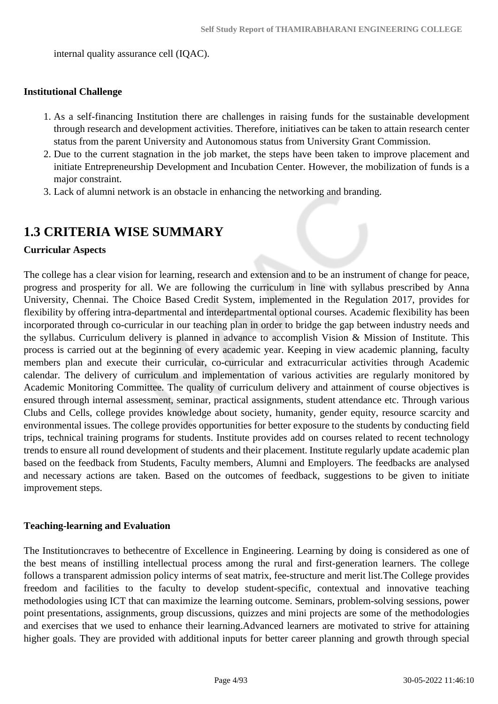internal quality assurance cell (IQAC).

#### **Institutional Challenge**

- 1. As a self-financing Institution there are challenges in raising funds for the sustainable development through research and development activities. Therefore, initiatives can be taken to attain research center status from the parent University and Autonomous status from University Grant Commission.
- 2. Due to the current stagnation in the job market, the steps have been taken to improve placement and initiate Entrepreneurship Development and Incubation Center. However, the mobilization of funds is a major constraint.
- 3. Lack of alumni network is an obstacle in enhancing the networking and branding.

# **1.3 CRITERIA WISE SUMMARY**

#### **Curricular Aspects**

The college has a clear vision for learning, research and extension and to be an instrument of change for peace, progress and prosperity for all. We are following the curriculum in line with syllabus prescribed by Anna University, Chennai. The Choice Based Credit System, implemented in the Regulation 2017, provides for flexibility by offering intra-departmental and interdepartmental optional courses. Academic flexibility has been incorporated through co-curricular in our teaching plan in order to bridge the gap between industry needs and the syllabus. Curriculum delivery is planned in advance to accomplish Vision & Mission of Institute. This process is carried out at the beginning of every academic year. Keeping in view academic planning, faculty members plan and execute their curricular, co-curricular and extracurricular activities through Academic calendar. The delivery of curriculum and implementation of various activities are regularly monitored by Academic Monitoring Committee. The quality of curriculum delivery and attainment of course objectives is ensured through internal assessment, seminar, practical assignments, student attendance etc. Through various Clubs and Cells, college provides knowledge about society, humanity, gender equity, resource scarcity and environmental issues. The college provides opportunities for better exposure to the students by conducting field trips, technical training programs for students. Institute provides add on courses related to recent technology trends to ensure all round development of students and their placement. Institute regularly update academic plan based on the feedback from Students, Faculty members, Alumni and Employers. The feedbacks are analysed and necessary actions are taken. Based on the outcomes of feedback, suggestions to be given to initiate improvement steps.

#### **Teaching-learning and Evaluation**

The Institutioncraves to bethecentre of Excellence in Engineering. Learning by doing is considered as one of the best means of instilling intellectual process among the rural and first-generation learners. The college follows a transparent admission policy interms of seat matrix, fee-structure and merit list.The College provides freedom and facilities to the faculty to develop student-specific, contextual and innovative teaching methodologies using ICT that can maximize the learning outcome. Seminars, problem-solving sessions, power point presentations, assignments, group discussions, quizzes and mini projects are some of the methodologies and exercises that we used to enhance their learning.Advanced learners are motivated to strive for attaining higher goals. They are provided with additional inputs for better career planning and growth through special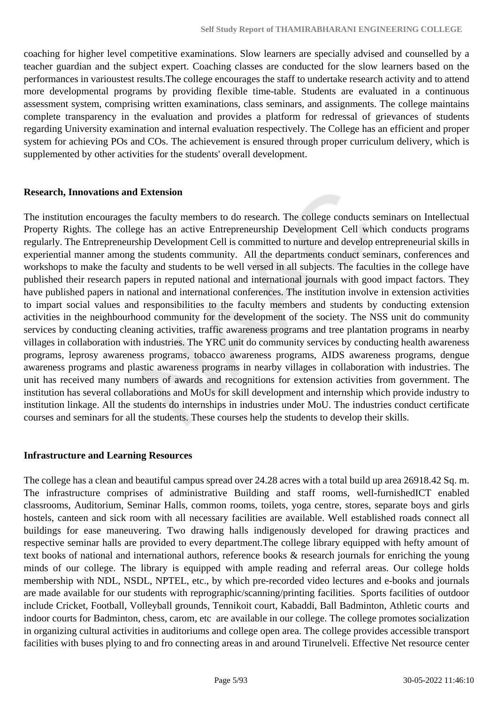coaching for higher level competitive examinations. Slow learners are specially advised and counselled by a teacher guardian and the subject expert. Coaching classes are conducted for the slow learners based on the performances in varioustest results.The college encourages the staff to undertake research activity and to attend more developmental programs by providing flexible time-table. Students are evaluated in a continuous assessment system, comprising written examinations, class seminars, and assignments. The college maintains complete transparency in the evaluation and provides a platform for redressal of grievances of students regarding University examination and internal evaluation respectively. The College has an efficient and proper system for achieving POs and COs. The achievement is ensured through proper curriculum delivery, which is supplemented by other activities for the students' overall development.

#### **Research, Innovations and Extension**

The institution encourages the faculty members to do research. The college conducts seminars on Intellectual Property Rights. The college has an active Entrepreneurship Development Cell which conducts programs regularly. The Entrepreneurship Development Cell is committed to nurture and develop entrepreneurial skills in experiential manner among the students community. All the departments conduct seminars, conferences and workshops to make the faculty and students to be well versed in all subjects. The faculties in the college have published their research papers in reputed national and international journals with good impact factors. They have published papers in national and international conferences. The institution involve in extension activities to impart social values and responsibilities to the faculty members and students by conducting extension activities in the neighbourhood community for the development of the society. The NSS unit do community services by conducting cleaning activities, traffic awareness programs and tree plantation programs in nearby villages in collaboration with industries. The YRC unit do community services by conducting health awareness programs, leprosy awareness programs, tobacco awareness programs, AIDS awareness programs, dengue awareness programs and plastic awareness programs in nearby villages in collaboration with industries. The unit has received many numbers of awards and recognitions for extension activities from government. The institution has several collaborations and MoUs for skill development and internship which provide industry to institution linkage. All the students do internships in industries under MoU. The industries conduct certificate courses and seminars for all the students. These courses help the students to develop their skills.

#### **Infrastructure and Learning Resources**

The college has a clean and beautiful campus spread over 24.28 acres with a total build up area 26918.42 Sq. m. The infrastructure comprises of administrative Building and staff rooms, well-furnishedICT enabled classrooms, Auditorium, Seminar Halls, common rooms, toilets, yoga centre, stores, separate boys and girls hostels, canteen and sick room with all necessary facilities are available. Well established roads connect all buildings for ease maneuvering. Two drawing halls indigenously developed for drawing practices and respective seminar halls are provided to every department.The college library equipped with hefty amount of text books of national and international authors, reference books & research journals for enriching the young minds of our college. The library is equipped with ample reading and referral areas. Our college holds membership with NDL, NSDL, NPTEL, etc., by which pre-recorded video lectures and e-books and journals are made available for our students with reprographic/scanning/printing facilities. Sports facilities of outdoor include Cricket, Football, Volleyball grounds, Tennikoit court, Kabaddi, Ball Badminton, Athletic courts and indoor courts for Badminton, chess, carom, etc are available in our college. The college promotes socialization in organizing cultural activities in auditoriums and college open area. The college provides accessible transport facilities with buses plying to and fro connecting areas in and around Tirunelveli. Effective Net resource center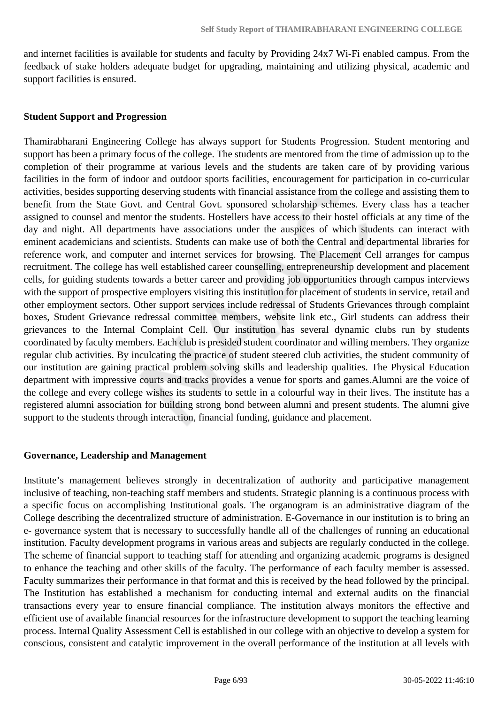and internet facilities is available for students and faculty by Providing 24x7 Wi-Fi enabled campus. From the feedback of stake holders adequate budget for upgrading, maintaining and utilizing physical, academic and support facilities is ensured.

#### **Student Support and Progression**

Thamirabharani Engineering College has always support for Students Progression. Student mentoring and support has been a primary focus of the college. The students are mentored from the time of admission up to the completion of their programme at various levels and the students are taken care of by providing various facilities in the form of indoor and outdoor sports facilities, encouragement for participation in co-curricular activities, besides supporting deserving students with financial assistance from the college and assisting them to benefit from the State Govt. and Central Govt. sponsored scholarship schemes. Every class has a teacher assigned to counsel and mentor the students. Hostellers have access to their hostel officials at any time of the day and night. All departments have associations under the auspices of which students can interact with eminent academicians and scientists. Students can make use of both the Central and departmental libraries for reference work, and computer and internet services for browsing. The Placement Cell arranges for campus recruitment. The college has well established career counselling, entrepreneurship development and placement cells, for guiding students towards a better career and providing job opportunities through campus interviews with the support of prospective employers visiting this institution for placement of students in service, retail and other employment sectors. Other support services include redressal of Students Grievances through complaint boxes, Student Grievance redressal committee members, website link etc., Girl students can address their grievances to the Internal Complaint Cell. Our institution has several dynamic clubs run by students coordinated by faculty members. Each club is presided student coordinator and willing members. They organize regular club activities. By inculcating the practice of student steered club activities, the student community of our institution are gaining practical problem solving skills and leadership qualities. The Physical Education department with impressive courts and tracks provides a venue for sports and games.Alumni are the voice of the college and every college wishes its students to settle in a colourful way in their lives. The institute has a registered alumni association for building strong bond between alumni and present students. The alumni give support to the students through interaction, financial funding, guidance and placement.

#### **Governance, Leadership and Management**

Institute's management believes strongly in decentralization of authority and participative management inclusive of teaching, non-teaching staff members and students. Strategic planning is a continuous process with a specific focus on accomplishing Institutional goals. The organogram is an administrative diagram of the College describing the decentralized structure of administration. E-Governance in our institution is to bring an e- governance system that is necessary to successfully handle all of the challenges of running an educational institution. Faculty development programs in various areas and subjects are regularly conducted in the college. The scheme of financial support to teaching staff for attending and organizing academic programs is designed to enhance the teaching and other skills of the faculty. The performance of each faculty member is assessed. Faculty summarizes their performance in that format and this is received by the head followed by the principal. The Institution has established a mechanism for conducting internal and external audits on the financial transactions every year to ensure financial compliance. The institution always monitors the effective and efficient use of available financial resources for the infrastructure development to support the teaching learning process. Internal Quality Assessment Cell is established in our college with an objective to develop a system for conscious, consistent and catalytic improvement in the overall performance of the institution at all levels with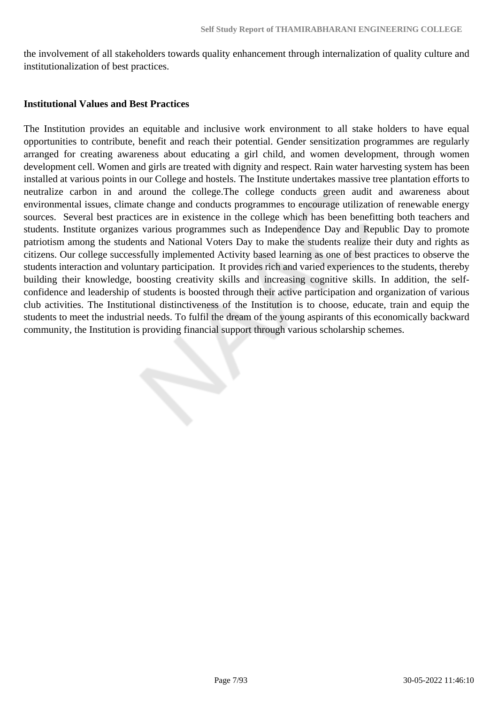the involvement of all stakeholders towards quality enhancement through internalization of quality culture and institutionalization of best practices.

#### **Institutional Values and Best Practices**

The Institution provides an equitable and inclusive work environment to all stake holders to have equal opportunities to contribute, benefit and reach their potential. Gender sensitization programmes are regularly arranged for creating awareness about educating a girl child, and women development, through women development cell. Women and girls are treated with dignity and respect. Rain water harvesting system has been installed at various points in our College and hostels. The Institute undertakes massive tree plantation efforts to neutralize carbon in and around the college.The college conducts green audit and awareness about environmental issues, climate change and conducts programmes to encourage utilization of renewable energy sources. Several best practices are in existence in the college which has been benefitting both teachers and students. Institute organizes various programmes such as Independence Day and Republic Day to promote patriotism among the students and National Voters Day to make the students realize their duty and rights as citizens. Our college successfully implemented Activity based learning as one of best practices to observe the students interaction and voluntary participation. It provides rich and varied experiences to the students, thereby building their knowledge, boosting creativity skills and increasing cognitive skills. In addition, the selfconfidence and leadership of students is boosted through their active participation and organization of various club activities. The Institutional distinctiveness of the Institution is to choose, educate, train and equip the students to meet the industrial needs. To fulfil the dream of the young aspirants of this economically backward community, the Institution is providing financial support through various scholarship schemes.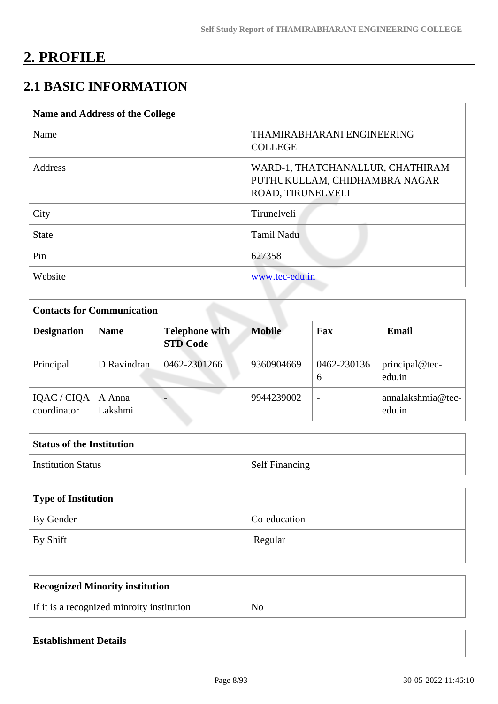# **2. PROFILE**

# **2.1 BASIC INFORMATION**

| <b>Name and Address of the College</b> |                                                                                        |
|----------------------------------------|----------------------------------------------------------------------------------------|
| Name                                   | THAMIRABHARANI ENGINEERING<br><b>COLLEGE</b>                                           |
| Address                                | WARD-1, THATCHANALLUR, CHATHIRAM<br>PUTHUKULLAM, CHIDHAMBRA NAGAR<br>ROAD, TIRUNELVELI |
| City                                   | Tirunelveli                                                                            |
| <b>State</b>                           | Tamil Nadu                                                                             |
| Pin                                    | 627358                                                                                 |
| Website                                | www.tec-edu.in                                                                         |

| <b>Contacts for Communication</b> |                   |                                          |               |                          |                             |  |  |  |  |
|-----------------------------------|-------------------|------------------------------------------|---------------|--------------------------|-----------------------------|--|--|--|--|
| <b>Designation</b>                | <b>Name</b>       | <b>Telephone with</b><br><b>STD Code</b> | <b>Mobile</b> | Fax                      | Email                       |  |  |  |  |
| Principal                         | D Ravindran       | 0462-2301266                             | 9360904669    | 0462-230136<br>6         | principal@tec-<br>edu.in    |  |  |  |  |
| IQAC / CIQA<br>coordinator        | A Anna<br>Lakshmi |                                          | 9944239002    | $\overline{\phantom{a}}$ | annalakshmia@tec-<br>edu.in |  |  |  |  |

| <b>Status of the Institution</b> |                       |
|----------------------------------|-----------------------|
| <b>Institution Status</b>        | <b>Self Financing</b> |

| Type of Institution   |              |  |  |  |  |
|-----------------------|--------------|--|--|--|--|
| By Gender             | Co-education |  |  |  |  |
| $\mathsf{I}$ By Shift | Regular      |  |  |  |  |

| No |
|----|
|    |

| <b>Establishment Details</b> |  |  |  |
|------------------------------|--|--|--|
|------------------------------|--|--|--|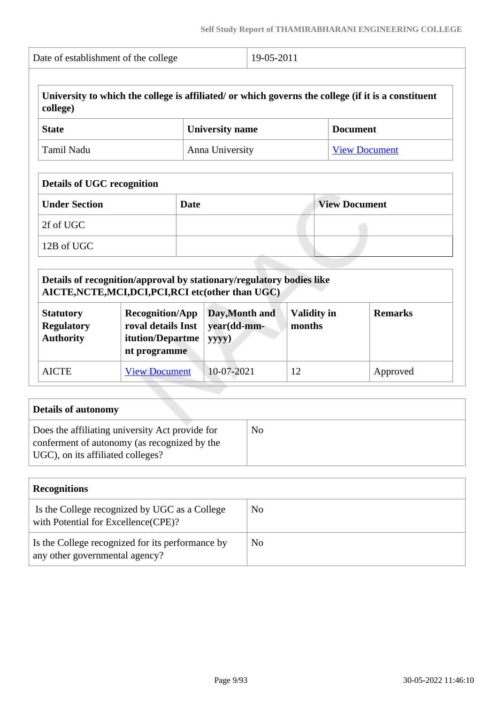| Date of establishment of the college                                                                                                          |                                                                                                                             |                        | 19-05-2011                              |                      |                    |                                                                                                     |  |
|-----------------------------------------------------------------------------------------------------------------------------------------------|-----------------------------------------------------------------------------------------------------------------------------|------------------------|-----------------------------------------|----------------------|--------------------|-----------------------------------------------------------------------------------------------------|--|
| college)                                                                                                                                      |                                                                                                                             |                        |                                         |                      |                    | University to which the college is affiliated/ or which governs the college (if it is a constituent |  |
| <b>State</b>                                                                                                                                  |                                                                                                                             | <b>University name</b> |                                         |                      | <b>Document</b>    |                                                                                                     |  |
| <b>Tamil Nadu</b><br>Anna University                                                                                                          |                                                                                                                             |                        |                                         |                      |                    | <b>View Document</b>                                                                                |  |
| <b>Details of UGC recognition</b>                                                                                                             |                                                                                                                             |                        |                                         |                      |                    |                                                                                                     |  |
| <b>Under Section</b>                                                                                                                          | <b>Date</b>                                                                                                                 |                        |                                         | <b>View Document</b> |                    |                                                                                                     |  |
| 2f of UGC                                                                                                                                     |                                                                                                                             |                        |                                         |                      |                    |                                                                                                     |  |
| 12B of UGC                                                                                                                                    |                                                                                                                             |                        |                                         |                      |                    |                                                                                                     |  |
|                                                                                                                                               | Details of recognition/approval by stationary/regulatory bodies like<br>AICTE, NCTE, MCI, DCI, PCI, RCI etc(other than UGC) |                        |                                         |                      |                    |                                                                                                     |  |
| <b>Recognition/App</b><br><b>Statutory</b><br>roval details Inst<br><b>Regulatory</b><br><b>Authority</b><br>itution/Departme<br>nt programme |                                                                                                                             | yyyy)                  | Day, Month and<br>year(dd-mm-<br>months |                      | <b>Validity in</b> | <b>Remarks</b>                                                                                      |  |
|                                                                                                                                               | <b>View Document</b>                                                                                                        |                        | 10-07-2021<br>12                        |                      | Approved           |                                                                                                     |  |

| Details of autonomy                                                                                                                  |    |
|--------------------------------------------------------------------------------------------------------------------------------------|----|
| Does the affiliating university Act provide for<br>conferment of autonomy (as recognized by the<br>UGC), on its affiliated colleges? | No |

| <b>Recognitions</b>                                                                  |     |
|--------------------------------------------------------------------------------------|-----|
| Is the College recognized by UGC as a College<br>with Potential for Excellence(CPE)? | No. |
| Is the College recognized for its performance by<br>any other governmental agency?   | No  |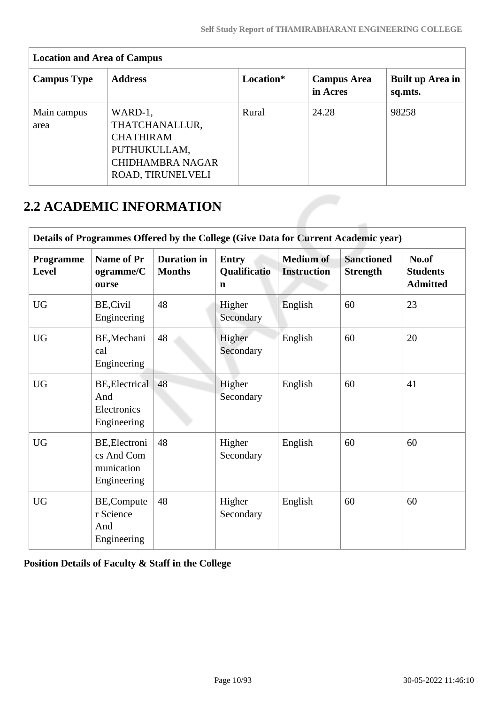| <b>Location and Area of Campus</b> |                                                                                                               |           |                                |                             |  |  |  |  |  |
|------------------------------------|---------------------------------------------------------------------------------------------------------------|-----------|--------------------------------|-----------------------------|--|--|--|--|--|
| <b>Campus Type</b>                 | <b>Address</b>                                                                                                | Location* | <b>Campus Area</b><br>in Acres | Built up Area in<br>sq.mts. |  |  |  |  |  |
| Main campus<br>area                | WARD-1,<br>THATCHANALLUR,<br><b>CHATHIRAM</b><br>PUTHUKULLAM,<br><b>CHIDHAMBRA NAGAR</b><br>ROAD, TIRUNELVELI | Rural     | 24.28                          | 98258                       |  |  |  |  |  |

# **2.2 ACADEMIC INFORMATION**

|                           | Details of Programmes Offered by the College (Give Data for Current Academic year) |                                     |                                   |                                        |                                      |                                             |  |  |  |  |  |
|---------------------------|------------------------------------------------------------------------------------|-------------------------------------|-----------------------------------|----------------------------------------|--------------------------------------|---------------------------------------------|--|--|--|--|--|
| <b>Programme</b><br>Level | Name of Pr<br>ogramme/C<br>ourse                                                   | <b>Duration</b> in<br><b>Months</b> | <b>Entry</b><br>Qualificatio<br>n | <b>Medium of</b><br><b>Instruction</b> | <b>Sanctioned</b><br><b>Strength</b> | No.of<br><b>Students</b><br><b>Admitted</b> |  |  |  |  |  |
| <b>UG</b>                 | BE, Civil<br>Engineering                                                           | 48                                  | Higher<br>Secondary               | English                                | 60                                   | 23                                          |  |  |  |  |  |
| <b>UG</b>                 | BE, Mechani<br>cal<br>Engineering                                                  | 48                                  | Higher<br>Secondary               | English                                | 60                                   | 20                                          |  |  |  |  |  |
| <b>UG</b>                 | BE, Electrical<br>And<br>Electronics<br>Engineering                                | 48                                  | Higher<br>Secondary               | English                                | 60                                   | 41                                          |  |  |  |  |  |
| <b>UG</b>                 | BE, Electroni<br>cs And Com<br>munication<br>Engineering                           | 48                                  | Higher<br>Secondary               | English                                | 60                                   | 60                                          |  |  |  |  |  |
| <b>UG</b>                 | BE,Compute<br>r Science<br>And<br>Engineering                                      | 48                                  | Higher<br>Secondary               | English                                | 60                                   | 60                                          |  |  |  |  |  |

**Position Details of Faculty & Staff in the College**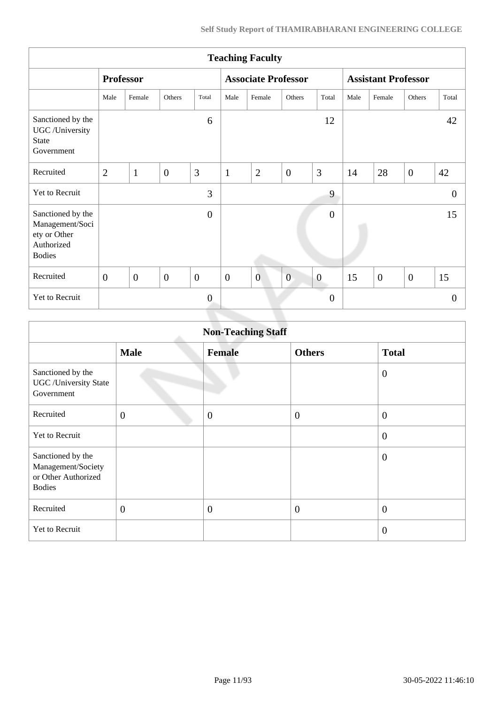| <b>Teaching Faculty</b>                                                             |                  |                |                |                |                            |                |                |                            |      |                |                |                |
|-------------------------------------------------------------------------------------|------------------|----------------|----------------|----------------|----------------------------|----------------|----------------|----------------------------|------|----------------|----------------|----------------|
|                                                                                     | <b>Professor</b> |                |                |                | <b>Associate Professor</b> |                |                | <b>Assistant Professor</b> |      |                |                |                |
|                                                                                     | Male             | Female         | Others         | Total          | Male                       | Female         | Others         | Total                      | Male | Female         | Others         | Total          |
| Sanctioned by the<br>UGC /University<br><b>State</b><br>Government                  |                  |                |                | 6              |                            |                |                | 12                         |      |                |                | 42             |
| Recruited                                                                           | $\overline{2}$   | $\mathbf{1}$   | $\overline{0}$ | 3              | $\mathbf{1}$               | $\overline{2}$ | $\overline{0}$ | 3                          | 14   | 28             | $\overline{0}$ | 42             |
| Yet to Recruit                                                                      |                  |                |                | 3              |                            |                |                | 9                          |      |                |                | $\theta$       |
| Sanctioned by the<br>Management/Soci<br>ety or Other<br>Authorized<br><b>Bodies</b> |                  |                |                | $\overline{0}$ |                            |                |                | $\mathbf{0}$               |      |                |                | 15             |
| Recruited                                                                           | $\overline{0}$   | $\overline{0}$ | $\overline{0}$ | $\overline{0}$ | $\boldsymbol{0}$           | $\overline{0}$ | $\overline{0}$ | $\boldsymbol{0}$           | 15   | $\overline{0}$ | $\overline{0}$ | 15             |
| Yet to Recruit                                                                      |                  |                |                | $\overline{0}$ |                            |                |                | $\overline{0}$             |      |                |                | $\overline{0}$ |
|                                                                                     |                  |                |                |                |                            |                |                |                            |      |                |                |                |

| <b>Non-Teaching Staff</b>                                                       |                |                |                  |                  |  |  |  |
|---------------------------------------------------------------------------------|----------------|----------------|------------------|------------------|--|--|--|
|                                                                                 | <b>Male</b>    | <b>Female</b>  | <b>Others</b>    | <b>Total</b>     |  |  |  |
| Sanctioned by the<br><b>UGC</b> / University State<br>Government                |                |                |                  | $\boldsymbol{0}$ |  |  |  |
| Recruited                                                                       | $\overline{0}$ | $\overline{0}$ | $\boldsymbol{0}$ | $\overline{0}$   |  |  |  |
| Yet to Recruit                                                                  |                |                |                  | $\boldsymbol{0}$ |  |  |  |
| Sanctioned by the<br>Management/Society<br>or Other Authorized<br><b>Bodies</b> |                |                |                  | $\overline{0}$   |  |  |  |
| Recruited                                                                       | $\overline{0}$ | $\overline{0}$ | $\boldsymbol{0}$ | $\overline{0}$   |  |  |  |
| Yet to Recruit                                                                  |                |                |                  | $\overline{0}$   |  |  |  |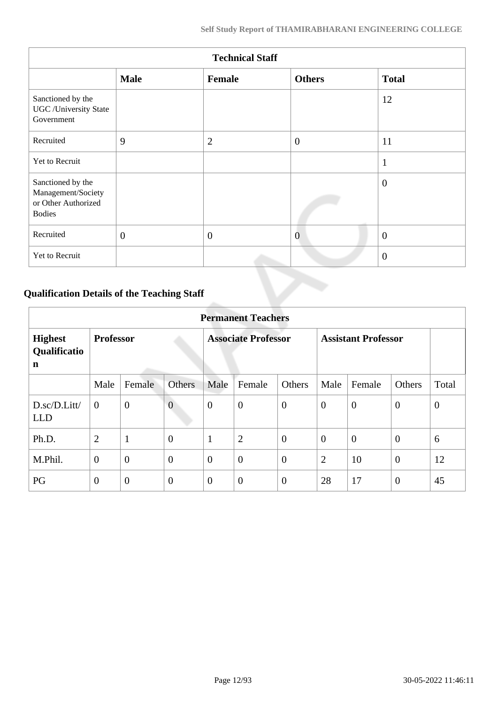| <b>Technical Staff</b>                                                          |              |                |                |                |  |  |  |
|---------------------------------------------------------------------------------|--------------|----------------|----------------|----------------|--|--|--|
|                                                                                 | <b>Male</b>  | Female         | <b>Others</b>  | <b>Total</b>   |  |  |  |
| Sanctioned by the<br><b>UGC</b> /University State<br>Government                 |              |                |                | 12             |  |  |  |
| Recruited                                                                       | 9            | $\overline{2}$ | $\overline{0}$ | 11             |  |  |  |
| Yet to Recruit                                                                  |              |                |                | $\mathbf{1}$   |  |  |  |
| Sanctioned by the<br>Management/Society<br>or Other Authorized<br><b>Bodies</b> |              |                |                | $\theta$       |  |  |  |
| Recruited                                                                       | $\mathbf{0}$ | $\mathbf{0}$   | $\overline{0}$ | $\overline{0}$ |  |  |  |
| Yet to Recruit                                                                  |              |                |                | $\overline{0}$ |  |  |  |

# **Qualification Details of the Teaching Staff**

|                                     | <b>Permanent Teachers</b> |                  |                |                |                            |                |                            |              |                  |          |
|-------------------------------------|---------------------------|------------------|----------------|----------------|----------------------------|----------------|----------------------------|--------------|------------------|----------|
| <b>Highest</b><br>Qualificatio<br>n |                           | <b>Professor</b> |                |                | <b>Associate Professor</b> |                | <b>Assistant Professor</b> |              |                  |          |
|                                     | Male                      | Female           | <b>Others</b>  | Male           | Female                     | Others         | Male                       | Female       | Others           | Total    |
| D.sc/D.Litt/<br><b>LLD</b>          | $\overline{0}$            | $\boldsymbol{0}$ | $\overline{0}$ | $\overline{0}$ | $\boldsymbol{0}$           | $\overline{0}$ | $\overline{0}$             | $\theta$     | $\mathbf{0}$     | $\theta$ |
| Ph.D.                               | 2                         | $\mathbf{1}$     | $\overline{0}$ | $\mathbf{1}$   | $\overline{2}$             | $\overline{0}$ | $\overline{0}$             | $\mathbf{0}$ | $\overline{0}$   | 6        |
| M.Phil.                             | $\overline{0}$            | $\overline{0}$   | $\overline{0}$ | $\overline{0}$ | $\boldsymbol{0}$           | $\overline{0}$ | $\overline{2}$             | 10           | $\boldsymbol{0}$ | 12       |
| PG                                  | $\overline{0}$            | $\overline{0}$   | $\overline{0}$ | $\overline{0}$ | $\overline{0}$             | $\overline{0}$ | 28                         | 17           | $\overline{0}$   | 45       |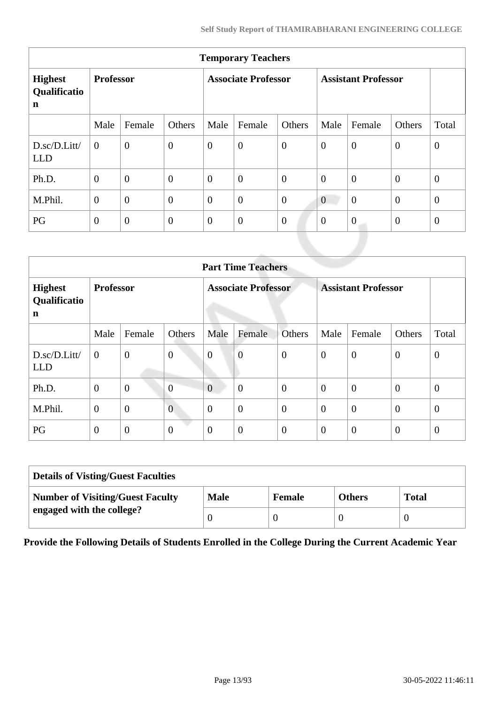| <b>Temporary Teachers</b>                     |                  |                |                            |                  |                            |                  |                  |                  |                  |                |
|-----------------------------------------------|------------------|----------------|----------------------------|------------------|----------------------------|------------------|------------------|------------------|------------------|----------------|
| <b>Highest</b><br>Qualificatio<br>$\mathbf n$ | <b>Professor</b> |                | <b>Associate Professor</b> |                  | <b>Assistant Professor</b> |                  |                  |                  |                  |                |
|                                               | Male             | Female         | Others                     | Male             | Female                     | Others           | Male             | Female           | Others           | Total          |
| D.sc/D.Litt/<br><b>LLD</b>                    | $\theta$         | $\overline{0}$ | $\overline{0}$             | $\boldsymbol{0}$ | $\boldsymbol{0}$           | $\overline{0}$   | $\boldsymbol{0}$ | $\overline{0}$   | $\mathbf{0}$     | $\theta$       |
| Ph.D.                                         | $\overline{0}$   | $\overline{0}$ | $\overline{0}$             | $\overline{0}$   | $\overline{0}$             | $\overline{0}$   | $\overline{0}$   | $\overline{0}$   | $\mathbf{0}$     | $\overline{0}$ |
| M.Phil.                                       | $\boldsymbol{0}$ | $\overline{0}$ | $\overline{0}$             | $\boldsymbol{0}$ | $\boldsymbol{0}$           | $\overline{0}$   | $\overline{0}$   | $\overline{0}$   | $\mathbf{0}$     | $\overline{0}$ |
| PG                                            | $\overline{0}$   | $\overline{0}$ | $\overline{0}$             | $\boldsymbol{0}$ | $\boldsymbol{0}$           | $\boldsymbol{0}$ | $\overline{0}$   | $\boldsymbol{0}$ | $\boldsymbol{0}$ | $\overline{0}$ |
|                                               |                  |                |                            |                  |                            |                  |                  |                  |                  |                |

| <b>Part Time Teachers</b>                 |                  |                  |                  |                            |                  |                            |                |                |                |                  |
|-------------------------------------------|------------------|------------------|------------------|----------------------------|------------------|----------------------------|----------------|----------------|----------------|------------------|
| <b>Highest</b><br>Qualificatio<br>n       | <b>Professor</b> |                  |                  | <b>Associate Professor</b> |                  | <b>Assistant Professor</b> |                |                |                |                  |
|                                           | Male             | Female           | Others           | Male                       | Female           | Others                     | Male           | Female         | Others         | Total            |
| $D.\text{sc}/D.\text{Litt}$<br><b>LLD</b> | $\mathbf{0}$     | $\boldsymbol{0}$ | $\boldsymbol{0}$ | $\mathbf{0}$               | $\boldsymbol{0}$ | $\overline{0}$             | $\overline{0}$ | $\overline{0}$ | $\theta$       | $\boldsymbol{0}$ |
| Ph.D.                                     | $\overline{0}$   | $\boldsymbol{0}$ | $\overline{0}$   | $\overline{0}$             | $\boldsymbol{0}$ | $\overline{0}$             | $\theta$       | $\overline{0}$ | $\mathbf{0}$   | $\mathbf{0}$     |
| M.Phil.                                   | $\theta$         | $\overline{0}$   | $\overline{0}$   | $\overline{0}$             | $\overline{0}$   | $\overline{0}$             | $\theta$       | $\overline{0}$ | $\overline{0}$ | $\overline{0}$   |
| PG                                        | $\boldsymbol{0}$ | $\overline{0}$   | $\overline{0}$   | $\overline{0}$             | $\boldsymbol{0}$ | $\mathbf{0}$               | $\overline{0}$ | $\overline{0}$ | $\overline{0}$ | $\mathbf{0}$     |

| <b>Details of Visting/Guest Faculties</b> |             |               |               |              |  |  |
|-------------------------------------------|-------------|---------------|---------------|--------------|--|--|
| <b>Number of Visiting/Guest Faculty</b>   | <b>Male</b> | <b>Female</b> | <b>Others</b> | <b>Total</b> |  |  |
| engaged with the college?                 |             |               |               |              |  |  |

**Provide the Following Details of Students Enrolled in the College During the Current Academic Year**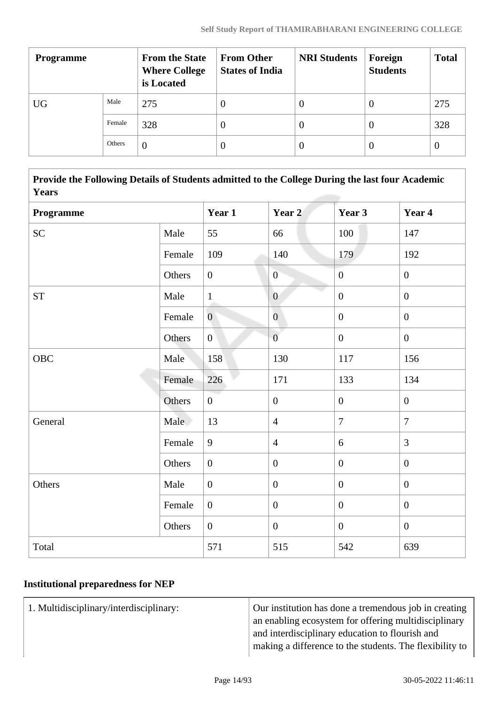| <b>Programme</b> |        | <b>From the State</b><br><b>Where College</b><br>is Located | <b>From Other</b><br><b>States of India</b> | <b>NRI Students</b> | Foreign<br><b>Students</b> | <b>Total</b>     |
|------------------|--------|-------------------------------------------------------------|---------------------------------------------|---------------------|----------------------------|------------------|
| <b>UG</b>        | Male   | 275                                                         | 0                                           | U                   | 0                          | 275              |
|                  | Female | 328                                                         | $\left( \right)$                            | $\theta$            | 0                          | 328              |
|                  | Others | $\theta$                                                    |                                             | $\theta$            | 0                          | $\boldsymbol{0}$ |

 **Provide the Following Details of Students admitted to the College During the last four Academic Years**

| Programme |        | Year 1         | Year 2           | Year 3           | Year 4           |
|-----------|--------|----------------|------------------|------------------|------------------|
| <b>SC</b> | Male   | 55             | 66               | 100              | 147              |
|           | Female | 109            | 140              | 179              | 192              |
|           | Others | $\overline{0}$ | $\overline{0}$   | $\boldsymbol{0}$ | $\boldsymbol{0}$ |
| <b>ST</b> | Male   | $\mathbf{1}$   | $\overline{0}$   | $\overline{0}$   | $\mathbf{0}$     |
|           | Female | $\overline{0}$ | $\overline{0}$   | $\boldsymbol{0}$ | $\boldsymbol{0}$ |
|           | Others | $\overline{0}$ | $\overline{0}$   | $\boldsymbol{0}$ | $\boldsymbol{0}$ |
| OBC       | Male   | 158            | 130              | 117              | 156              |
|           | Female | 226            | 171              | 133              | 134              |
|           | Others | $\overline{0}$ | $\boldsymbol{0}$ | $\boldsymbol{0}$ | $\boldsymbol{0}$ |
| General   | Male   | 13             | $\overline{4}$   | $\overline{7}$   | $\overline{7}$   |
|           | Female | 9              | $\overline{4}$   | 6                | 3                |
|           | Others | $\overline{0}$ | $\boldsymbol{0}$ | $\overline{0}$   | $\overline{0}$   |
| Others    | Male   | $\overline{0}$ | $\boldsymbol{0}$ | $\overline{0}$   | $\mathbf{0}$     |
|           | Female | $\overline{0}$ | $\boldsymbol{0}$ | $\overline{0}$   | $\mathbf{0}$     |
|           | Others | $\overline{0}$ | $\overline{0}$   | $\overline{0}$   | $\overline{0}$   |
| Total     |        | 571            | 515              | 542              | 639              |

# **Institutional preparedness for NEP**

1. Multidisciplinary/interdisciplinary: Our institution has done a tremendous job in creating an enabling ecosystem for offering multidisciplinary and interdisciplinary education to flourish and making a difference to the students. The flexibility to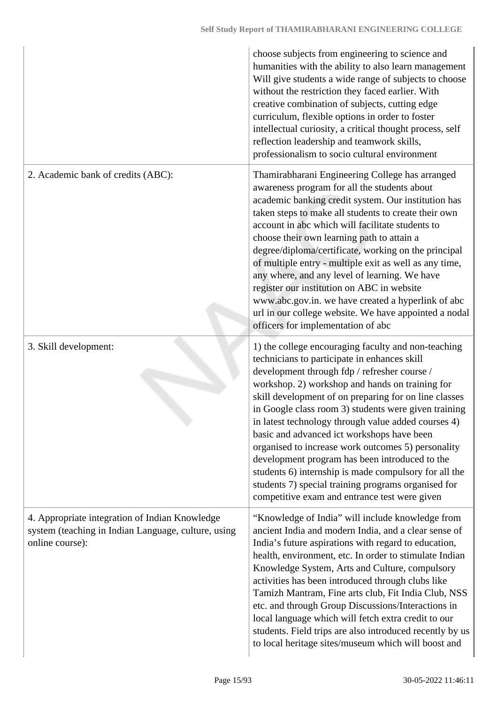|                                                                                                                          | choose subjects from engineering to science and<br>humanities with the ability to also learn management<br>Will give students a wide range of subjects to choose<br>without the restriction they faced earlier. With<br>creative combination of subjects, cutting edge<br>curriculum, flexible options in order to foster<br>intellectual curiosity, a critical thought process, self<br>reflection leadership and teamwork skills,<br>professionalism to socio cultural environment                                                                                                                                                                                                                  |
|--------------------------------------------------------------------------------------------------------------------------|-------------------------------------------------------------------------------------------------------------------------------------------------------------------------------------------------------------------------------------------------------------------------------------------------------------------------------------------------------------------------------------------------------------------------------------------------------------------------------------------------------------------------------------------------------------------------------------------------------------------------------------------------------------------------------------------------------|
| 2. Academic bank of credits (ABC):                                                                                       | Thamirabharani Engineering College has arranged<br>awareness program for all the students about<br>academic banking credit system. Our institution has<br>taken steps to make all students to create their own<br>account in abc which will facilitate students to<br>choose their own learning path to attain a<br>degree/diploma/certificate, working on the principal<br>of multiple entry - multiple exit as well as any time,<br>any where, and any level of learning. We have<br>register our institution on ABC in website<br>www.abc.gov.in. we have created a hyperlink of abc<br>url in our college website. We have appointed a nodal<br>officers for implementation of abc                |
| 3. Skill development:                                                                                                    | 1) the college encouraging faculty and non-teaching<br>technicians to participate in enhances skill<br>development through fdp / refresher course /<br>workshop. 2) workshop and hands on training for<br>skill development of on preparing for on line classes<br>in Google class room 3) students were given training<br>in latest technology through value added courses 4)<br>basic and advanced ict workshops have been<br>organised to increase work outcomes 5) personality<br>development program has been introduced to the<br>students 6) internship is made compulsory for all the<br>students 7) special training programs organised for<br>competitive exam and entrance test were given |
| 4. Appropriate integration of Indian Knowledge<br>system (teaching in Indian Language, culture, using<br>online course): | "Knowledge of India" will include knowledge from<br>ancient India and modern India, and a clear sense of<br>India's future aspirations with regard to education,<br>health, environment, etc. In order to stimulate Indian<br>Knowledge System, Arts and Culture, compulsory<br>activities has been introduced through clubs like<br>Tamizh Mantram, Fine arts club, Fit India Club, NSS<br>etc. and through Group Discussions/Interactions in<br>local language which will fetch extra credit to our<br>students. Field trips are also introduced recently by us<br>to local heritage sites/museum which will boost and                                                                              |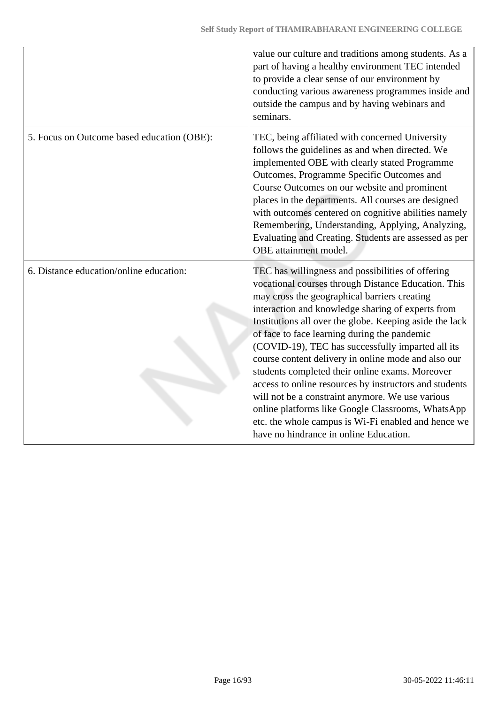|                                            | value our culture and traditions among students. As a<br>part of having a healthy environment TEC intended<br>to provide a clear sense of our environment by<br>conducting various awareness programmes inside and<br>outside the campus and by having webinars and<br>seminars.                                                                                                                                                                                                                                                                                                                                                                                                                                                                            |
|--------------------------------------------|-------------------------------------------------------------------------------------------------------------------------------------------------------------------------------------------------------------------------------------------------------------------------------------------------------------------------------------------------------------------------------------------------------------------------------------------------------------------------------------------------------------------------------------------------------------------------------------------------------------------------------------------------------------------------------------------------------------------------------------------------------------|
| 5. Focus on Outcome based education (OBE): | TEC, being affiliated with concerned University<br>follows the guidelines as and when directed. We<br>implemented OBE with clearly stated Programme<br>Outcomes, Programme Specific Outcomes and<br>Course Outcomes on our website and prominent<br>places in the departments. All courses are designed<br>with outcomes centered on cognitive abilities namely<br>Remembering, Understanding, Applying, Analyzing,<br>Evaluating and Creating. Students are assessed as per<br>OBE attainment model.                                                                                                                                                                                                                                                       |
| 6. Distance education/online education:    | TEC has willingness and possibilities of offering<br>vocational courses through Distance Education. This<br>may cross the geographical barriers creating<br>interaction and knowledge sharing of experts from<br>Institutions all over the globe. Keeping aside the lack<br>of face to face learning during the pandemic<br>(COVID-19), TEC has successfully imparted all its<br>course content delivery in online mode and also our<br>students completed their online exams. Moreover<br>access to online resources by instructors and students<br>will not be a constraint anymore. We use various<br>online platforms like Google Classrooms, WhatsApp<br>etc. the whole campus is Wi-Fi enabled and hence we<br>have no hindrance in online Education. |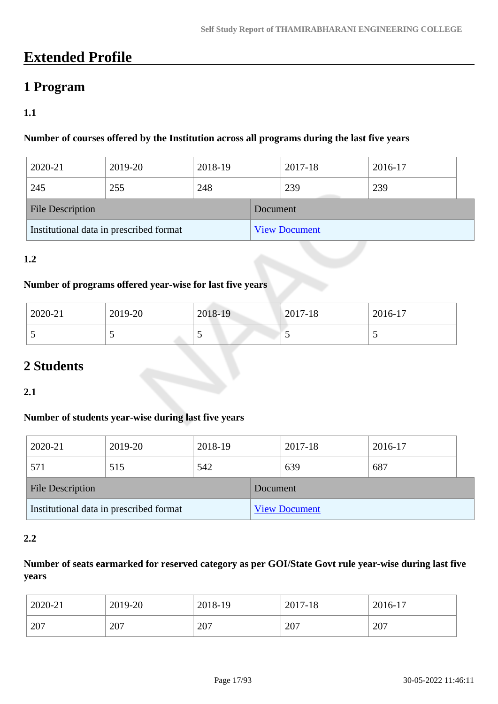# **Extended Profile**

# **1 Program**

# **1.1**

### **Number of courses offered by the Institution across all programs during the last five years**

| 2020-21                                 | 2019-20 | 2018-19 |          | 2017-18              | 2016-17 |  |
|-----------------------------------------|---------|---------|----------|----------------------|---------|--|
| 245                                     | 255     | 248     |          | 239                  | 239     |  |
| <b>File Description</b>                 |         |         | Document |                      |         |  |
| Institutional data in prescribed format |         |         |          | <b>View Document</b> |         |  |

### **1.2**

#### **Number of programs offered year-wise for last five years**

| 2020-21 | 2019-20                  | 2018-19 | $ 2017-18 $ | 2016-17 |
|---------|--------------------------|---------|-------------|---------|
|         | $\overline{\phantom{0}}$ | ັ       | ັ           |         |

# **2 Students**

**2.1**

# **Number of students year-wise during last five years**

| 2020-21                 | 2019-20                                 | 2018-19 |          | 2017-18              | 2016-17 |
|-------------------------|-----------------------------------------|---------|----------|----------------------|---------|
| 571                     | 515                                     | 542     |          | 639                  | 687     |
| <b>File Description</b> |                                         |         | Document |                      |         |
|                         | Institutional data in prescribed format |         |          | <b>View Document</b> |         |

#### **2.2**

# **Number of seats earmarked for reserved category as per GOI/State Govt rule year-wise during last five years**

| 2020-21 | 2019-20 | 2018-19 | 2017-18 | 2016-17 |
|---------|---------|---------|---------|---------|
| 207     | 207     | 207     | 207     | 207     |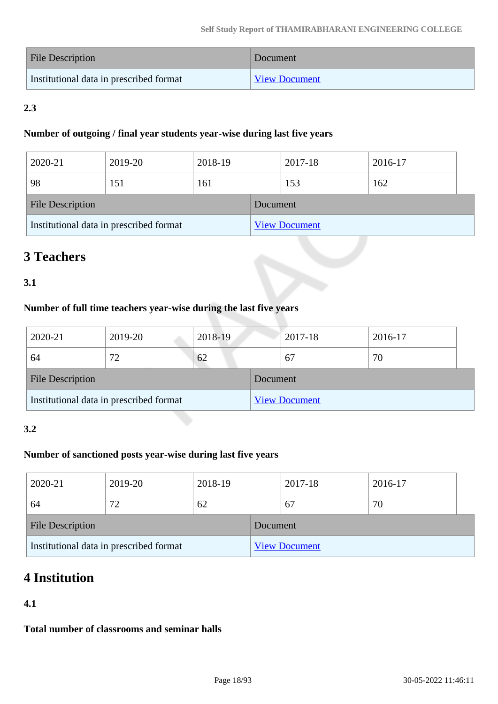| File Description                        | Document             |
|-----------------------------------------|----------------------|
| Institutional data in prescribed format | <b>View Document</b> |

# **2.3**

### **Number of outgoing / final year students year-wise during last five years**

| 2020-21                 | 2019-20                                 | 2018-19 |          | 2017-18              | 2016-17 |  |
|-------------------------|-----------------------------------------|---------|----------|----------------------|---------|--|
| 98                      | 151                                     | 161     |          | 153                  | 162     |  |
| <b>File Description</b> |                                         |         | Document |                      |         |  |
|                         | Institutional data in prescribed format |         |          | <b>View Document</b> |         |  |

# **3 Teachers**

# **3.1**

# **Number of full time teachers year-wise during the last five years**

| 2020-21                 | 2019-20                                 | 2018-19 |          | 2017-18              | 2016-17 |  |
|-------------------------|-----------------------------------------|---------|----------|----------------------|---------|--|
| 64                      | 72                                      | 62      |          | 67                   | 70      |  |
| <b>File Description</b> |                                         |         | Document |                      |         |  |
|                         | Institutional data in prescribed format |         |          | <b>View Document</b> |         |  |

# **3.2**

# **Number of sanctioned posts year-wise during last five years**

| 2020-21                 | 2019-20                                 | 2018-19 |          | 2017-18              | 2016-17 |
|-------------------------|-----------------------------------------|---------|----------|----------------------|---------|
| 64                      | 72                                      | 62      |          | 67                   | 70      |
| <b>File Description</b> |                                         |         | Document |                      |         |
|                         | Institutional data in prescribed format |         |          | <b>View Document</b> |         |

# **4 Institution**

# **4.1**

**Total number of classrooms and seminar halls**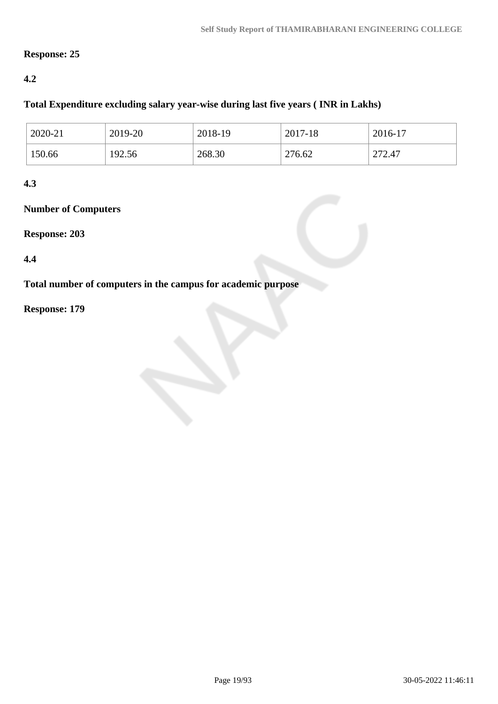# **Response: 25**

# **4.2**

# **Total Expenditure excluding salary year-wise during last five years ( INR in Lakhs)**

| 2020-21 | 2019-20 | 2018-19 | 2017-18 | 2016-17 |
|---------|---------|---------|---------|---------|
| 150.66  | 192.56  | 268.30  | 276.62  | 272.47  |

# **4.3**

# **Number of Computers**

#### **Response: 203**

### **4.4**

**Total number of computers in the campus for academic purpose**

### **Response: 179**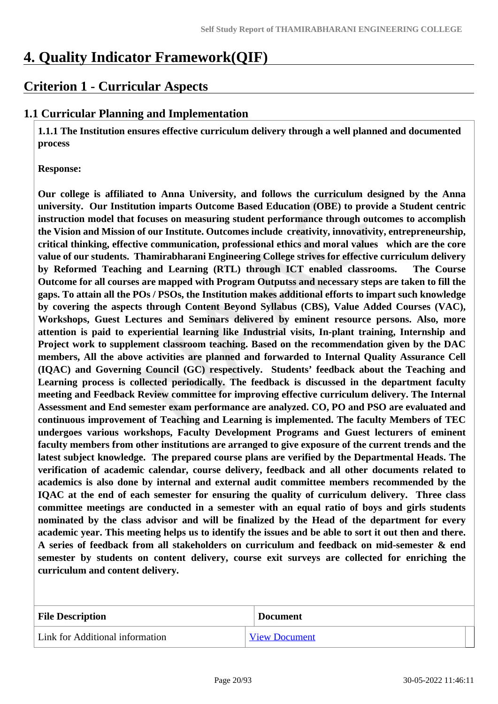# **4. Quality Indicator Framework(QIF)**

# **Criterion 1 - Curricular Aspects**

# **1.1 Curricular Planning and Implementation**

 **1.1.1 The Institution ensures effective curriculum delivery through a well planned and documented process**

#### **Response:**

**Our college is affiliated to Anna University, and follows the curriculum designed by the Anna university. Our Institution imparts Outcome Based Education (OBE) to provide a Student centric instruction model that focuses on measuring student performance through outcomes to accomplish the Vision and Mission of our Institute. Outcomes include creativity, innovativity, entrepreneurship, critical thinking, effective communication, professional ethics and moral values which are the core value of our students. Thamirabharani Engineering College strives for effective curriculum delivery by Reformed Teaching and Learning (RTL) through ICT enabled classrooms. The Course Outcome for all courses are mapped with Program Outputss and necessary steps are taken to fill the gaps. To attain all the POs / PSOs, the Institution makes additional efforts to impart such knowledge by covering the aspects through Content Beyond Syllabus (CBS), Value Added Courses (VAC), Workshops, Guest Lectures and Seminars delivered by eminent resource persons. Also, more attention is paid to experiential learning like Industrial visits, In-plant training, Internship and Project work to supplement classroom teaching. Based on the recommendation given by the DAC members, All the above activities are planned and forwarded to Internal Quality Assurance Cell (IQAC) and Governing Council (GC) respectively. Students' feedback about the Teaching and Learning process is collected periodically. The feedback is discussed in the department faculty meeting and Feedback Review committee for improving effective curriculum delivery. The Internal Assessment and End semester exam performance are analyzed. CO, PO and PSO are evaluated and continuous improvement of Teaching and Learning is implemented. The faculty Members of TEC undergoes various workshops, Faculty Development Programs and Guest lecturers of eminent faculty members from other institutions are arranged to give exposure of the current trends and the latest subject knowledge. The prepared course plans are verified by the Departmental Heads. The verification of academic calendar, course delivery, feedback and all other documents related to academics is also done by internal and external audit committee members recommended by the IQAC at the end of each semester for ensuring the quality of curriculum delivery. Three class committee meetings are conducted in a semester with an equal ratio of boys and girls students nominated by the class advisor and will be finalized by the Head of the department for every academic year. This meeting helps us to identify the issues and be able to sort it out then and there. A series of feedback from all stakeholders on curriculum and feedback on mid-semester & end semester by students on content delivery, course exit surveys are collected for enriching the curriculum and content delivery.**

| <b>File Description</b>         | <b>Document</b>      |
|---------------------------------|----------------------|
| Link for Additional information | <b>View Document</b> |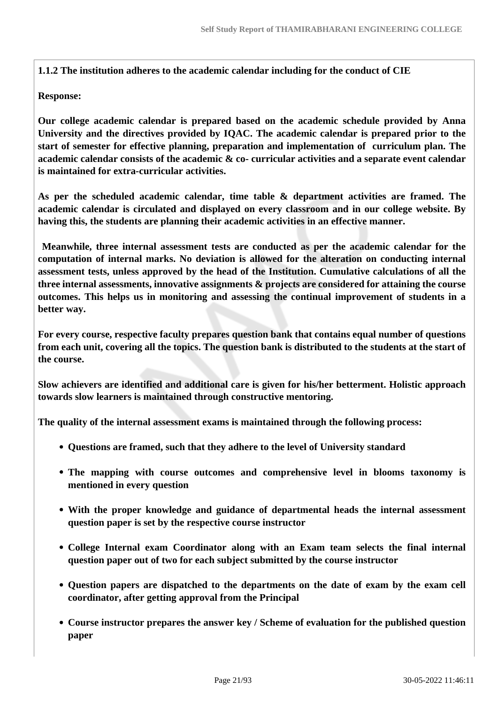**1.1.2 The institution adheres to the academic calendar including for the conduct of CIE**

#### **Response:**

**Our college academic calendar is prepared based on the academic schedule provided by Anna University and the directives provided by IQAC. The academic calendar is prepared prior to the start of semester for effective planning, preparation and implementation of curriculum plan. The academic calendar consists of the academic & co- curricular activities and a separate event calendar is maintained for extra-curricular activities.** 

**As per the scheduled academic calendar, time table & department activities are framed. The academic calendar is circulated and displayed on every classroom and in our college website. By having this, the students are planning their academic activities in an effective manner.**

 **Meanwhile, three internal assessment tests are conducted as per the academic calendar for the computation of internal marks. No deviation is allowed for the alteration on conducting internal assessment tests, unless approved by the head of the Institution. Cumulative calculations of all the three internal assessments, innovative assignments & projects are considered for attaining the course outcomes. This helps us in monitoring and assessing the continual improvement of students in a better way.**

**For every course, respective faculty prepares question bank that contains equal number of questions from each unit, covering all the topics. The question bank is distributed to the students at the start of the course.**

**Slow achievers are identified and additional care is given for his/her betterment. Holistic approach towards slow learners is maintained through constructive mentoring.**

**The quality of the internal assessment exams is maintained through the following process:**

- **Questions are framed, such that they adhere to the level of University standard**
- **The mapping with course outcomes and comprehensive level in blooms taxonomy is mentioned in every question**
- **With the proper knowledge and guidance of departmental heads the internal assessment question paper is set by the respective course instructor**
- **College Internal exam Coordinator along with an Exam team selects the final internal question paper out of two for each subject submitted by the course instructor**
- **Question papers are dispatched to the departments on the date of exam by the exam cell coordinator, after getting approval from the Principal**
- **Course instructor prepares the answer key / Scheme of evaluation for the published question paper**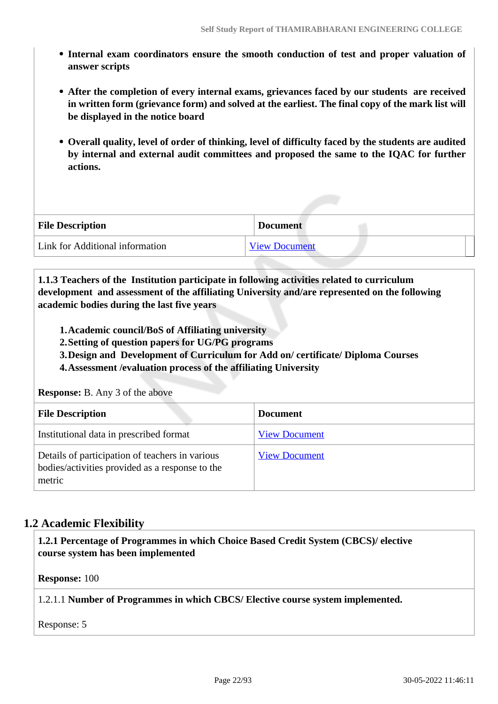- **Internal exam coordinators ensure the smooth conduction of test and proper valuation of answer scripts**
- **After the completion of every internal exams, grievances faced by our students are received in written form (grievance form) and solved at the earliest. The final copy of the mark list will be displayed in the notice board**
- **Overall quality, level of order of thinking, level of difficulty faced by the students are audited by internal and external audit committees and proposed the same to the IQAC for further actions.**

| <b>File Description</b>         | <b>Document</b>      |
|---------------------------------|----------------------|
| Link for Additional information | <b>View Document</b> |

 **1.1.3 Teachers of the Institution participate in following activities related to curriculum development and assessment of the affiliating University and/are represented on the following academic bodies during the last five years** 

- **1.Academic council/BoS of Affiliating university**
- **2.Setting of question papers for UG/PG programs**
- **3.Design and Development of Curriculum for Add on/ certificate/ Diploma Courses**
- **4.Assessment /evaluation process of the affiliating University**

**Response:** B. Any 3 of the above

| <b>File Description</b>                                                                                      | <b>Document</b>      |
|--------------------------------------------------------------------------------------------------------------|----------------------|
| Institutional data in prescribed format                                                                      | <b>View Document</b> |
| Details of participation of teachers in various<br>bodies/activities provided as a response to the<br>metric | <b>View Document</b> |

# **1.2 Academic Flexibility**

 **1.2.1 Percentage of Programmes in which Choice Based Credit System (CBCS)/ elective course system has been implemented** 

**Response:** 100

1.2.1.1 **Number of Programmes in which CBCS/ Elective course system implemented.**

Response: 5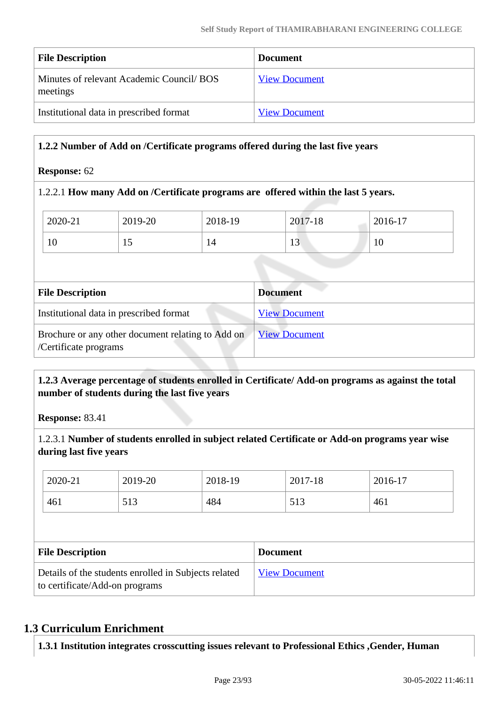| <b>File Description</b>                              | <b>Document</b>      |
|------------------------------------------------------|----------------------|
| Minutes of relevant Academic Council/BOS<br>meetings | <b>View Document</b> |
| Institutional data in prescribed format              | <b>View Document</b> |

### **1.2.2 Number of Add on /Certificate programs offered during the last five years**

#### **Response:** 62

#### 1.2.2.1 **How many Add on /Certificate programs are offered within the last 5 years.**

| <b>File Description</b> |         |         | <b>Document</b> |         |  |
|-------------------------|---------|---------|-----------------|---------|--|
|                         |         |         |                 |         |  |
| 10                      | 15      | 14      | 13              | 10      |  |
| 2020-21                 | 2019-20 | 2018-19 | 2017-18         | 2016-17 |  |

| The Description                                                            | Document             |
|----------------------------------------------------------------------------|----------------------|
| Institutional data in prescribed format                                    | <b>View Document</b> |
| Brochure or any other document relating to Add on<br>/Certificate programs | <u>View Document</u> |

# **1.2.3 Average percentage of students enrolled in Certificate/ Add-on programs as against the total number of students during the last five years**

**Response:** 83.41

1.2.3.1 **Number of students enrolled in subject related Certificate or Add-on programs year wise during last five years**

| 2020-21                 | 2019-20 | 2018-19 |                 | 2017-18 | 2016-17 |  |
|-------------------------|---------|---------|-----------------|---------|---------|--|
| 461                     | 513     | 484     |                 | 513     | 461     |  |
|                         |         |         |                 |         |         |  |
|                         |         |         |                 |         |         |  |
| <b>File Description</b> |         |         | <b>Document</b> |         |         |  |

# **1.3 Curriculum Enrichment**

**1.3.1 Institution integrates crosscutting issues relevant to Professional Ethics ,Gender, Human**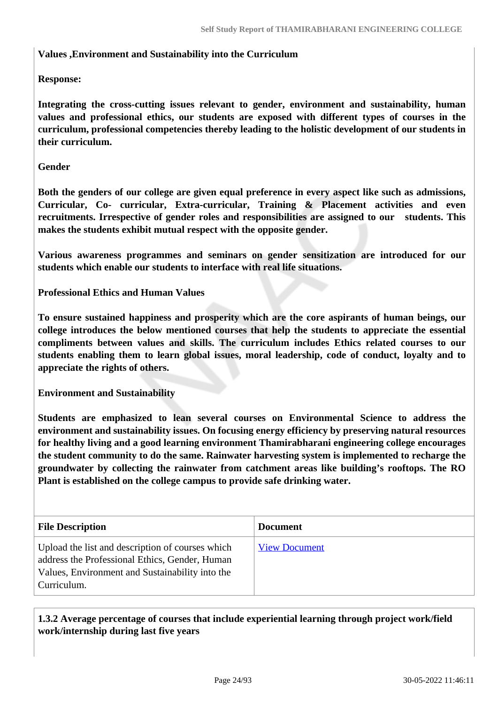#### **Values ,Environment and Sustainability into the Curriculum**

### **Response:**

**Integrating the cross-cutting issues relevant to gender, environment and sustainability, human values and professional ethics, our students are exposed with different types of courses in the curriculum, professional competencies thereby leading to the holistic development of our students in their curriculum.**

#### **Gender**

**Both the genders of our college are given equal preference in every aspect like such as admissions, Curricular, Co- curricular, Extra-curricular, Training & Placement activities and even recruitments. Irrespective of gender roles and responsibilities are assigned to our students. This makes the students exhibit mutual respect with the opposite gender.**

**Various awareness programmes and seminars on gender sensitization are introduced for our students which enable our students to interface with real life situations.**

**Professional Ethics and Human Values**

**To ensure sustained happiness and prosperity which are the core aspirants of human beings, our college introduces the below mentioned courses that help the students to appreciate the essential compliments between values and skills. The curriculum includes Ethics related courses to our students enabling them to learn global issues, moral leadership, code of conduct, loyalty and to appreciate the rights of others.**

**Environment and Sustainability**

**Students are emphasized to lean several courses on Environmental Science to address the environment and sustainability issues. On focusing energy efficiency by preserving natural resources for healthy living and a good learning environment Thamirabharani engineering college encourages the student community to do the same. Rainwater harvesting system is implemented to recharge the groundwater by collecting the rainwater from catchment areas like building's rooftops. The RO Plant is established on the college campus to provide safe drinking water.**

| <b>File Description</b>                                                                                                                                              | <b>Document</b>      |
|----------------------------------------------------------------------------------------------------------------------------------------------------------------------|----------------------|
| Upload the list and description of courses which<br>address the Professional Ethics, Gender, Human<br>Values, Environment and Sustainability into the<br>Curriculum. | <b>View Document</b> |

 **1.3.2 Average percentage of courses that include experiential learning through project work/field work/internship during last five years**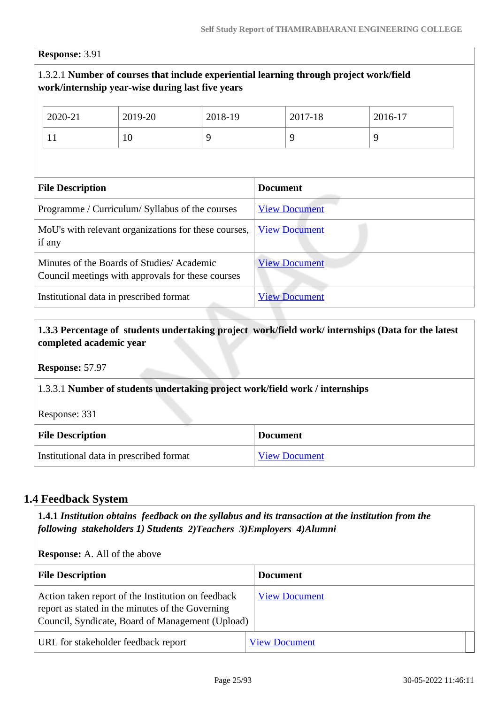#### **Response:** 3.91

### 1.3.2.1 **Number of courses that include experiential learning through project work/field work/internship year-wise during last five years**

|                                                                                                | 2020-21                                                        | 2019-20                                         | 2018-19 |                      | 2017-18              | 2016-17 |
|------------------------------------------------------------------------------------------------|----------------------------------------------------------------|-------------------------------------------------|---------|----------------------|----------------------|---------|
|                                                                                                | 11                                                             | 10                                              | 9       |                      | 9                    | 9       |
|                                                                                                |                                                                |                                                 |         |                      |                      |         |
|                                                                                                | <b>File Description</b>                                        |                                                 |         | <b>Document</b>      |                      |         |
|                                                                                                |                                                                | Programme / Curriculum/ Syllabus of the courses |         |                      | <b>View Document</b> |         |
|                                                                                                | MoU's with relevant organizations for these courses,<br>if any |                                                 |         |                      | <b>View Document</b> |         |
| Minutes of the Boards of Studies/Academic<br>Council meetings with approvals for these courses |                                                                |                                                 |         | <b>View Document</b> |                      |         |
| Institutional data in prescribed format                                                        |                                                                |                                                 |         | <b>View Document</b> |                      |         |

### **1.3.3 Percentage of students undertaking project work/field work/ internships (Data for the latest completed academic year**

**Response:** 57.97

#### 1.3.3.1 **Number of students undertaking project work/field work / internships**

Response: 331

| <b>File Description</b>                 | <b>Document</b>      |
|-----------------------------------------|----------------------|
| Institutional data in prescribed format | <b>View Document</b> |

# **1.4 Feedback System**

 **1.4.1** *Institution obtains feedback on the syllabus and its transaction at the institution from the following stakeholders 1) Students 2)Teachers 3)Employers 4)Alumni* 

| <b>Response:</b> A. All of the above                                                                                                                       |                      |  |
|------------------------------------------------------------------------------------------------------------------------------------------------------------|----------------------|--|
| <b>File Description</b>                                                                                                                                    | <b>Document</b>      |  |
| Action taken report of the Institution on feedback<br>report as stated in the minutes of the Governing<br>Council, Syndicate, Board of Management (Upload) | <b>View Document</b> |  |
| URL for stakeholder feedback report                                                                                                                        | <b>View Document</b> |  |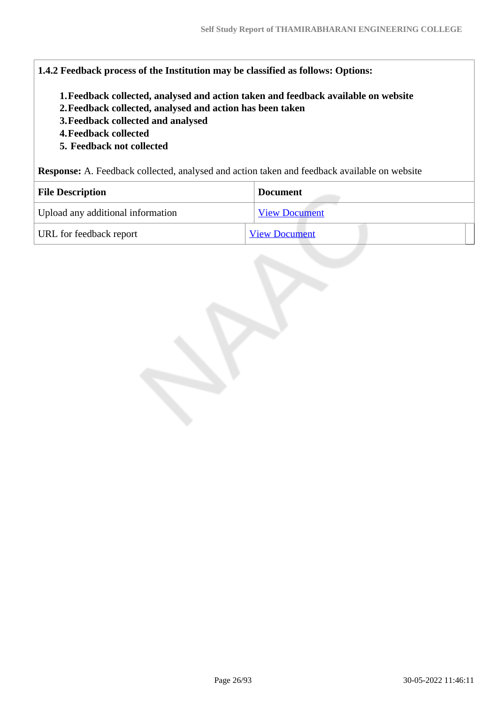#### **1.4.2 Feedback process of the Institution may be classified as follows: Options:**

- **1.Feedback collected, analysed and action taken and feedback available on website**
- **2.Feedback collected, analysed and action has been taken**
- **3.Feedback collected and analysed**
- **4.Feedback collected**
- **5. Feedback not collected**

**Response:** A. Feedback collected, analysed and action taken and feedback available on website

| <b>File Description</b>           | <b>Document</b>      |
|-----------------------------------|----------------------|
| Upload any additional information | <b>View Document</b> |
| URL for feedback report           | <b>View Document</b> |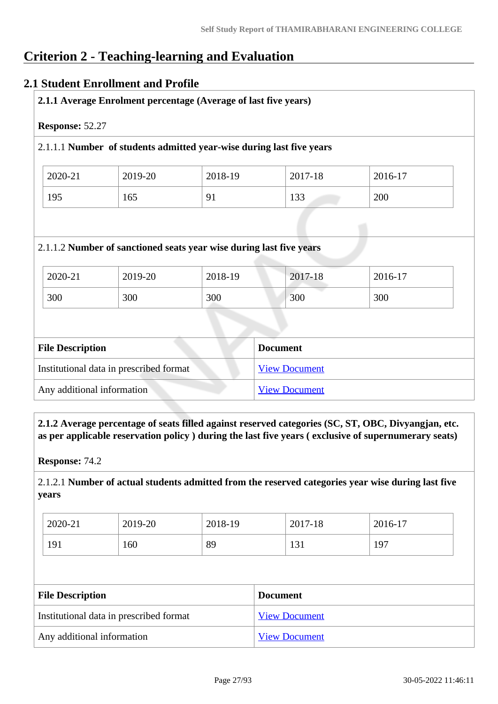# **Criterion 2 - Teaching-learning and Evaluation**

# **2.1 Student Enrollment and Profile**

|                         |                                         | 2.1.1.1 Number of students admitted year-wise during last five years |                      |         |
|-------------------------|-----------------------------------------|----------------------------------------------------------------------|----------------------|---------|
| 2020-21                 | 2019-20                                 | 2018-19                                                              | 2017-18              | 2016-17 |
| 195                     | 165                                     | 91                                                                   | 133                  | 200     |
|                         |                                         | 2.1.1.2 Number of sanctioned seats year wise during last five years  |                      |         |
|                         | 2019-20                                 | 2018-19                                                              | 2017-18              | 2016-17 |
|                         | 300                                     | 300                                                                  | 300                  | 300     |
| 2020-21<br>300          |                                         |                                                                      |                      |         |
|                         |                                         |                                                                      | <b>Document</b>      |         |
| <b>File Description</b> | Institutional data in prescribed format |                                                                      | <b>View Document</b> |         |

 **2.1.2 Average percentage of seats filled against reserved categories (SC, ST, OBC, Divyangjan, etc. as per applicable reservation policy ) during the last five years ( exclusive of supernumerary seats)**

**Response:** 74.2

2.1.2.1 **Number of actual students admitted from the reserved categories year wise during last five years**

| 2020-21 | 2019-20 | 2018-19 | 2017-18 | 2016-17 |
|---------|---------|---------|---------|---------|
| 191     | 160     | 89      | 131     | 197     |

| <b>File Description</b>                 | <b>Document</b>      |
|-----------------------------------------|----------------------|
| Institutional data in prescribed format | <b>View Document</b> |
| Any additional information              | <b>View Document</b> |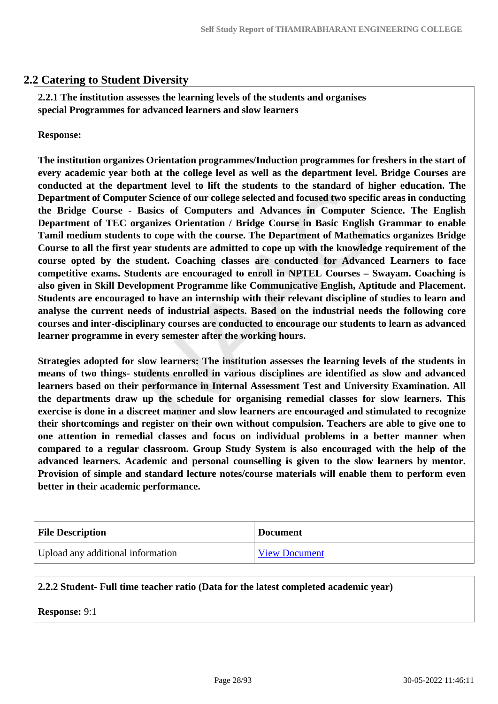# **2.2 Catering to Student Diversity**

 **2.2.1 The institution assesses the learning levels of the students and organises special Programmes for advanced learners and slow learners**

**Response:** 

**The institution organizes Orientation programmes/Induction programmes for freshers in the start of every academic year both at the college level as well as the department level. Bridge Courses are conducted at the department level to lift the students to the standard of higher education. The Department of Computer Science of our college selected and focused two specific areas in conducting the Bridge Course - Basics of Computers and Advances in Computer Science. The English Department of TEC organizes Orientation / Bridge Course in Basic English Grammar to enable Tamil medium students to cope with the course. The Department of Mathematics organizes Bridge Course to all the first year students are admitted to cope up with the knowledge requirement of the course opted by the student. Coaching classes are conducted for Advanced Learners to face competitive exams. Students are encouraged to enroll in NPTEL Courses – Swayam. Coaching is also given in Skill Development Programme like Communicative English, Aptitude and Placement. Students are encouraged to have an internship with their relevant discipline of studies to learn and analyse the current needs of industrial aspects. Based on the industrial needs the following core courses and inter-disciplinary courses are conducted to encourage our students to learn as advanced learner programme in every semester after the working hours.**

**Strategies adopted for slow learners: The institution assesses the learning levels of the students in means of two things- students enrolled in various disciplines are identified as slow and advanced learners based on their performance in Internal Assessment Test and University Examination. All the departments draw up the schedule for organising remedial classes for slow learners. This exercise is done in a discreet manner and slow learners are encouraged and stimulated to recognize their shortcomings and register on their own without compulsion. Teachers are able to give one to one attention in remedial classes and focus on individual problems in a better manner when compared to a regular classroom. Group Study System is also encouraged with the help of the advanced learners. Academic and personal counselling is given to the slow learners by mentor. Provision of simple and standard lecture notes/course materials will enable them to perform even better in their academic performance.**

| <b>File Description</b>           | <b>Document</b>      |
|-----------------------------------|----------------------|
| Upload any additional information | <b>View Document</b> |

#### **2.2.2 Student- Full time teacher ratio (Data for the latest completed academic year)**

**Response:** 9:1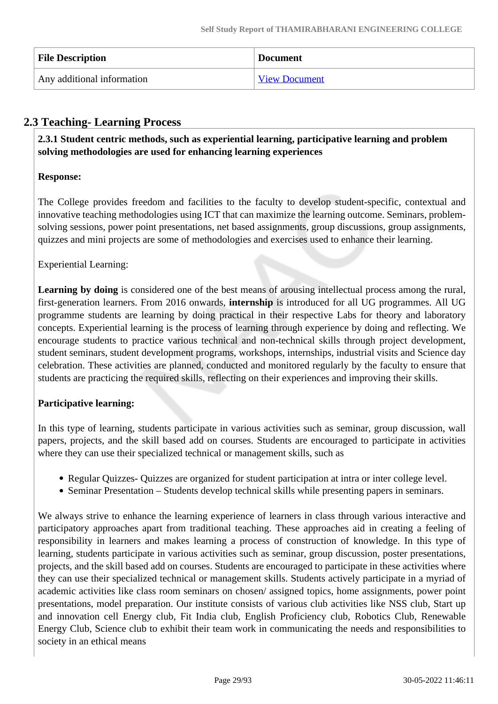| <b>File Description</b>    | <b>Document</b>      |
|----------------------------|----------------------|
| Any additional information | <b>View Document</b> |

# **2.3 Teaching- Learning Process**

 **2.3.1 Student centric methods, such as experiential learning, participative learning and problem solving methodologies are used for enhancing learning experiences**

# **Response:**

The College provides freedom and facilities to the faculty to develop student-specific, contextual and innovative teaching methodologies using ICT that can maximize the learning outcome. Seminars, problemsolving sessions, power point presentations, net based assignments, group discussions, group assignments, quizzes and mini projects are some of methodologies and exercises used to enhance their learning.

Experiential Learning:

Learning by doing is considered one of the best means of arousing intellectual process among the rural, first-generation learners. From 2016 onwards, **internship** is introduced for all UG programmes. All UG programme students are learning by doing practical in their respective Labs for theory and laboratory concepts. Experiential learning is the process of learning through experience by doing and reflecting. We encourage students to practice various technical and non-technical skills through project development, student seminars, student development programs, workshops, internships, industrial visits and Science day celebration. These activities are planned, conducted and monitored regularly by the faculty to ensure that students are practicing the required skills, reflecting on their experiences and improving their skills.

# **Participative learning:**

In this type of learning, students participate in various activities such as seminar, group discussion, wall papers, projects, and the skill based add on courses. Students are encouraged to participate in activities where they can use their specialized technical or management skills, such as

- Regular Quizzes- Quizzes are organized for student participation at intra or inter college level.
- Seminar Presentation Students develop technical skills while presenting papers in seminars.

We always strive to enhance the learning experience of learners in class through various interactive and participatory approaches apart from traditional teaching. These approaches aid in creating a feeling of responsibility in learners and makes learning a process of construction of knowledge. In this type of learning, students participate in various activities such as seminar, group discussion, poster presentations, projects, and the skill based add on courses. Students are encouraged to participate in these activities where they can use their specialized technical or management skills. Students actively participate in a myriad of academic activities like class room seminars on chosen/ assigned topics, home assignments, power point presentations, model preparation. Our institute consists of various club activities like NSS club, Start up and innovation cell Energy club, Fit India club, English Proficiency club, Robotics Club, Renewable Energy Club, Science club to exhibit their team work in communicating the needs and responsibilities to society in an ethical means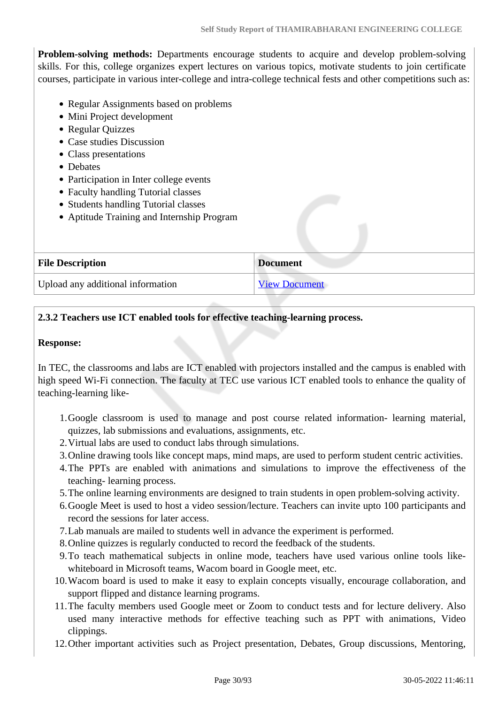**Problem-solving methods:** Departments encourage students to acquire and develop problem-solving skills. For this, college organizes expert lectures on various topics, motivate students to join certificate courses, participate in various inter-college and intra-college technical fests and other competitions such as:

- Regular Assignments based on problems
- Mini Project development
- Regular Quizzes
- Case studies Discussion
- Class presentations
- Debates
- Participation in Inter college events
- Faculty handling Tutorial classes
- Students handling Tutorial classes
- Aptitude Training and Internship Program

| <b>File Description</b>           | <b>Document</b>      |
|-----------------------------------|----------------------|
| Upload any additional information | <b>View Document</b> |

# **2.3.2 Teachers use ICT enabled tools for effective teaching-learning process.**

#### **Response:**

In TEC, the classrooms and labs are ICT enabled with projectors installed and the campus is enabled with high speed Wi-Fi connection. The faculty at TEC use various ICT enabled tools to enhance the quality of teaching-learning like-

- 1.Google classroom is used to manage and post course related information- learning material, quizzes, lab submissions and evaluations, assignments, etc.
- 2.Virtual labs are used to conduct labs through simulations.
- 3.Online drawing tools like concept maps, mind maps, are used to perform student centric activities.
- 4.The PPTs are enabled with animations and simulations to improve the effectiveness of the teaching- learning process.
- 5.The online learning environments are designed to train students in open problem-solving activity.
- 6.Google Meet is used to host a video session/lecture. Teachers can invite upto 100 participants and record the sessions for later access.
- 7.Lab manuals are mailed to students well in advance the experiment is performed.
- 8.Online quizzes is regularly conducted to record the feedback of the students.
- 9.To teach mathematical subjects in online mode, teachers have used various online tools likewhiteboard in Microsoft teams, Wacom board in Google meet, etc.
- 10.Wacom board is used to make it easy to explain concepts visually, encourage collaboration, and support flipped and distance learning programs.
- 11.The faculty members used Google meet or Zoom to conduct tests and for lecture delivery. Also used many interactive methods for effective teaching such as PPT with animations, Video clippings.
- 12.Other important activities such as Project presentation, Debates, Group discussions, Mentoring,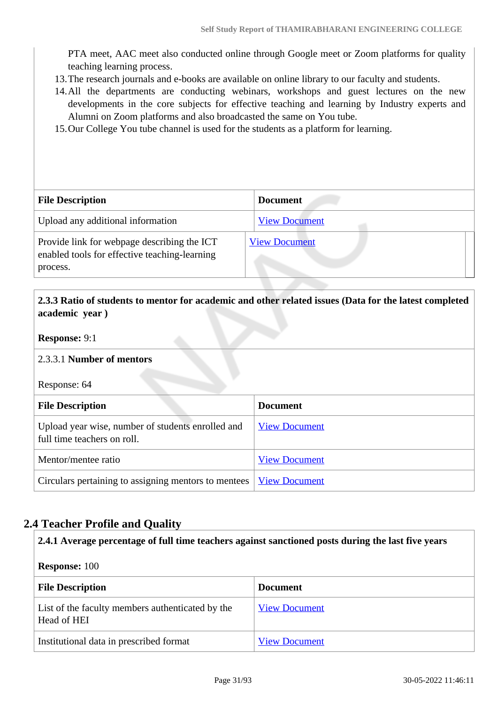PTA meet, AAC meet also conducted online through Google meet or Zoom platforms for quality teaching learning process.

- 13.The research journals and e-books are available on online library to our faculty and students.
- 14.All the departments are conducting webinars, workshops and guest lectures on the new developments in the core subjects for effective teaching and learning by Industry experts and Alumni on Zoom platforms and also broadcasted the same on You tube.
- 15.Our College You tube channel is used for the students as a platform for learning.

| <b>File Description</b>                                                                                  | <b>Document</b>      |
|----------------------------------------------------------------------------------------------------------|----------------------|
| Upload any additional information                                                                        | <b>View Document</b> |
| Provide link for webpage describing the ICT<br>enabled tools for effective teaching-learning<br>process. | <b>View Document</b> |

# **2.3.3 Ratio of students to mentor for academic and other related issues (Data for the latest completed academic year )**

### **Response:** 9:1

#### 2.3.3.1 **Number of mentors**

Response: 64

| <b>File Description</b>                                                          | <b>Document</b>      |  |
|----------------------------------------------------------------------------------|----------------------|--|
| Upload year wise, number of students enrolled and<br>full time teachers on roll. | <b>View Document</b> |  |
| Mentor/mentee ratio                                                              | <b>View Document</b> |  |
| Circulars pertaining to assigning mentors to mentees                             | <b>View Document</b> |  |

# **2.4 Teacher Profile and Quality**

| 2.4.1 Average percentage of full time teachers against sanctioned posts during the last five years |                      |  |  |
|----------------------------------------------------------------------------------------------------|----------------------|--|--|
| <b>Response:</b> 100                                                                               |                      |  |  |
| <b>File Description</b><br><b>Document</b>                                                         |                      |  |  |
| List of the faculty members authenticated by the<br>Head of HEI                                    | <b>View Document</b> |  |  |
| Institutional data in prescribed format                                                            | <b>View Document</b> |  |  |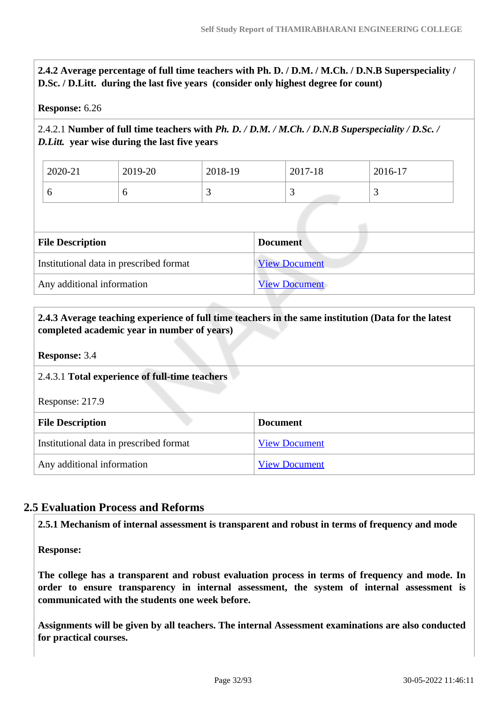**2.4.2 Average percentage of full time teachers with Ph. D. / D.M. / M.Ch. / D.N.B Superspeciality / D.Sc. / D.Litt. during the last five years (consider only highest degree for count)**

#### **Response:** 6.26

# 2.4.2.1 **Number of full time teachers with** *Ph. D. / D.M. / M.Ch. / D.N.B Superspeciality / D.Sc. / D.Litt.* **year wise during the last five years**

| 2020-21 | 2019-20 | 2018-19 | 2017<br>1 Q<br>$\angle U'$<br>$1 - 10$ | $2016-17$ |
|---------|---------|---------|----------------------------------------|-----------|
| ິ       |         |         | <u>ب</u>                               | ້         |

| <b>File Description</b>                 | <b>Document</b>      |
|-----------------------------------------|----------------------|
| Institutional data in prescribed format | <b>View Document</b> |
| Any additional information              | <b>View Document</b> |

### **2.4.3 Average teaching experience of full time teachers in the same institution (Data for the latest completed academic year in number of years)**

#### **Response:** 3.4

#### 2.4.3.1 **Total experience of full-time teachers**

Response: 217.9

| <b>File Description</b>                 | <b>Document</b>      |
|-----------------------------------------|----------------------|
| Institutional data in prescribed format | <b>View Document</b> |
| Any additional information              | <b>View Document</b> |

# **2.5 Evaluation Process and Reforms**

**2.5.1 Mechanism of internal assessment is transparent and robust in terms of frequency and mode**

**Response:** 

**The college has a transparent and robust evaluation process in terms of frequency and mode. In order to ensure transparency in internal assessment, the system of internal assessment is communicated with the students one week before.**

**Assignments will be given by all teachers. The internal Assessment examinations are also conducted for practical courses.**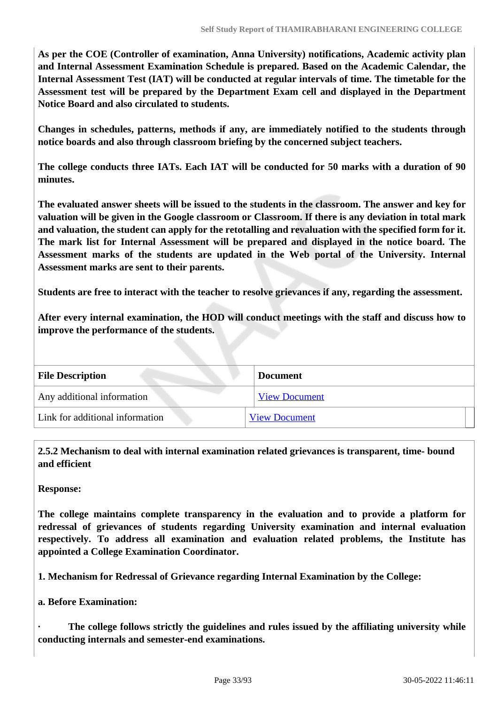**As per the COE (Controller of examination, Anna University) notifications, Academic activity plan and Internal Assessment Examination Schedule is prepared. Based on the Academic Calendar, the Internal Assessment Test (IAT) will be conducted at regular intervals of time. The timetable for the Assessment test will be prepared by the Department Exam cell and displayed in the Department Notice Board and also circulated to students.**

**Changes in schedules, patterns, methods if any, are immediately notified to the students through notice boards and also through classroom briefing by the concerned subject teachers.**

**The college conducts three IATs. Each IAT will be conducted for 50 marks with a duration of 90 minutes.**

**The evaluated answer sheets will be issued to the students in the classroom. The answer and key for valuation will be given in the Google classroom or Classroom. If there is any deviation in total mark and valuation, the student can apply for the retotalling and revaluation with the specified form for it. The mark list for Internal Assessment will be prepared and displayed in the notice board. The Assessment marks of the students are updated in the Web portal of the University. Internal Assessment marks are sent to their parents.**

**Students are free to interact with the teacher to resolve grievances if any, regarding the assessment.**

**After every internal examination, the HOD will conduct meetings with the staff and discuss how to improve the performance of the students.**

| <b>File Description</b>         | <b>Document</b>      |
|---------------------------------|----------------------|
| Any additional information      | <b>View Document</b> |
| Link for additional information | <b>View Document</b> |

 **2.5.2 Mechanism to deal with internal examination related grievances is transparent, time- bound and efficient** 

**Response:** 

**The college maintains complete transparency in the evaluation and to provide a platform for redressal of grievances of students regarding University examination and internal evaluation respectively. To address all examination and evaluation related problems, the Institute has appointed a College Examination Coordinator.**

**1. Mechanism for Redressal of Grievance regarding Internal Examination by the College:**

**a. Before Examination:**

**· The college follows strictly the guidelines and rules issued by the affiliating university while conducting internals and semester-end examinations.**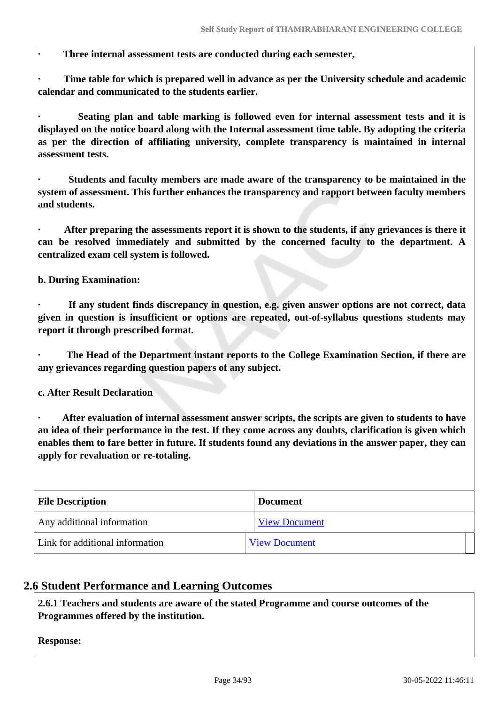**· Three internal assessment tests are conducted during each semester,**

**· Time table for which is prepared well in advance as per the University schedule and academic calendar and communicated to the students earlier.**

**· Seating plan and table marking is followed even for internal assessment tests and it is displayed on the notice board along with the Internal assessment time table. By adopting the criteria as per the direction of affiliating university, complete transparency is maintained in internal assessment tests.**

**· Students and faculty members are made aware of the transparency to be maintained in the system of assessment. This further enhances the transparency and rapport between faculty members and students.**

**· After preparing the assessments report it is shown to the students, if any grievances is there it can be resolved immediately and submitted by the concerned faculty to the department. A centralized exam cell system is followed.**

**b. During Examination:**

**· If any student finds discrepancy in question, e.g. given answer options are not correct, data given in question is insufficient or options are repeated, out-of-syllabus questions students may report it through prescribed format.**

**· The Head of the Department instant reports to the College Examination Section, if there are any grievances regarding question papers of any subject.**

**c. After Result Declaration**

**· After evaluation of internal assessment answer scripts, the scripts are given to students to have an idea of their performance in the test. If they come across any doubts, clarification is given which enables them to fare better in future. If students found any deviations in the answer paper, they can apply for revaluation or re-totaling.**

| <b>File Description</b>         | <b>Document</b>      |
|---------------------------------|----------------------|
| Any additional information      | <b>View Document</b> |
| Link for additional information | <b>View Document</b> |

# **2.6 Student Performance and Learning Outcomes**

 **2.6.1 Teachers and students are aware of the stated Programme and course outcomes of the Programmes offered by the institution.**

**Response:**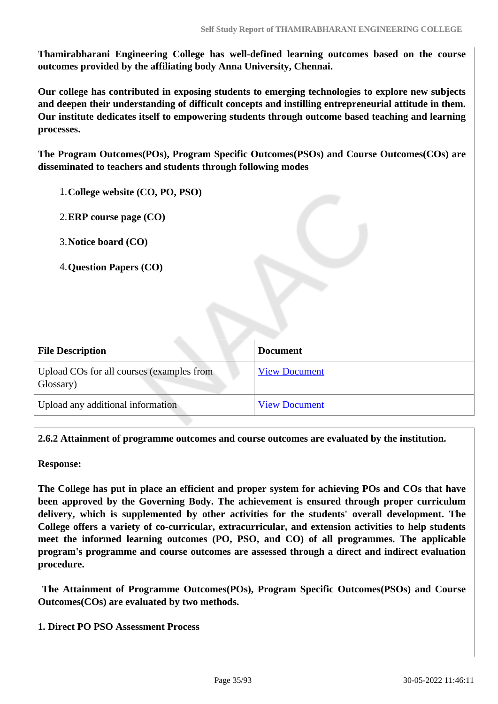**Thamirabharani Engineering College has well-defined learning outcomes based on the course outcomes provided by the affiliating body Anna University, Chennai.** 

**Our college has contributed in exposing students to emerging technologies to explore new subjects and deepen their understanding of difficult concepts and instilling entrepreneurial attitude in them. Our institute dedicates itself to empowering students through outcome based teaching and learning processes.** 

**The Program Outcomes(POs), Program Specific Outcomes(PSOs) and Course Outcomes(COs) are disseminated to teachers and students through following modes** 

1.**College website (CO, PO, PSO)**

2.**ERP course page (CO)**

3.**Notice board (CO)**

4.**Question Papers (CO)**

| <b>File Description</b>                                | <b>Document</b>      |  |
|--------------------------------------------------------|----------------------|--|
| Upload COs for all courses (examples from<br>Glossary) | <b>View Document</b> |  |
| Upload any additional information                      | <b>View Document</b> |  |

**2.6.2 Attainment of programme outcomes and course outcomes are evaluated by the institution.**

**Response:** 

**The College has put in place an efficient and proper system for achieving POs and COs that have been approved by the Governing Body. The achievement is ensured through proper curriculum delivery, which is supplemented by other activities for the students' overall development. The College offers a variety of co-curricular, extracurricular, and extension activities to help students meet the informed learning outcomes (PO, PSO, and CO) of all programmes. The applicable program's programme and course outcomes are assessed through a direct and indirect evaluation procedure.**

 **The Attainment of Programme Outcomes(POs), Program Specific Outcomes(PSOs) and Course Outcomes(COs) are evaluated by two methods.** 

**1. Direct PO PSO Assessment Process**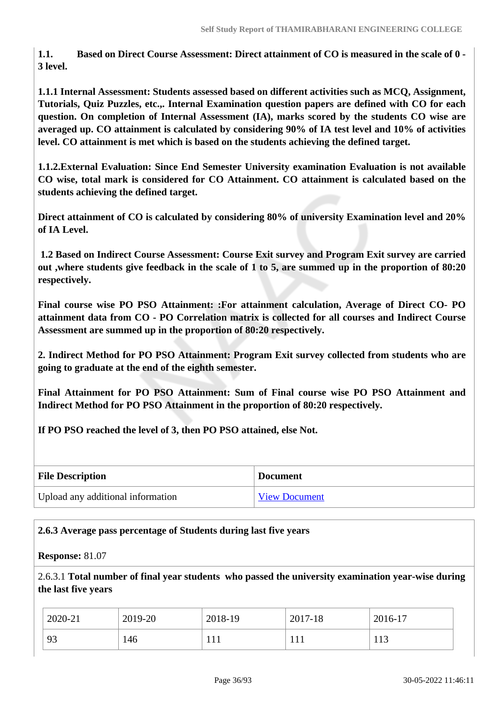**1.1. Based on Direct Course Assessment: Direct attainment of CO is measured in the scale of 0 - 3 level.** 

**1.1.1 Internal Assessment: Students assessed based on different activities such as MCQ, Assignment, Tutorials, Quiz Puzzles, etc.,. Internal Examination question papers are defined with CO for each question. On completion of Internal Assessment (IA), marks scored by the students CO wise are averaged up. CO attainment is calculated by considering 90% of IA test level and 10% of activities level. CO attainment is met which is based on the students achieving the defined target.**

**1.1.2.External Evaluation: Since End Semester University examination Evaluation is not available CO wise, total mark is considered for CO Attainment. CO attainment is calculated based on the students achieving the defined target.**

**Direct attainment of CO is calculated by considering 80% of university Examination level and 20% of IA Level.**

 **1.2 Based on Indirect Course Assessment: Course Exit survey and Program Exit survey are carried out ,where students give feedback in the scale of 1 to 5, are summed up in the proportion of 80:20 respectively.**

**Final course wise PO PSO Attainment: :For attainment calculation, Average of Direct CO- PO attainment data from CO - PO Correlation matrix is collected for all courses and Indirect Course Assessment are summed up in the proportion of 80:20 respectively.** 

**2. Indirect Method for PO PSO Attainment: Program Exit survey collected from students who are going to graduate at the end of the eighth semester.**

**Final Attainment for PO PSO Attainment: Sum of Final course wise PO PSO Attainment and Indirect Method for PO PSO Attainment in the proportion of 80:20 respectively.** 

**If PO PSO reached the level of 3, then PO PSO attained, else Not.**

| <b>File Description</b>           | <b>Document</b>      |
|-----------------------------------|----------------------|
| Upload any additional information | <b>View Document</b> |

# **2.6.3 Average pass percentage of Students during last five years**

**Response:** 81.07

2.6.3.1 **Total number of final year students who passed the university examination year-wise during the last five years**

| 2020-21 | 2019-20 | 2018-19 | 2017-18 | 2016-17    |
|---------|---------|---------|---------|------------|
| 93      | 146     |         | 1 T T   | 110<br>11J |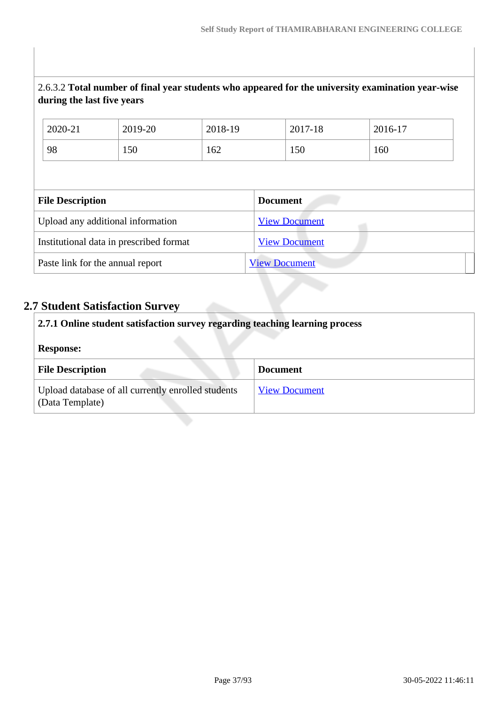# 2.6.3.2 **Total number of final year students who appeared for the university examination year-wise during the last five years**

| 2020-21                 |  | 2019-20                                 | 2018-19 |                 | 2017-18              | 2016-17 |  |
|-------------------------|--|-----------------------------------------|---------|-----------------|----------------------|---------|--|
| 98                      |  | 150                                     | 162     |                 | 150                  | 160     |  |
|                         |  |                                         |         |                 |                      |         |  |
| <b>File Description</b> |  |                                         |         | <b>Document</b> |                      |         |  |
|                         |  |                                         |         |                 |                      |         |  |
|                         |  | Upload any additional information       |         |                 | <b>View Document</b> |         |  |
|                         |  | Institutional data in prescribed format |         |                 | <b>View Document</b> |         |  |

# **2.7 Student Satisfaction Survey**

| 2.7.1 Online student satisfaction survey regarding teaching learning process<br><b>Response:</b> |                      |  |  |  |
|--------------------------------------------------------------------------------------------------|----------------------|--|--|--|
| <b>File Description</b>                                                                          | <b>Document</b>      |  |  |  |
| Upload database of all currently enrolled students<br>(Data Template)                            | <b>View Document</b> |  |  |  |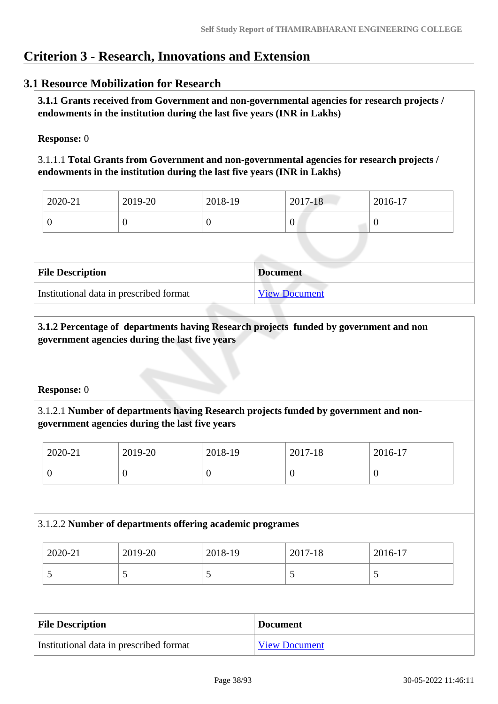# **Criterion 3 - Research, Innovations and Extension**

# **3.1 Resource Mobilization for Research**

 **3.1.1 Grants received from Government and non-governmental agencies for research projects / endowments in the institution during the last five years (INR in Lakhs)** 

#### **Response:** 0

3.1.1.1 **Total Grants from Government and non-governmental agencies for research projects / endowments in the institution during the last five years (INR in Lakhs)**

| $2020 - 21$ | $12019 - 20$ | 2018-19 | 2017-18 | $\frac{1}{2016}$ -17 |
|-------------|--------------|---------|---------|----------------------|
|             | ν            |         | 0       |                      |

| <b>File Description</b>                 | <b>Document</b>      |
|-----------------------------------------|----------------------|
| Institutional data in prescribed format | <b>View Document</b> |

## **3.1.2 Percentage of departments having Research projects funded by government and non government agencies during the last five years**

#### **Response:** 0

## 3.1.2.1 **Number of departments having Research projects funded by government and nongovernment agencies during the last five years**

| 2020-21 | 2019-20 | 2018-19 | 2017-18 | $2016-17$ |
|---------|---------|---------|---------|-----------|
|         | ◡       | ິ       |         | ν         |

#### 3.1.2.2 **Number of departments offering academic programes**

| 2020-21 | 2019-20 | 2018-19 | 2017-18                  | 2016-17                  |
|---------|---------|---------|--------------------------|--------------------------|
| ັ       |         | ັ       | $\overline{\phantom{0}}$ | $\overline{\phantom{0}}$ |

| <b>File Description</b>                 | <b>Document</b>      |
|-----------------------------------------|----------------------|
| Institutional data in prescribed format | <b>View Document</b> |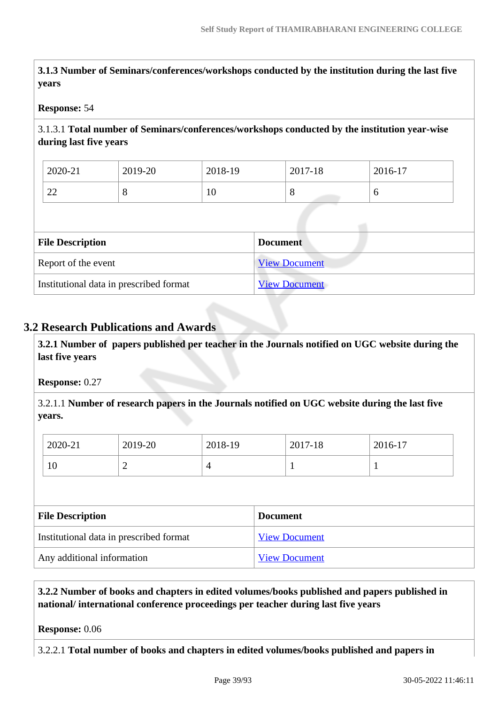**3.1.3 Number of Seminars/conferences/workshops conducted by the institution during the last five years**

### **Response:** 54

### 3.1.3.1 **Total number of Seminars/conferences/workshops conducted by the institution year-wise during last five years**

| 2020-21  | 2019-20 | 2018-19 | 2017-18 | 2016-17 |
|----------|---------|---------|---------|---------|
| ററ<br>∠∠ |         | ΙV      | ີ       | υ       |

| <b>File Description</b>                 | <b>Document</b>      |
|-----------------------------------------|----------------------|
| Report of the event                     | <b>View Document</b> |
| Institutional data in prescribed format | <b>View Document</b> |

# **3.2 Research Publications and Awards**

 **3.2.1 Number of papers published per teacher in the Journals notified on UGC website during the last five years** 

#### **Response:** 0.27

3.2.1.1 **Number of research papers in the Journals notified on UGC website during the last five years.**

| 2020-21 | 2019-20 | 2018-19 | 2017-18 | 2016-17                  |
|---------|---------|---------|---------|--------------------------|
| 10      | -       |         |         | $\overline{\phantom{a}}$ |

| <b>File Description</b>                 | <b>Document</b>      |  |  |
|-----------------------------------------|----------------------|--|--|
| Institutional data in prescribed format | <b>View Document</b> |  |  |
| Any additional information              | <b>View Document</b> |  |  |

 **3.2.2 Number of books and chapters in edited volumes/books published and papers published in national/ international conference proceedings per teacher during last five years**

**Response:** 0.06

3.2.2.1 **Total number of books and chapters in edited volumes/books published and papers in**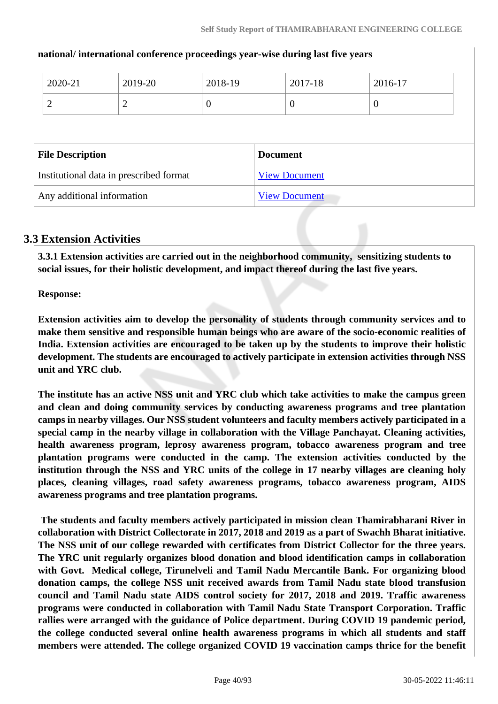|                         | 2020-21                                 | 2019-20        | 2018-19         |  | 2017-18              | 2016-17  |  |  |
|-------------------------|-----------------------------------------|----------------|-----------------|--|----------------------|----------|--|--|
|                         | $\overline{2}$                          | $\overline{2}$ | $\overline{0}$  |  | $\overline{0}$       | $\theta$ |  |  |
|                         |                                         |                |                 |  |                      |          |  |  |
| <b>File Description</b> |                                         |                | <b>Document</b> |  |                      |          |  |  |
|                         |                                         |                |                 |  |                      |          |  |  |
|                         | Institutional data in prescribed format |                |                 |  | <b>View Document</b> |          |  |  |

#### **national/ international conference proceedings year-wise during last five years**

# **3.3 Extension Activities**

 **3.3.1 Extension activities are carried out in the neighborhood community, sensitizing students to social issues, for their holistic development, and impact thereof during the last five years.**

**Response:** 

**Extension activities aim to develop the personality of students through community services and to make them sensitive and responsible human beings who are aware of the socio-economic realities of India. Extension activities are encouraged to be taken up by the students to improve their holistic development. The students are encouraged to actively participate in extension activities through NSS unit and YRC club.** 

**The institute has an active NSS unit and YRC club which take activities to make the campus green and clean and doing community services by conducting awareness programs and tree plantation camps in nearby villages. Our NSS student volunteers and faculty members actively participated in a special camp in the nearby village in collaboration with the Village Panchayat. Cleaning activities, health awareness program, leprosy awareness program, tobacco awareness program and tree plantation programs were conducted in the camp. The extension activities conducted by the institution through the NSS and YRC units of the college in 17 nearby villages are cleaning holy places, cleaning villages, road safety awareness programs, tobacco awareness program, AIDS awareness programs and tree plantation programs.**

 **The students and faculty members actively participated in mission clean Thamirabharani River in collaboration with District Collectorate in 2017, 2018 and 2019 as a part of Swachh Bharat initiative. The NSS unit of our college rewarded with certificates from District Collector for the three years. The YRC unit regularly organizes blood donation and blood identification camps in collaboration with Govt. Medical college, Tirunelveli and Tamil Nadu Mercantile Bank. For organizing blood donation camps, the college NSS unit received awards from Tamil Nadu state blood transfusion council and Tamil Nadu state AIDS control society for 2017, 2018 and 2019. Traffic awareness programs were conducted in collaboration with Tamil Nadu State Transport Corporation. Traffic rallies were arranged with the guidance of Police department. During COVID 19 pandemic period, the college conducted several online health awareness programs in which all students and staff members were attended. The college organized COVID 19 vaccination camps thrice for the benefit**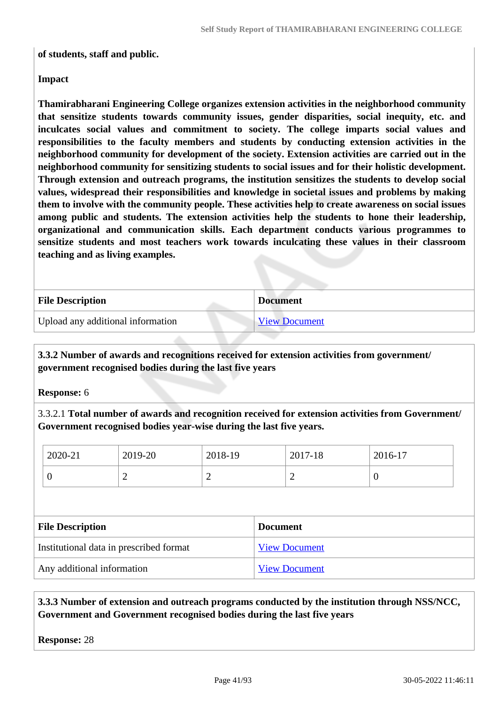#### **of students, staff and public.**

### **Impact**

**Thamirabharani Engineering College organizes extension activities in the neighborhood community that sensitize students towards community issues, gender disparities, social inequity, etc. and inculcates social values and commitment to society. The college imparts social values and responsibilities to the faculty members and students by conducting extension activities in the neighborhood community for development of the society. Extension activities are carried out in the neighborhood community for sensitizing students to social issues and for their holistic development. Through extension and outreach programs, the institution sensitizes the students to develop social values, widespread their responsibilities and knowledge in societal issues and problems by making them to involve with the community people. These activities help to create awareness on social issues among public and students. The extension activities help the students to hone their leadership, organizational and communication skills. Each department conducts various programmes to sensitize students and most teachers work towards inculcating these values in their classroom teaching and as living examples.**

| <b>File Description</b>           | <b>Document</b>      |
|-----------------------------------|----------------------|
| Upload any additional information | <b>View Document</b> |

 **3.3.2 Number of awards and recognitions received for extension activities from government/ government recognised bodies during the last five years**

**Response:** 6

3.3.2.1 **Total number of awards and recognition received for extension activities from Government/ Government recognised bodies year-wise during the last five years.**

| 2020-21                                    | 2019-20        | 2018-19        | 2017-18              | 2016-17          |  |
|--------------------------------------------|----------------|----------------|----------------------|------------------|--|
| $\boldsymbol{0}$                           | $\overline{2}$ | $\overline{2}$ | 2                    | $\boldsymbol{0}$ |  |
|                                            |                |                |                      |                  |  |
| <b>File Description</b><br><b>Document</b> |                |                |                      |                  |  |
| Institutional data in prescribed format    |                |                | <b>View Document</b> |                  |  |
| Any additional information                 |                |                | <b>View Document</b> |                  |  |

 **3.3.3 Number of extension and outreach programs conducted by the institution through NSS/NCC, Government and Government recognised bodies during the last five years**

**Response:** 28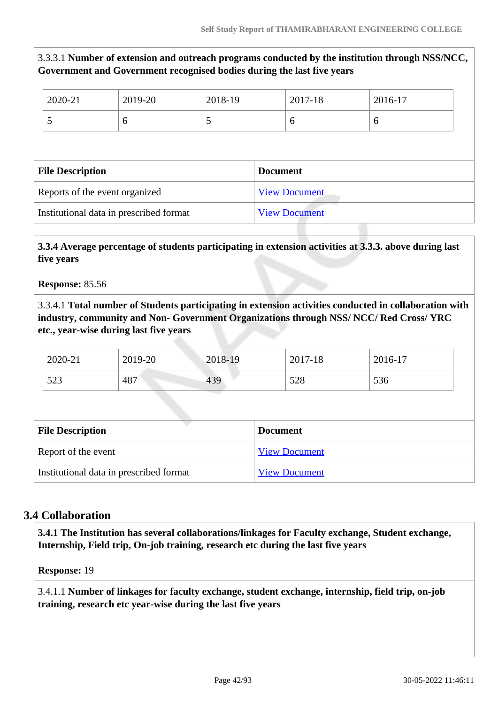3.3.3.1 **Number of extension and outreach programs conducted by the institution through NSS/NCC, Government and Government recognised bodies during the last five years**

| 2020-21                 | 2019-20                        | 2018-19 | 2017-18              | 2016-17 |
|-------------------------|--------------------------------|---------|----------------------|---------|
| 5                       | 6                              | 5       | 6                    | 6       |
|                         |                                |         |                      |         |
|                         |                                |         |                      |         |
| <b>File Description</b> |                                |         | <b>Document</b>      |         |
|                         | Reports of the event organized |         | <b>View Document</b> |         |

### **3.3.4 Average percentage of students participating in extension activities at 3.3.3. above during last five years**

#### **Response:** 85.56

3.3.4.1 **Total number of Students participating in extension activities conducted in collaboration with industry, community and Non- Government Organizations through NSS/ NCC/ Red Cross/ YRC etc., year-wise during last five years**

| 2020-21 | 2019-20 | 2018-19 | 2017-18 | 2016-17 |
|---------|---------|---------|---------|---------|
| 523     | 487     | 439     | 528     | 536     |

| <b>File Description</b>                 | <b>Document</b>      |
|-----------------------------------------|----------------------|
| Report of the event                     | <b>View Document</b> |
| Institutional data in prescribed format | <b>View Document</b> |

## **3.4 Collaboration**

 **3.4.1 The Institution has several collaborations/linkages for Faculty exchange, Student exchange, Internship, Field trip, On-job training, research etc during the last five years** 

#### **Response:** 19

3.4.1.1 **Number of linkages for faculty exchange, student exchange, internship, field trip, on-job training, research etc year-wise during the last five years**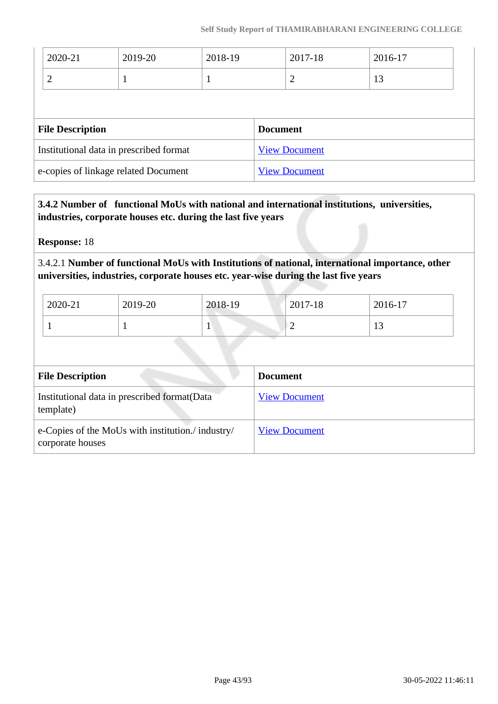| 2020-21                                 | 2019-20 | 2018-19              | 2017-18         | 2016-17 |  |
|-----------------------------------------|---------|----------------------|-----------------|---------|--|
| $\overline{2}$                          |         |                      | 2               | 13      |  |
|                                         |         |                      |                 |         |  |
| <b>File Description</b>                 |         |                      | <b>Document</b> |         |  |
| Institutional data in prescribed format |         | <b>View Document</b> |                 |         |  |
| e-copies of linkage related Document    |         | <b>View Document</b> |                 |         |  |

 **3.4.2 Number of functional MoUs with national and international institutions, universities, industries, corporate houses etc. during the last five years**

**Response:** 18

3.4.2.1 **Number of functional MoUs with Institutions of national, international importance, other universities, industries, corporate houses etc. year-wise during the last five years**

| 2020-21 | 2019-20 | 2018-19 | 2017-18 | 2016-17        |
|---------|---------|---------|---------|----------------|
|         |         |         | -       | 1 <sub>2</sub> |

| <b>File Description</b>                                               | <b>Document</b>      |
|-----------------------------------------------------------------------|----------------------|
| Institutional data in prescribed format (Data<br>template)            | <b>View Document</b> |
| e-Copies of the MoUs with institution./ industry/<br>corporate houses | <b>View Document</b> |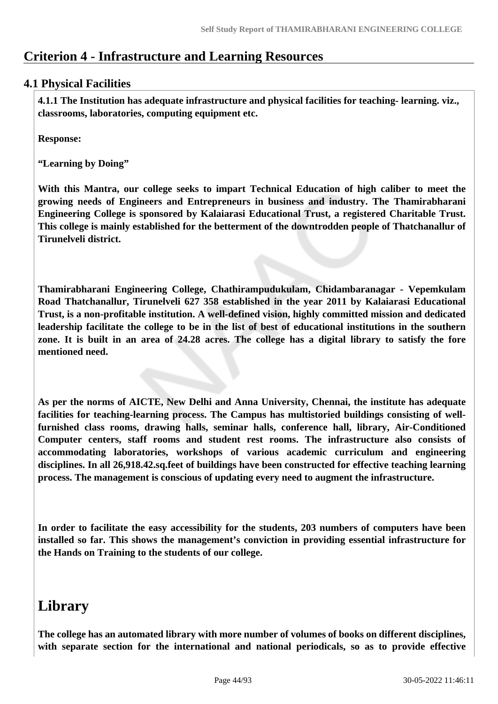# **Criterion 4 - Infrastructure and Learning Resources**

# **4.1 Physical Facilities**

 **4.1.1 The Institution has adequate infrastructure and physical facilities for teaching- learning. viz., classrooms, laboratories, computing equipment etc.** 

**Response:** 

**"Learning by Doing"**

**With this Mantra, our college seeks to impart Technical Education of high caliber to meet the growing needs of Engineers and Entrepreneurs in business and industry. The Thamirabharani Engineering College is sponsored by Kalaiarasi Educational Trust, a registered Charitable Trust. This college is mainly established for the betterment of the downtrodden people of Thatchanallur of Tirunelveli district.**

**Thamirabharani Engineering College, Chathirampudukulam, Chidambaranagar - Vepemkulam Road Thatchanallur, Tirunelveli 627 358 established in the year 2011 by Kalaiarasi Educational Trust, is a non-profitable institution. A well-defined vision, highly committed mission and dedicated leadership facilitate the college to be in the list of best of educational institutions in the southern zone. It is built in an area of 24.28 acres. The college has a digital library to satisfy the fore mentioned need.** 

**As per the norms of AICTE, New Delhi and Anna University, Chennai, the institute has adequate facilities for teaching-learning process. The Campus has multistoried buildings consisting of wellfurnished class rooms, drawing halls, seminar halls, conference hall, library, Air-Conditioned Computer centers, staff rooms and student rest rooms. The infrastructure also consists of accommodating laboratories, workshops of various academic curriculum and engineering disciplines. In all 26,918.42.sq.feet of buildings have been constructed for effective teaching learning process. The management is conscious of updating every need to augment the infrastructure.**

**In order to facilitate the easy accessibility for the students, 203 numbers of computers have been installed so far. This shows the management's conviction in providing essential infrastructure for the Hands on Training to the students of our college.**

# **Library**

**The college has an automated library with more number of volumes of books on different disciplines, with separate section for the international and national periodicals, so as to provide effective**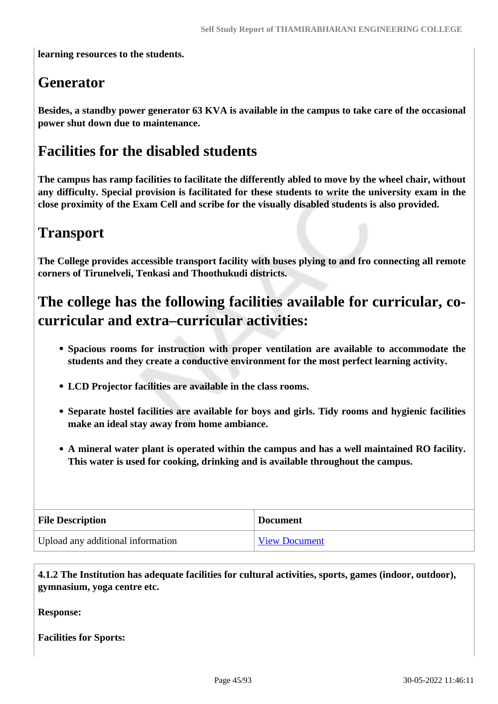**learning resources to the students.**

# **Generator**

**Besides, a standby power generator 63 KVA is available in the campus to take care of the occasional power shut down due to maintenance.**

# **Facilities for the disabled students**

**The campus has ramp facilities to facilitate the differently abled to move by the wheel chair, without any difficulty. Special provision is facilitated for these students to write the university exam in the close proximity of the Exam Cell and scribe for the visually disabled students is also provided.**

# **Transport**

**The College provides accessible transport facility with buses plying to and fro connecting all remote corners of Tirunelveli, Tenkasi and Thoothukudi districts.**

# **The college has the following facilities available for curricular, cocurricular and extra–curricular activities:**

- **Spacious rooms for instruction with proper ventilation are available to accommodate the students and they create a conductive environment for the most perfect learning activity.**
- **LCD Projector facilities are available in the class rooms.**
- **Separate hostel facilities are available for boys and girls. Tidy rooms and hygienic facilities make an ideal stay away from home ambiance.**
- **A mineral water plant is operated within the campus and has a well maintained RO facility. This water is used for cooking, drinking and is available throughout the campus.**

| <b>File Description</b>           | <b>Document</b>      |
|-----------------------------------|----------------------|
| Upload any additional information | <b>View Document</b> |

 **4.1.2 The Institution has adequate facilities for cultural activities, sports, games (indoor, outdoor), gymnasium, yoga centre etc.** 

**Response:** 

**Facilities for Sports:**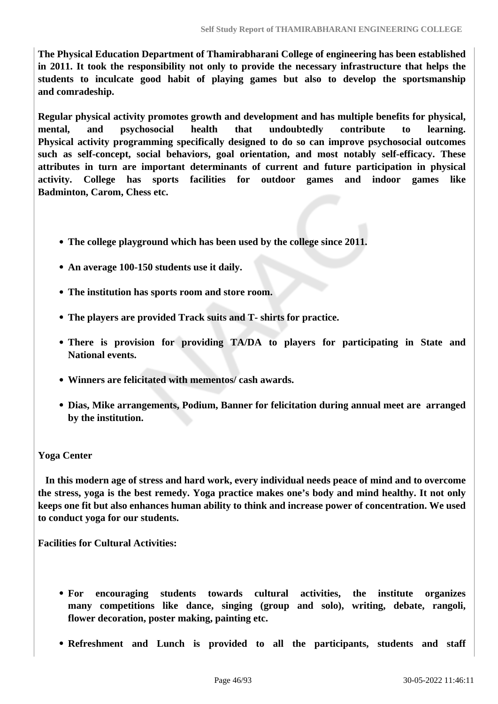**The Physical Education Department of Thamirabharani College of engineering has been established in 2011. It took the responsibility not only to provide the necessary infrastructure that helps the students to inculcate good habit of playing games but also to develop the sportsmanship and comradeship.**

**Regular physical activity promotes growth and development and has multiple benefits for physical, mental, and psychosocial health that undoubtedly contribute to learning. Physical activity programming specifically designed to do so can improve psychosocial outcomes such as self-concept, social behaviors, goal orientation, and most notably self-efficacy. These attributes in turn are important determinants of current and future participation in physical activity. College has sports facilities for outdoor games and indoor games like Badminton, Carom, Chess etc.**

- **The college playground which has been used by the college since 2011.**
- **An average 100-150 students use it daily.**
- **The institution has sports room and store room.**
- **The players are provided Track suits and T- shirts for practice.**
- **There is provision for providing TA/DA to players for participating in State and National events.**
- **Winners are felicitated with mementos/ cash awards.**
- **Dias, Mike arrangements, Podium, Banner for felicitation during annual meet are arranged by the institution.**

#### **Yoga Center**

 **In this modern age of stress and hard work, every individual needs peace of mind and to overcome the stress, yoga is the best remedy. Yoga practice makes one's body and mind healthy. It not only keeps one fit but also enhances human ability to think and increase power of concentration. We used to conduct yoga for our students.** 

**Facilities for Cultural Activities:**

- **For encouraging students towards cultural activities, the institute organizes many competitions like dance, singing (group and solo), writing, debate, rangoli, flower decoration, poster making, painting etc.**
- **Refreshment and Lunch is provided to all the participants, students and staff**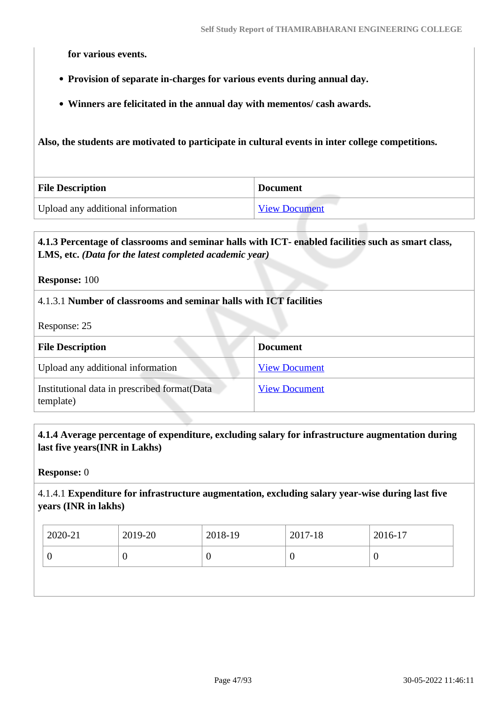**for various events.** 

- **Provision of separate in-charges for various events during annual day.**
- **Winners are felicitated in the annual day with mementos/ cash awards.**

**Also, the students are motivated to participate in cultural events in inter college competitions.**

| <b>File Description</b>           | <b>Document</b>      |
|-----------------------------------|----------------------|
| Upload any additional information | <b>View Document</b> |

# **4.1.3 Percentage of classrooms and seminar halls with ICT- enabled facilities such as smart class, LMS, etc.** *(Data for the latest completed academic year)*

**Response:** 100

### 4.1.3.1 **Number of classrooms and seminar halls with ICT facilities**

Response: 25

| <b>File Description</b>                                    | <b>Document</b>      |
|------------------------------------------------------------|----------------------|
| Upload any additional information                          | <b>View Document</b> |
| Institutional data in prescribed format (Data<br>template) | <b>View Document</b> |

### **4.1.4 Average percentage of expenditure, excluding salary for infrastructure augmentation during last five years(INR in Lakhs)**

**Response:** 0

4.1.4.1 **Expenditure for infrastructure augmentation, excluding salary year-wise during last five years (INR in lakhs)**

| $2020 - 21$ | 2019-20 | 2018-19 | 2017-18 | 2016-17 |
|-------------|---------|---------|---------|---------|
| ν           |         | ν       |         | ν       |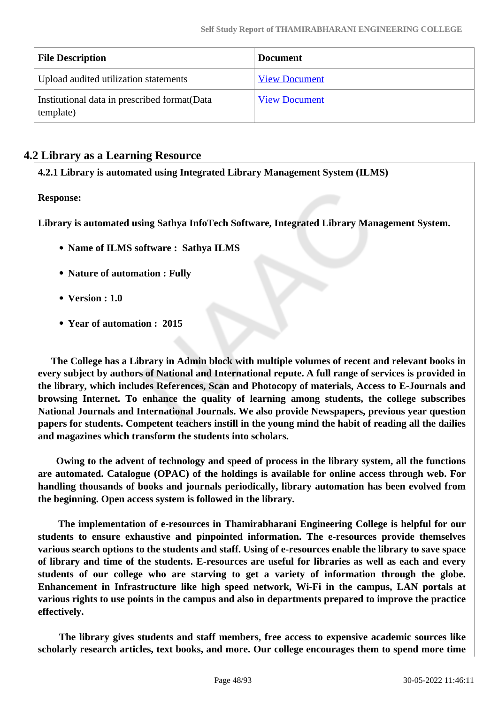| <b>File Description</b>                                    | <b>Document</b>      |
|------------------------------------------------------------|----------------------|
| Upload audited utilization statements                      | <b>View Document</b> |
| Institutional data in prescribed format (Data<br>template) | <b>View Document</b> |

# **4.2 Library as a Learning Resource**

**4.2.1 Library is automated using Integrated Library Management System (ILMS)**

**Response:** 

**Library is automated using Sathya InfoTech Software, Integrated Library Management System.**

- **Name of ILMS software : Sathya ILMS**
- **Nature of automation : Fully**
- **Version : 1.0**
- **Year of automation : 2015**

 **The College has a Library in Admin block with multiple volumes of recent and relevant books in every subject by authors of National and International repute. A full range of services is provided in the library, which includes References, Scan and Photocopy of materials, Access to E-Journals and browsing Internet. To enhance the quality of learning among students, the college subscribes National Journals and International Journals. We also provide Newspapers, previous year question papers for students. Competent teachers instill in the young mind the habit of reading all the dailies and magazines which transform the students into scholars.**

 **Owing to the advent of technology and speed of process in the library system, all the functions are automated. Catalogue (OPAC) of the holdings is available for online access through web. For handling thousands of books and journals periodically, library automation has been evolved from the beginning. Open access system is followed in the library.**

 **The implementation of e-resources in Thamirabharani Engineering College is helpful for our students to ensure exhaustive and pinpointed information. The e-resources provide themselves various search options to the students and staff. Using of e-resources enable the library to save space of library and time of the students. E-resources are useful for libraries as well as each and every students of our college who are starving to get a variety of information through the globe. Enhancement in Infrastructure like high speed network, Wi-Fi in the campus, LAN portals at various rights to use points in the campus and also in departments prepared to improve the practice effectively.**

 **The library gives students and staff members, free access to expensive academic sources like scholarly research articles, text books, and more. Our college encourages them to spend more time**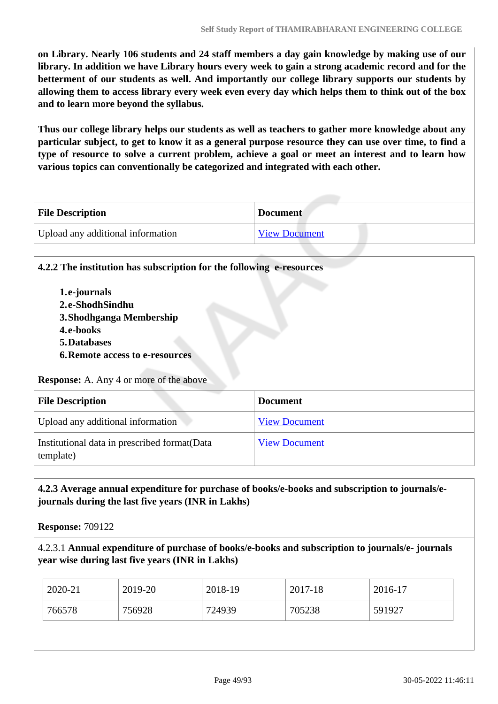**on Library. Nearly 106 students and 24 staff members a day gain knowledge by making use of our library. In addition we have Library hours every week to gain a strong academic record and for the betterment of our students as well. And importantly our college library supports our students by allowing them to access library every week even every day which helps them to think out of the box and to learn more beyond the syllabus.**

**Thus our college library helps our students as well as teachers to gather more knowledge about any particular subject, to get to know it as a general purpose resource they can use over time, to find a type of resource to solve a current problem, achieve a goal or meet an interest and to learn how various topics can conventionally be categorized and integrated with each other.**

| <b>File Description</b>           | <b>Document</b>      |
|-----------------------------------|----------------------|
| Upload any additional information | <b>View Document</b> |

**4.2.2 The institution has subscription for the following e-resources**

**1.e-journals 2.e-ShodhSindhu 3.Shodhganga Membership 4.e-books 5.Databases 6.Remote access to e-resources Response:** A. Any 4 or more of the above **File Description Document** Upload any additional information [View Document](https://assessmentonline.naac.gov.in/storage/app/hei/SSR/112247/4.2.2_1653927452_8666.pdf) Institutional data in prescribed format(Data template) [View Document](https://assessmentonline.naac.gov.in/storage/app/hei/SSR/112247/4.2.2_1653927836_8666.xlsx)

### **4.2.3 Average annual expenditure for purchase of books/e-books and subscription to journals/ejournals during the last five years (INR in Lakhs)**

**Response:** 709122

4.2.3.1 **Annual expenditure of purchase of books/e-books and subscription to journals/e- journals year wise during last five years (INR in Lakhs)**

| 2020-21 | 2019-20 | 2018-19 | 2017-18 | 2016-17 |
|---------|---------|---------|---------|---------|
| 766578  | 756928  | 724939  | 705238  | 591927  |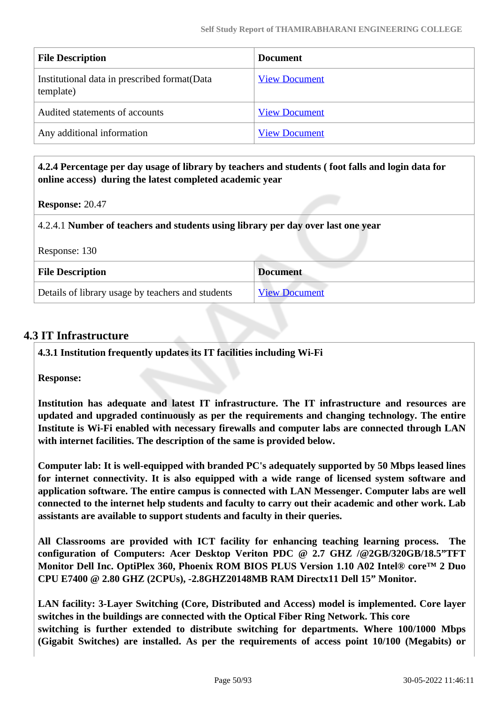| <b>File Description</b>                                    | <b>Document</b>      |
|------------------------------------------------------------|----------------------|
| Institutional data in prescribed format (Data<br>template) | <b>View Document</b> |
| Audited statements of accounts                             | <b>View Document</b> |
| Any additional information                                 | <b>View Document</b> |

#### **4.2.4 Percentage per day usage of library by teachers and students ( foot falls and login data for online access) during the latest completed academic year**

**Response:** 20.47

4.2.4.1 **Number of teachers and students using library per day over last one year**

| <b>File Description</b>                           | <b>Document</b>      |
|---------------------------------------------------|----------------------|
| Details of library usage by teachers and students | <b>View Document</b> |

## **4.3 IT Infrastructure**

**4.3.1 Institution frequently updates its IT facilities including Wi-Fi**

**Response:** 

**Institution has adequate and latest IT infrastructure. The IT infrastructure and resources are updated and upgraded continuously as per the requirements and changing technology. The entire Institute is Wi-Fi enabled with necessary firewalls and computer labs are connected through LAN with internet facilities. The description of the same is provided below.** 

**Computer lab: It is well-equipped with branded PC's adequately supported by 50 Mbps leased lines for internet connectivity. It is also equipped with a wide range of licensed system software and application software. The entire campus is connected with LAN Messenger. Computer labs are well connected to the internet help students and faculty to carry out their academic and other work. Lab assistants are available to support students and faculty in their queries.**

**All Classrooms are provided with ICT facility for enhancing teaching learning process. The configuration of Computers: Acer Desktop Veriton PDC @ 2.7 GHZ /@2GB/320GB/18.5"TFT Monitor Dell Inc. OptiPlex 360, Phoenix ROM BIOS PLUS Version 1.10 A02 Intel® core™ 2 Duo CPU E7400 @ 2.80 GHZ (2CPUs), -2.8GHZ20148MB RAM Directx11 Dell 15" Monitor.**

**LAN facility: 3-Layer Switching (Core, Distributed and Access) model is implemented. Core layer switches in the buildings are connected with the Optical Fiber Ring Network. This core switching is further extended to distribute switching for departments. Where 100/1000 Mbps (Gigabit Switches) are installed. As per the requirements of access point 10/100 (Megabits) or**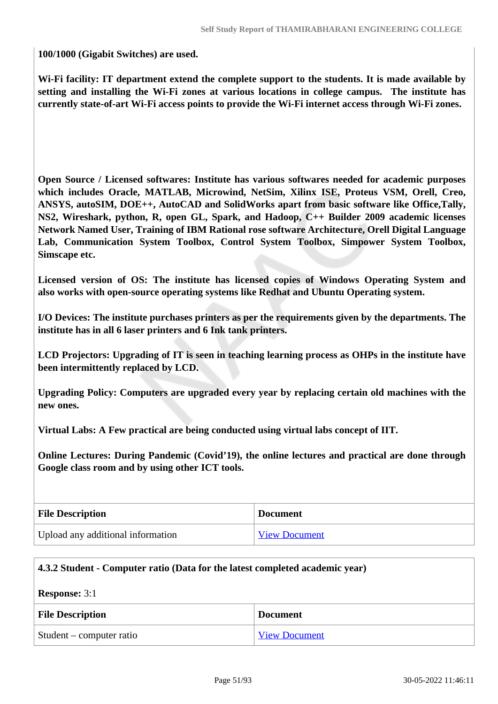**100/1000 (Gigabit Switches) are used.**

**Wi-Fi facility: IT department extend the complete support to the students. It is made available by setting and installing the Wi-Fi zones at various locations in college campus. The institute has currently state-of-art Wi-Fi access points to provide the Wi-Fi internet access through Wi-Fi zones.**

**Open Source / Licensed softwares: Institute has various softwares needed for academic purposes which includes Oracle, MATLAB, Microwind, NetSim, Xilinx ISE, Proteus VSM, Orell, Creo, ANSYS, autoSIM, DOE++, AutoCAD and SolidWorks apart from basic software like Office,Tally, NS2, Wireshark, python, R, open GL, Spark, and Hadoop, C++ Builder 2009 academic licenses Network Named User, Training of IBM Rational rose software Architecture, Orell Digital Language Lab, Communication System Toolbox, Control System Toolbox, Simpower System Toolbox, Simscape etc.** 

**Licensed version of OS: The institute has licensed copies of Windows Operating System and also works with open-source operating systems like Redhat and Ubuntu Operating system.** 

**I/O Devices: The institute purchases printers as per the requirements given by the departments. The institute has in all 6 laser printers and 6 Ink tank printers.** 

**LCD Projectors: Upgrading of IT is seen in teaching learning process as OHPs in the institute have been intermittently replaced by LCD.** 

**Upgrading Policy: Computers are upgraded every year by replacing certain old machines with the new ones.** 

**Virtual Labs: A Few practical are being conducted using virtual labs concept of IIT.**

**Online Lectures: During Pandemic (Covid'19), the online lectures and practical are done through Google class room and by using other ICT tools.** 

| <b>File Description</b>           | <b>Document</b>      |
|-----------------------------------|----------------------|
| Upload any additional information | <b>View Document</b> |

| 4.3.2 Student - Computer ratio (Data for the latest completed academic year) |                 |  |
|------------------------------------------------------------------------------|-----------------|--|
| <b>Response: 3:1</b>                                                         |                 |  |
| <b>File Description</b>                                                      | <b>Document</b> |  |
| Student – computer ratio<br><b>View Document</b>                             |                 |  |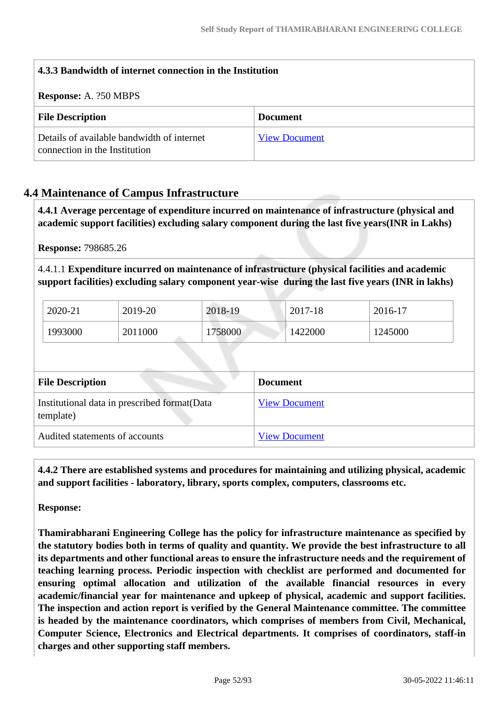| 4.3.3 Bandwidth of internet connection in the Institution                   |                      |  |
|-----------------------------------------------------------------------------|----------------------|--|
| <b>Response:</b> A. ?50 MBPS                                                |                      |  |
| <b>File Description</b>                                                     | <b>Document</b>      |  |
| Details of available bandwidth of internet<br>connection in the Institution | <b>View Document</b> |  |

# **4.4 Maintenance of Campus Infrastructure**

 **4.4.1 Average percentage of expenditure incurred on maintenance of infrastructure (physical and academic support facilities) excluding salary component during the last five years(INR in Lakhs)**

**Response:** 798685.26

4.4.1.1 **Expenditure incurred on maintenance of infrastructure (physical facilities and academic support facilities) excluding salary component year-wise during the last five years (INR in lakhs)**

| 2020-21 | 2019-20 | 2018-19 | 2017-18 | 2016-17 |
|---------|---------|---------|---------|---------|
| 1993000 | 2011000 | 1758000 | 1422000 | 1245000 |

| <b>File Description</b>                                    | <b>Document</b>      |
|------------------------------------------------------------|----------------------|
| Institutional data in prescribed format (Data<br>template) | <b>View Document</b> |
| Audited statements of accounts                             | <b>View Document</b> |

 **4.4.2 There are established systems and procedures for maintaining and utilizing physical, academic and support facilities - laboratory, library, sports complex, computers, classrooms etc.**

**Response:** 

**Thamirabharani Engineering College has the policy for infrastructure maintenance as specified by the statutory bodies both in terms of quality and quantity. We provide the best infrastructure to all its departments and other functional areas to ensure the infrastructure needs and the requirement of teaching learning process. Periodic inspection with checklist are performed and documented for ensuring optimal allocation and utilization of the available financial resources in every academic/financial year for maintenance and upkeep of physical, academic and support facilities. The inspection and action report is verified by the General Maintenance committee. The committee is headed by the maintenance coordinators, which comprises of members from Civil, Mechanical, Computer Science, Electronics and Electrical departments. It comprises of coordinators, staff-in charges and other supporting staff members.**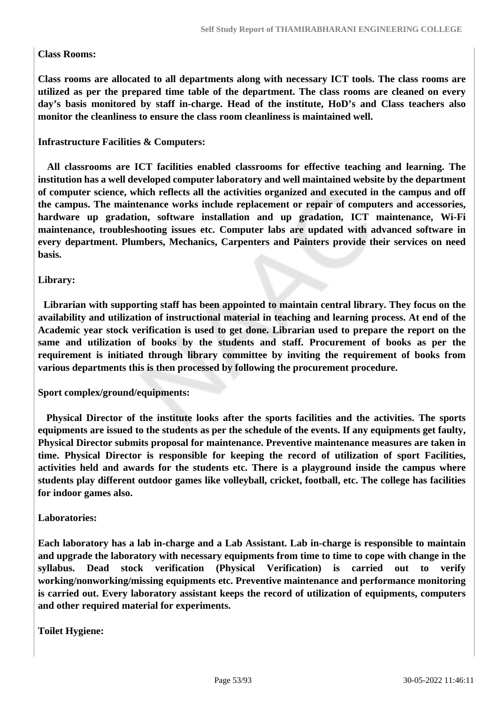#### **Class Rooms:**

**Class rooms are allocated to all departments along with necessary ICT tools. The class rooms are utilized as per the prepared time table of the department. The class rooms are cleaned on every day's basis monitored by staff in-charge. Head of the institute, HoD's and Class teachers also monitor the cleanliness to ensure the class room cleanliness is maintained well.**

#### **Infrastructure Facilities & Computers:**

 **All classrooms are ICT facilities enabled classrooms for effective teaching and learning. The institution has a well developed computer laboratory and well maintained website by the department of computer science, which reflects all the activities organized and executed in the campus and off the campus. The maintenance works include replacement or repair of computers and accessories, hardware up gradation, software installation and up gradation, ICT maintenance, Wi-Fi maintenance, troubleshooting issues etc. Computer labs are updated with advanced software in every department. Plumbers, Mechanics, Carpenters and Painters provide their services on need basis.**

#### **Library:**

 **Librarian with supporting staff has been appointed to maintain central library. They focus on the availability and utilization of instructional material in teaching and learning process. At end of the Academic year stock verification is used to get done. Librarian used to prepare the report on the same and utilization of books by the students and staff. Procurement of books as per the requirement is initiated through library committee by inviting the requirement of books from various departments this is then processed by following the procurement procedure.**

#### **Sport complex/ground/equipments:**

 **Physical Director of the institute looks after the sports facilities and the activities. The sports equipments are issued to the students as per the schedule of the events. If any equipments get faulty, Physical Director submits proposal for maintenance. Preventive maintenance measures are taken in time. Physical Director is responsible for keeping the record of utilization of sport Facilities, activities held and awards for the students etc. There is a playground inside the campus where students play different outdoor games like volleyball, cricket, football, etc. The college has facilities for indoor games also.**

#### **Laboratories:**

**Each laboratory has a lab in-charge and a Lab Assistant. Lab in-charge is responsible to maintain and upgrade the laboratory with necessary equipments from time to time to cope with change in the syllabus. Dead stock verification (Physical Verification) is carried out to verify working/nonworking/missing equipments etc. Preventive maintenance and performance monitoring is carried out. Every laboratory assistant keeps the record of utilization of equipments, computers and other required material for experiments.**

**Toilet Hygiene:**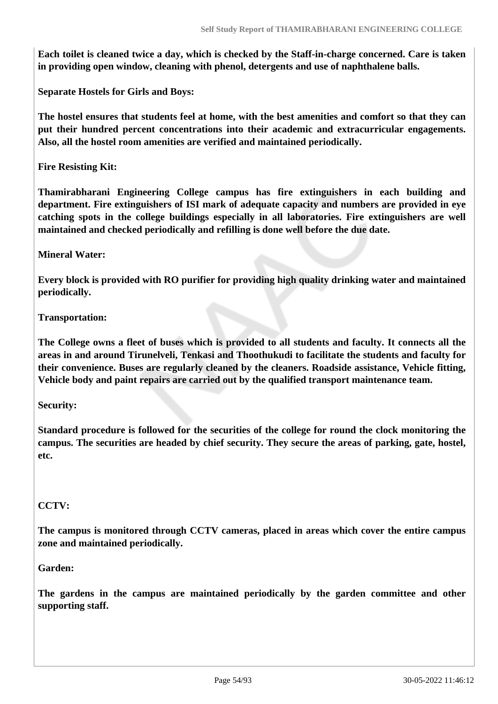**Each toilet is cleaned twice a day, which is checked by the Staff-in-charge concerned. Care is taken in providing open window, cleaning with phenol, detergents and use of naphthalene balls.** 

**Separate Hostels for Girls and Boys:** 

**The hostel ensures that students feel at home, with the best amenities and comfort so that they can put their hundred percent concentrations into their academic and extracurricular engagements. Also, all the hostel room amenities are verified and maintained periodically.**

**Fire Resisting Kit:** 

**Thamirabharani Engineering College campus has fire extinguishers in each building and department. Fire extinguishers of ISI mark of adequate capacity and numbers are provided in eye catching spots in the college buildings especially in all laboratories. Fire extinguishers are well maintained and checked periodically and refilling is done well before the due date.**

#### **Mineral Water:**

**Every block is provided with RO purifier for providing high quality drinking water and maintained periodically.**

#### **Transportation:**

**The College owns a fleet of buses which is provided to all students and faculty. It connects all the areas in and around Tirunelveli, Tenkasi and Thoothukudi to facilitate the students and faculty for their convenience. Buses are regularly cleaned by the cleaners. Roadside assistance, Vehicle fitting, Vehicle body and paint repairs are carried out by the qualified transport maintenance team.**

#### **Security:**

**Standard procedure is followed for the securities of the college for round the clock monitoring the campus. The securities are headed by chief security. They secure the areas of parking, gate, hostel, etc.**

#### **CCTV:**

**The campus is monitored through CCTV cameras, placed in areas which cover the entire campus zone and maintained periodically.**

#### **Garden:**

**The gardens in the campus are maintained periodically by the garden committee and other supporting staff.**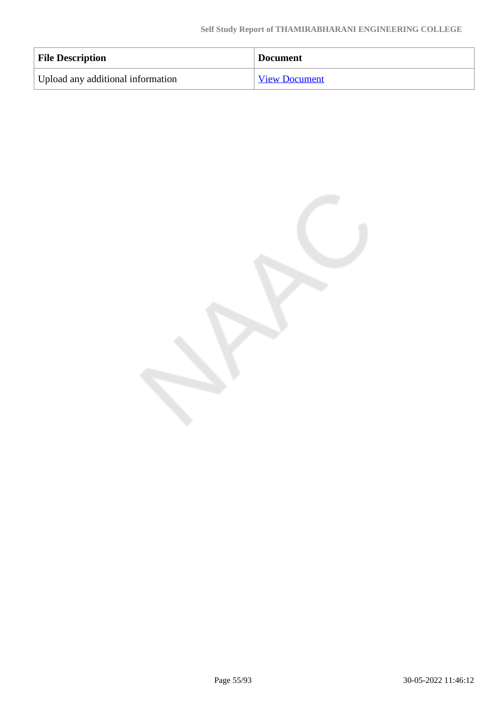| <b>File Description</b>           | <b>Document</b>      |
|-----------------------------------|----------------------|
| Upload any additional information | <b>View Document</b> |

Page 55/93 30-05-2022 11:46:12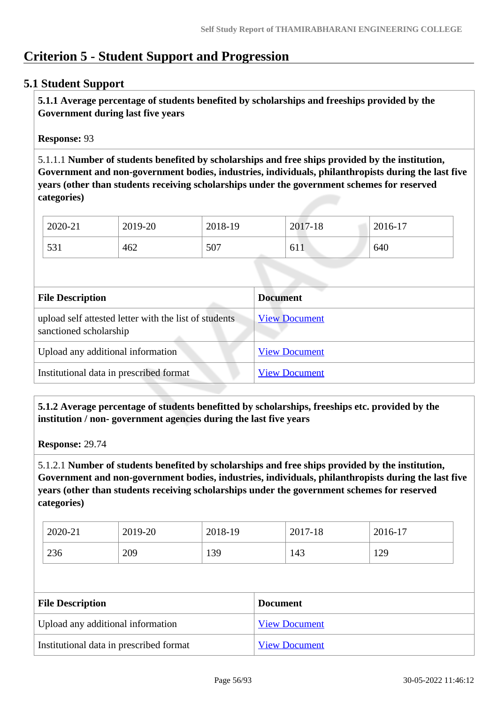# **Criterion 5 - Student Support and Progression**

# **5.1 Student Support**

 **5.1.1 Average percentage of students benefited by scholarships and freeships provided by the Government during last five years** 

**Response:** 93

5.1.1.1 **Number of students benefited by scholarships and free ships provided by the institution, Government and non-government bodies, industries, individuals, philanthropists during the last five years (other than students receiving scholarships under the government schemes for reserved categories)** 

| 2020-21 | 2019-20 | 2018-19 | 2017-18     | 2016-17 |
|---------|---------|---------|-------------|---------|
| 531     | 462     | 507     | - 1<br>01 l | 640     |

| <b>File Description</b>                                                         | <b>Document</b>      |
|---------------------------------------------------------------------------------|----------------------|
| upload self attested letter with the list of students<br>sanctioned scholarship | <b>View Document</b> |
| Upload any additional information                                               | <b>View Document</b> |
| Institutional data in prescribed format                                         | <b>View Document</b> |

 **5.1.2 Average percentage of students benefitted by scholarships, freeships etc. provided by the institution / non- government agencies during the last five years**

**Response:** 29.74

5.1.2.1 **Number of students benefited by scholarships and free ships provided by the institution, Government and non-government bodies, industries, individuals, philanthropists during the last five years (other than students receiving scholarships under the government schemes for reserved categories)** 

| 2020-21 | 2019-20 | 2018-19 | 2017-18 | 2016-17 |
|---------|---------|---------|---------|---------|
| 236     | 209     | 139     | 143     | 129     |

| <b>File Description</b>                 | <b>Document</b>      |
|-----------------------------------------|----------------------|
| Upload any additional information       | <b>View Document</b> |
| Institutional data in prescribed format | <b>View Document</b> |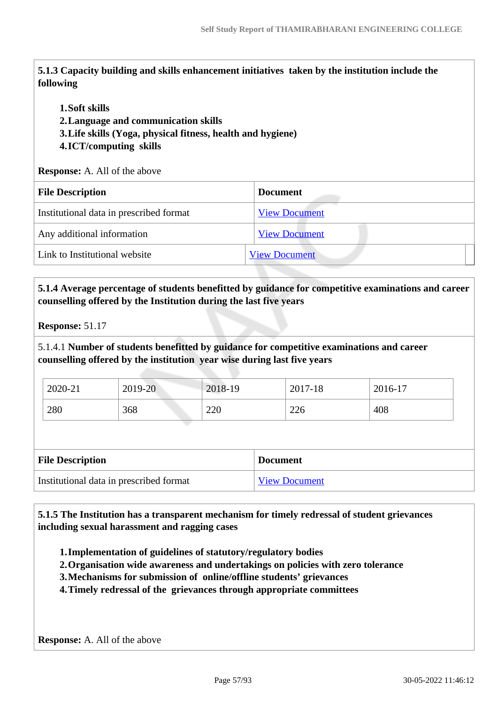**5.1.3 Capacity building and skills enhancement initiatives taken by the institution include the following**

#### **1.Soft skills**

**2.Language and communication skills** 

**3.Life skills (Yoga, physical fitness, health and hygiene)**

#### **4.ICT/computing skills**

**Response:** A. All of the above

| <b>File Description</b>                 | <b>Document</b>      |
|-----------------------------------------|----------------------|
| Institutional data in prescribed format | <b>View Document</b> |
| Any additional information              | <b>View Document</b> |
| Link to Institutional website           | <b>View Document</b> |
|                                         |                      |

# **5.1.4 Average percentage of students benefitted by guidance for competitive examinations and career counselling offered by the Institution during the last five years**

5.1.4.1 **Number of students benefitted by guidance for competitive examinations and career counselling offered by the institution year wise during last five years**

| 2020-21 | 2019-20 | 2018-19          | 2017-18 | $2016-17$ |
|---------|---------|------------------|---------|-----------|
| 280     | 368     | <u>ാവ</u><br>ZZU | 226     | 408       |

| <b>File Description</b>                 | <b>Document</b> |
|-----------------------------------------|-----------------|
| Institutional data in prescribed format | View Document   |

 **5.1.5 The Institution has a transparent mechanism for timely redressal of student grievances including sexual harassment and ragging cases**

- **1.Implementation of guidelines of statutory/regulatory bodies**
- **2.Organisation wide awareness and undertakings on policies with zero tolerance**
- **3.Mechanisms for submission of online/offline students' grievances**
- **4.Timely redressal of the grievances through appropriate committees**

**Response:** A. All of the above

**Response:** 51.17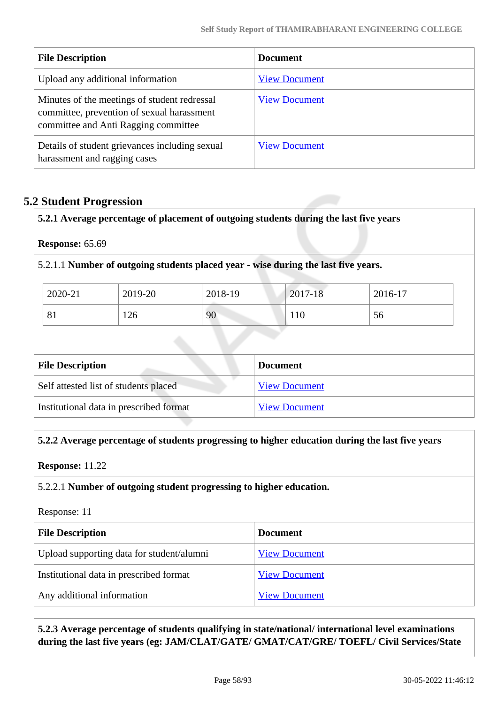| <b>File Description</b>                                                                                                            | <b>Document</b>      |
|------------------------------------------------------------------------------------------------------------------------------------|----------------------|
| Upload any additional information                                                                                                  | <b>View Document</b> |
| Minutes of the meetings of student redressal<br>committee, prevention of sexual harassment<br>committee and Anti Ragging committee | <b>View Document</b> |
| Details of student grievances including sexual<br>harassment and ragging cases                                                     | <b>View Document</b> |

# **5.2 Student Progression**

**5.2.1 Average percentage of placement of outgoing students during the last five years**

**Response:** 65.69

5.2.1.1 **Number of outgoing students placed year - wise during the last five years.**

| 2020-21      | 2019-20 | 2018-19 | 2017-18 | 2016-17 |
|--------------|---------|---------|---------|---------|
| $\mathbf{O}$ | 126     | 90      | 110     | 56      |

| <b>File Description</b>                 | <b>Document</b>      |  |  |
|-----------------------------------------|----------------------|--|--|
| Self attested list of students placed   | <b>View Document</b> |  |  |
| Institutional data in prescribed format | <b>View Document</b> |  |  |

#### **5.2.2 Average percentage of students progressing to higher education during the last five years**

**Response:** 11.22

## 5.2.2.1 **Number of outgoing student progressing to higher education.**

Response: 11

| <b>File Description</b>                   | <b>Document</b>      |
|-------------------------------------------|----------------------|
| Upload supporting data for student/alumni | <b>View Document</b> |
| Institutional data in prescribed format   | <b>View Document</b> |
| Any additional information                | <b>View Document</b> |

 **5.2.3 Average percentage of students qualifying in state/national/ international level examinations during the last five years (eg: JAM/CLAT/GATE/ GMAT/CAT/GRE/ TOEFL/ Civil Services/State**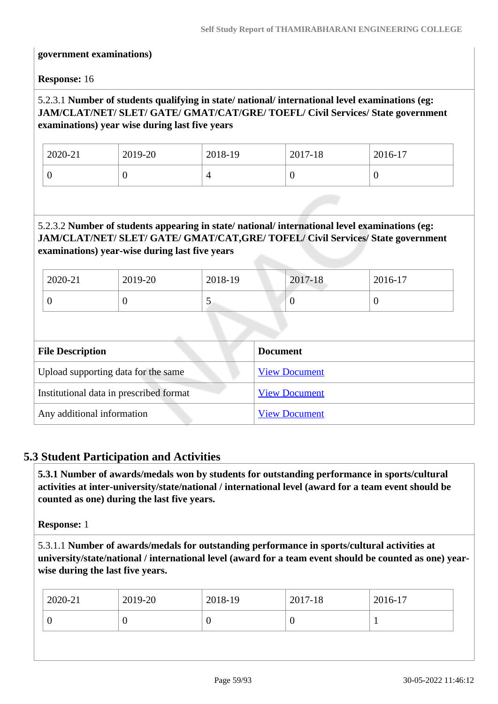#### **government examinations)**

**Response:** 16

## 5.2.3.1 **Number of students qualifying in state/ national/ international level examinations (eg: JAM/CLAT/NET/ SLET/ GATE/ GMAT/CAT/GRE/ TOEFL/ Civil Services/ State government examinations) year wise during last five years**

| 2020-21 | 2019-20 | 2018-19 | 2017-18 | 2016-17 |
|---------|---------|---------|---------|---------|
|         | v       |         |         | U       |

### 5.2.3.2 **Number of students appearing in state/ national/ international level examinations (eg: JAM/CLAT/NET/ SLET/ GATE/ GMAT/CAT,GRE/ TOFEL/ Civil Services/ State government examinations) year-wise during last five years**

| 2020-21                 | 2019-20                                 | 2018-19 | 2017-18              | 2016-17  |  |
|-------------------------|-----------------------------------------|---------|----------------------|----------|--|
| $\overline{0}$          | $\theta$                                | 5       | $\theta$             | $\theta$ |  |
|                         |                                         |         |                      |          |  |
| <b>File Description</b> |                                         |         | <b>Document</b>      |          |  |
|                         | Upload supporting data for the same     |         | <b>View Document</b> |          |  |
|                         | Institutional data in prescribed format |         | <b>View Document</b> |          |  |
|                         | Any additional information              |         | <b>View Document</b> |          |  |

# **5.3 Student Participation and Activities**

 **5.3.1 Number of awards/medals won by students for outstanding performance in sports/cultural activities at inter-university/state/national / international level (award for a team event should be counted as one) during the last five years.**

**Response:** 1

5.3.1.1 **Number of awards/medals for outstanding performance in sports/cultural activities at university/state/national / international level (award for a team event should be counted as one) yearwise during the last five years.**

| 2020-21 | $2019-20$ | 2018-19          | 2017-18 | 2016-17 |
|---------|-----------|------------------|---------|---------|
|         |           | $\boldsymbol{0}$ | U       |         |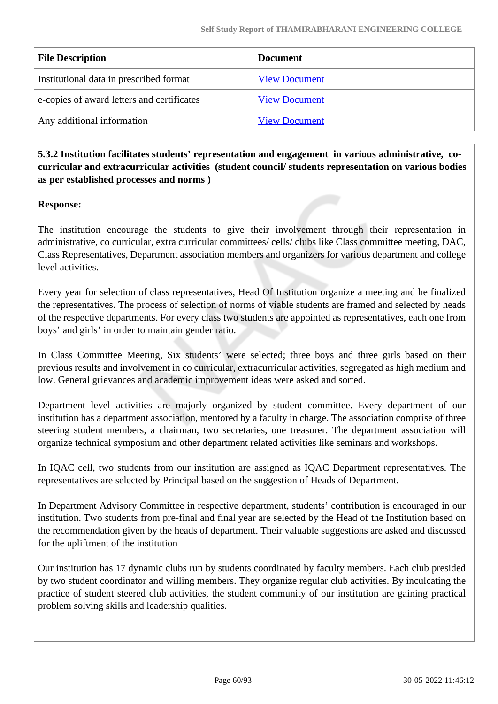| <b>File Description</b>                    | <b>Document</b>      |
|--------------------------------------------|----------------------|
| Institutional data in prescribed format    | <b>View Document</b> |
| e-copies of award letters and certificates | <b>View Document</b> |
| Any additional information                 | <b>View Document</b> |
|                                            |                      |

 **5.3.2 Institution facilitates students' representation and engagement in various administrative, cocurricular and extracurricular activities (student council/ students representation on various bodies as per established processes and norms )**

### **Response:**

The institution encourage the students to give their involvement through their representation in administrative, co curricular, extra curricular committees/ cells/ clubs like Class committee meeting, DAC, Class Representatives, Department association members and organizers for various department and college level activities.

Every year for selection of class representatives, Head Of Institution organize a meeting and he finalized the representatives. The process of selection of norms of viable students are framed and selected by heads of the respective departments. For every class two students are appointed as representatives, each one from boys' and girls' in order to maintain gender ratio.

In Class Committee Meeting, Six students' were selected; three boys and three girls based on their previous results and involvement in co curricular, extracurricular activities, segregated as high medium and low. General grievances and academic improvement ideas were asked and sorted.

Department level activities are majorly organized by student committee. Every department of our institution has a department association, mentored by a faculty in charge. The association comprise of three steering student members, a chairman, two secretaries, one treasurer. The department association will organize technical symposium and other department related activities like seminars and workshops.

In IQAC cell, two students from our institution are assigned as IQAC Department representatives. The representatives are selected by Principal based on the suggestion of Heads of Department.

In Department Advisory Committee in respective department, students' contribution is encouraged in our institution. Two students from pre-final and final year are selected by the Head of the Institution based on the recommendation given by the heads of department. Their valuable suggestions are asked and discussed for the upliftment of the institution

Our institution has 17 dynamic clubs run by students coordinated by faculty members. Each club presided by two student coordinator and willing members. They organize regular club activities. By inculcating the practice of student steered club activities, the student community of our institution are gaining practical problem solving skills and leadership qualities.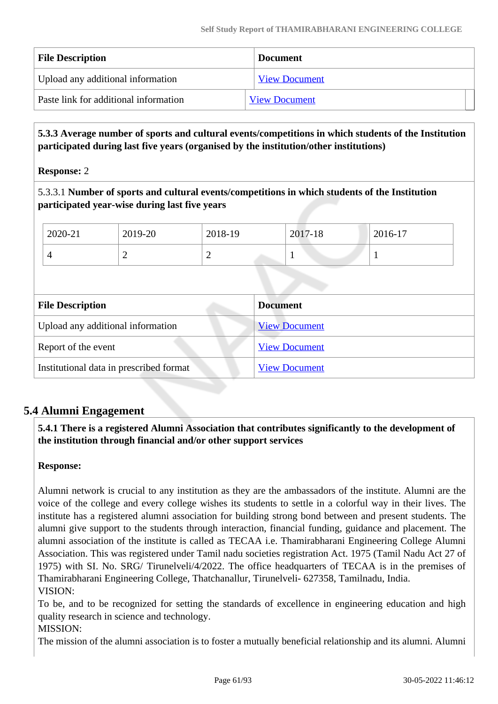| <b>File Description</b>               | <b>Document</b>      |  |
|---------------------------------------|----------------------|--|
| Upload any additional information     | <b>View Document</b> |  |
| Paste link for additional information | <b>View Document</b> |  |

 **5.3.3 Average number of sports and cultural events/competitions in which students of the Institution participated during last five years (organised by the institution/other institutions)**

**Response:** 2

5.3.3.1 **Number of sports and cultural events/competitions in which students of the Institution participated year-wise during last five years**

| 2020-21 | 2019-20   | 2018-19 | 2017-18 | 2016-17 |
|---------|-----------|---------|---------|---------|
|         | <b>__</b> | -       |         |         |

| <b>File Description</b>                 | <b>Document</b>      |
|-----------------------------------------|----------------------|
| Upload any additional information       | <b>View Document</b> |
| Report of the event                     | <b>View Document</b> |
| Institutional data in prescribed format | <b>View Document</b> |

# **5.4 Alumni Engagement**

 **5.4.1 There is a registered Alumni Association that contributes significantly to the development of the institution through financial and/or other support services**

**Response:** 

Alumni network is crucial to any institution as they are the ambassadors of the institute. Alumni are the voice of the college and every college wishes its students to settle in a colorful way in their lives. The institute has a registered alumni association for building strong bond between and present students. The alumni give support to the students through interaction, financial funding, guidance and placement. The alumni association of the institute is called as TECAA i.e. Thamirabharani Engineering College Alumni Association. This was registered under Tamil nadu societies registration Act. 1975 (Tamil Nadu Act 27 of 1975) with SI. No. SRG/ Tirunelveli/4/2022. The office headquarters of TECAA is in the premises of Thamirabharani Engineering College, Thatchanallur, Tirunelveli- 627358, Tamilnadu, India. VISION:

To be, and to be recognized for setting the standards of excellence in engineering education and high quality research in science and technology.

MISSION:

The mission of the alumni association is to foster a mutually beneficial relationship and its alumni. Alumni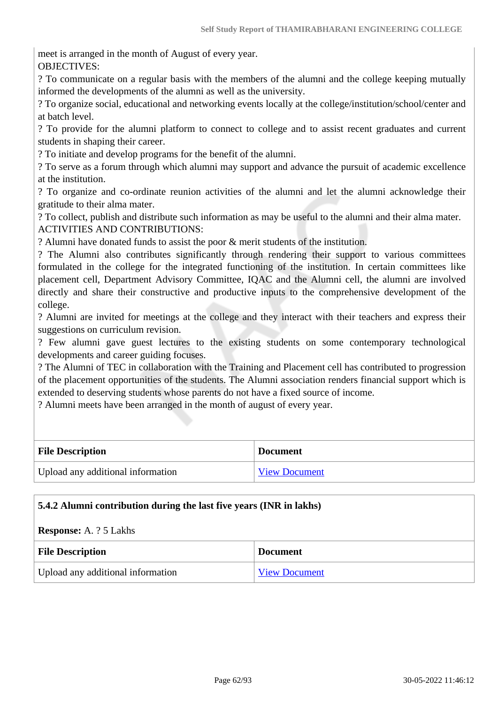meet is arranged in the month of August of every year. OBJECTIVES:

? To communicate on a regular basis with the members of the alumni and the college keeping mutually informed the developments of the alumni as well as the university.

? To organize social, educational and networking events locally at the college/institution/school/center and at batch level.

? To provide for the alumni platform to connect to college and to assist recent graduates and current students in shaping their career.

? To initiate and develop programs for the benefit of the alumni.

? To serve as a forum through which alumni may support and advance the pursuit of academic excellence at the institution.

? To organize and co-ordinate reunion activities of the alumni and let the alumni acknowledge their gratitude to their alma mater.

? To collect, publish and distribute such information as may be useful to the alumni and their alma mater. ACTIVITIES AND CONTRIBUTIONS:

? Alumni have donated funds to assist the poor & merit students of the institution.

? The Alumni also contributes significantly through rendering their support to various committees formulated in the college for the integrated functioning of the institution. In certain committees like placement cell, Department Advisory Committee, IQAC and the Alumni cell, the alumni are involved directly and share their constructive and productive inputs to the comprehensive development of the college.

? Alumni are invited for meetings at the college and they interact with their teachers and express their suggestions on curriculum revision.

? Few alumni gave guest lectures to the existing students on some contemporary technological developments and career guiding focuses.

? The Alumni of TEC in collaboration with the Training and Placement cell has contributed to progression of the placement opportunities of the students. The Alumni association renders financial support which is extended to deserving students whose parents do not have a fixed source of income.

? Alumni meets have been arranged in the month of august of every year.

| <b>File Description</b>           | <b>Document</b>      |
|-----------------------------------|----------------------|
| Upload any additional information | <b>View Document</b> |

#### **5.4.2 Alumni contribution during the last five years (INR in lakhs)**

#### **Response:** A. ? 5 Lakhs

| <b>File Description</b>           | <b>Document</b>      |
|-----------------------------------|----------------------|
| Upload any additional information | <b>View Document</b> |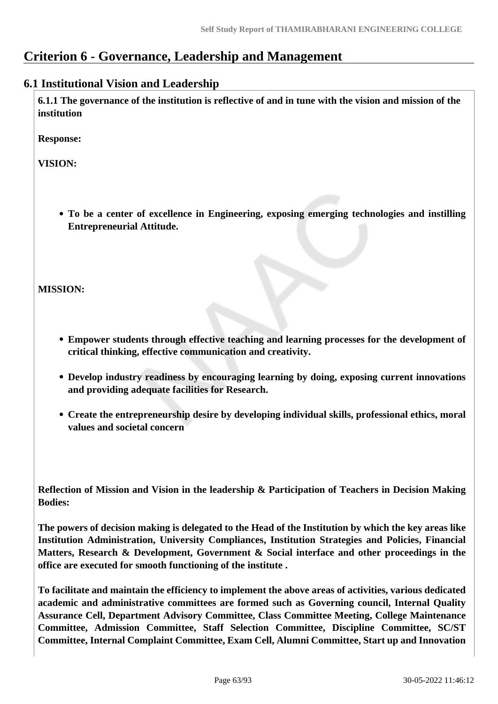# **Criterion 6 - Governance, Leadership and Management**

## **6.1 Institutional Vision and Leadership**

 **6.1.1 The governance of the institution is reflective of and in tune with the vision and mission of the institution**

**Response:** 

**VISION:**

**To be a center of excellence in Engineering, exposing emerging technologies and instilling Entrepreneurial Attitude.**

**MISSION:** 

- **Empower students through effective teaching and learning processes for the development of critical thinking, effective communication and creativity.**
- **Develop industry readiness by encouraging learning by doing, exposing current innovations and providing adequate facilities for Research.**
- **Create the entrepreneurship desire by developing individual skills, professional ethics, moral values and societal concern**

**Reflection of Mission and Vision in the leadership & Participation of Teachers in Decision Making Bodies:**

**The powers of decision making is delegated to the Head of the Institution by which the key areas like Institution Administration, University Compliances, Institution Strategies and Policies, Financial Matters, Research & Development, Government & Social interface and other proceedings in the office are executed for smooth functioning of the institute .**

**To facilitate and maintain the efficiency to implement the above areas of activities, various dedicated academic and administrative committees are formed such as Governing council, Internal Quality Assurance Cell, Department Advisory Committee, Class Committee Meeting, College Maintenance Committee, Admission Committee, Staff Selection Committee, Discipline Committee, SC/ST Committee, Internal Complaint Committee, Exam Cell, Alumni Committee, Start up and Innovation**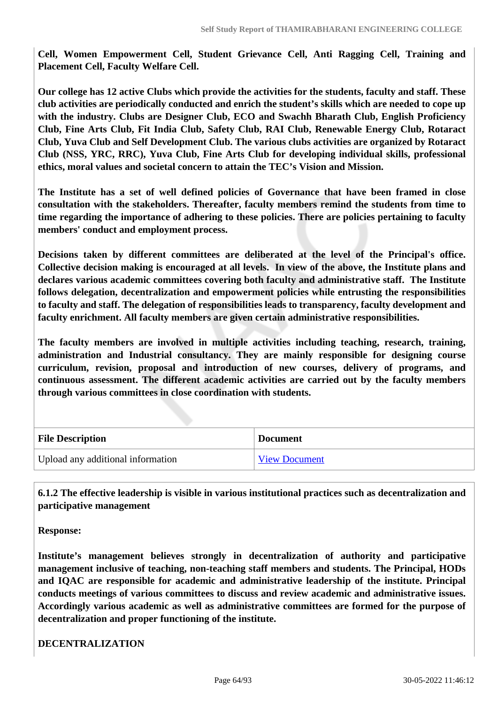**Cell, Women Empowerment Cell, Student Grievance Cell, Anti Ragging Cell, Training and Placement Cell, Faculty Welfare Cell.**

**Our college has 12 active Clubs which provide the activities for the students, faculty and staff. These club activities are periodically conducted and enrich the student's skills which are needed to cope up with the industry. Clubs are Designer Club, ECO and Swachh Bharath Club, English Proficiency Club, Fine Arts Club, Fit India Club, Safety Club, RAI Club, Renewable Energy Club, Rotaract Club, Yuva Club and Self Development Club. The various clubs activities are organized by Rotaract Club (NSS, YRC, RRC), Yuva Club, Fine Arts Club for developing individual skills, professional ethics, moral values and societal concern to attain the TEC's Vision and Mission.**

**The Institute has a set of well defined policies of Governance that have been framed in close consultation with the stakeholders. Thereafter, faculty members remind the students from time to time regarding the importance of adhering to these policies. There are policies pertaining to faculty members' conduct and employment process.**

**Decisions taken by different committees are deliberated at the level of the Principal's office. Collective decision making is encouraged at all levels. In view of the above, the Institute plans and declares various academic committees covering both faculty and administrative staff. The Institute follows delegation, decentralization and empowerment policies while entrusting the responsibilities to faculty and staff. The delegation of responsibilities leads to transparency, faculty development and faculty enrichment. All faculty members are given certain administrative responsibilities.**

**The faculty members are involved in multiple activities including teaching, research, training, administration and Industrial consultancy. They are mainly responsible for designing course curriculum, revision, proposal and introduction of new courses, delivery of programs, and continuous assessment. The different academic activities are carried out by the faculty members through various committees in close coordination with students.**

| <b>File Description</b>           | <b>Document</b>      |
|-----------------------------------|----------------------|
| Upload any additional information | <b>View Document</b> |

 **6.1.2 The effective leadership is visible in various institutional practices such as decentralization and participative management**

**Response:** 

**Institute's management believes strongly in decentralization of authority and participative management inclusive of teaching, non-teaching staff members and students. The Principal, HODs and IQAC are responsible for academic and administrative leadership of the institute. Principal conducts meetings of various committees to discuss and review academic and administrative issues. Accordingly various academic as well as administrative committees are formed for the purpose of decentralization and proper functioning of the institute.**

**DECENTRALIZATION**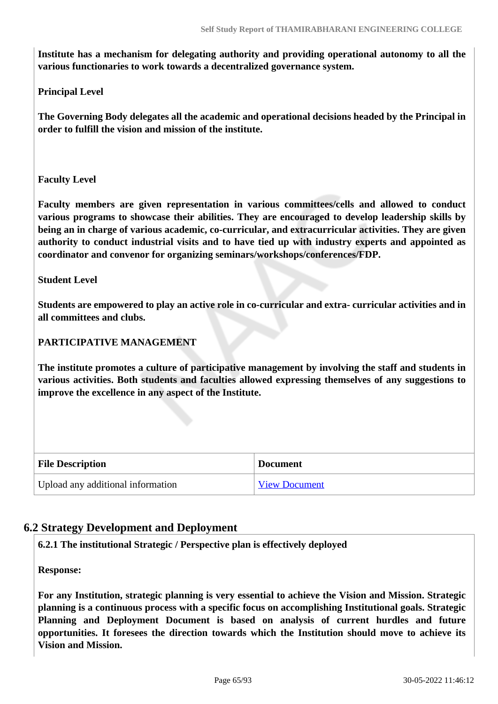**Institute has a mechanism for delegating authority and providing operational autonomy to all the various functionaries to work towards a decentralized governance system.**

**Principal Level**

**The Governing Body delegates all the academic and operational decisions headed by the Principal in order to fulfill the vision and mission of the institute.** 

**Faculty Level**

**Faculty members are given representation in various committees/cells and allowed to conduct various programs to showcase their abilities. They are encouraged to develop leadership skills by being an in charge of various academic, co-curricular, and extracurricular activities. They are given authority to conduct industrial visits and to have tied up with industry experts and appointed as coordinator and convenor for organizing seminars/workshops/conferences/FDP.** 

**Student Level**

**Students are empowered to play an active role in co-curricular and extra- curricular activities and in all committees and clubs.**

#### **PARTICIPATIVE MANAGEMENT**

**The institute promotes a culture of participative management by involving the staff and students in various activities. Both students and faculties allowed expressing themselves of any suggestions to improve the excellence in any aspect of the Institute.**

| <b>File Description</b>           | <b>Document</b>      |
|-----------------------------------|----------------------|
| Upload any additional information | <b>View Document</b> |

#### **6.2 Strategy Development and Deployment**

**6.2.1 The institutional Strategic / Perspective plan is effectively deployed**

**Response:** 

**For any Institution, strategic planning is very essential to achieve the Vision and Mission. Strategic planning is a continuous process with a specific focus on accomplishing Institutional goals. Strategic Planning and Deployment Document is based on analysis of current hurdles and future opportunities. It foresees the direction towards which the Institution should move to achieve its Vision and Mission.**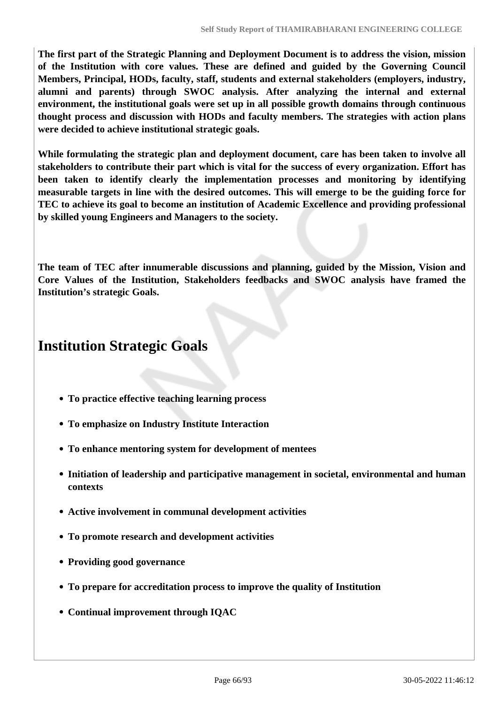**The first part of the Strategic Planning and Deployment Document is to address the vision, mission of the Institution with core values. These are defined and guided by the Governing Council Members, Principal, HODs, faculty, staff, students and external stakeholders (employers, industry, alumni and parents) through SWOC analysis. After analyzing the internal and external environment, the institutional goals were set up in all possible growth domains through continuous thought process and discussion with HODs and faculty members. The strategies with action plans were decided to achieve institutional strategic goals.**

**While formulating the strategic plan and deployment document, care has been taken to involve all stakeholders to contribute their part which is vital for the success of every organization. Effort has been taken to identify clearly the implementation processes and monitoring by identifying measurable targets in line with the desired outcomes. This will emerge to be the guiding force for TEC to achieve its goal to become an institution of Academic Excellence and providing professional by skilled young Engineers and Managers to the society.**

**The team of TEC after innumerable discussions and planning, guided by the Mission, Vision and Core Values of the Institution, Stakeholders feedbacks and SWOC analysis have framed the Institution's strategic Goals.**

# **Institution Strategic Goals**

- **To practice effective teaching learning process**
- **To emphasize on Industry Institute Interaction**
- **To enhance mentoring system for development of mentees**
- **Initiation of leadership and participative management in societal, environmental and human contexts**
- **Active involvement in communal development activities**
- **To promote research and development activities**
- **Providing good governance**
- **To prepare for accreditation process to improve the quality of Institution**
- **Continual improvement through IQAC**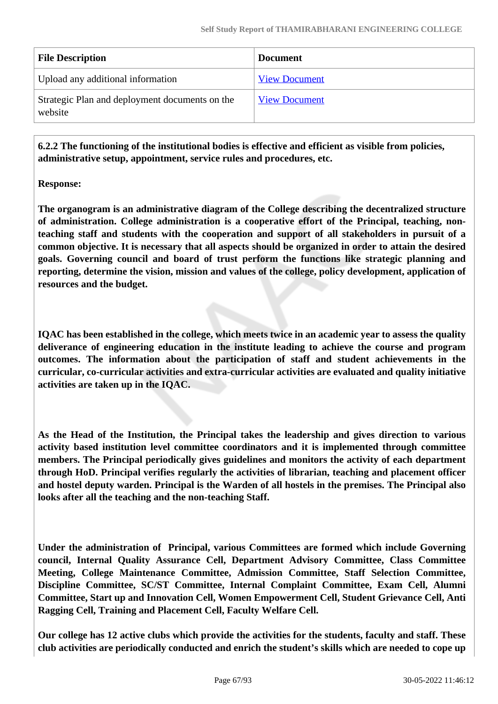| <b>File Description</b>                                   | <b>Document</b>      |
|-----------------------------------------------------------|----------------------|
| Upload any additional information                         | <b>View Document</b> |
| Strategic Plan and deployment documents on the<br>website | <b>View Document</b> |

 **6.2.2 The functioning of the institutional bodies is effective and efficient as visible from policies, administrative setup, appointment, service rules and procedures, etc.**

### **Response:**

**The organogram is an administrative diagram of the College describing the decentralized structure of administration. College administration is a cooperative effort of the Principal, teaching, nonteaching staff and students with the cooperation and support of all stakeholders in pursuit of a common objective. It is necessary that all aspects should be organized in order to attain the desired goals. Governing council and board of trust perform the functions like strategic planning and reporting, determine the vision, mission and values of the college, policy development, application of resources and the budget.**

**IQAC has been established in the college, which meets twice in an academic year to assess the quality deliverance of engineering education in the institute leading to achieve the course and program outcomes. The information about the participation of staff and student achievements in the curricular, co-curricular activities and extra-curricular activities are evaluated and quality initiative activities are taken up in the IQAC.**

**As the Head of the Institution, the Principal takes the leadership and gives direction to various activity based institution level committee coordinators and it is implemented through committee members. The Principal periodically gives guidelines and monitors the activity of each department through HoD. Principal verifies regularly the activities of librarian, teaching and placement officer and hostel deputy warden. Principal is the Warden of all hostels in the premises. The Principal also looks after all the teaching and the non-teaching Staff.**

**Under the administration of Principal, various Committees are formed which include Governing council, Internal Quality Assurance Cell, Department Advisory Committee, Class Committee Meeting, College Maintenance Committee, Admission Committee, Staff Selection Committee, Discipline Committee, SC/ST Committee, Internal Complaint Committee, Exam Cell, Alumni Committee, Start up and Innovation Cell, Women Empowerment Cell, Student Grievance Cell, Anti Ragging Cell, Training and Placement Cell, Faculty Welfare Cell.**

**Our college has 12 active clubs which provide the activities for the students, faculty and staff. These club activities are periodically conducted and enrich the student's skills which are needed to cope up**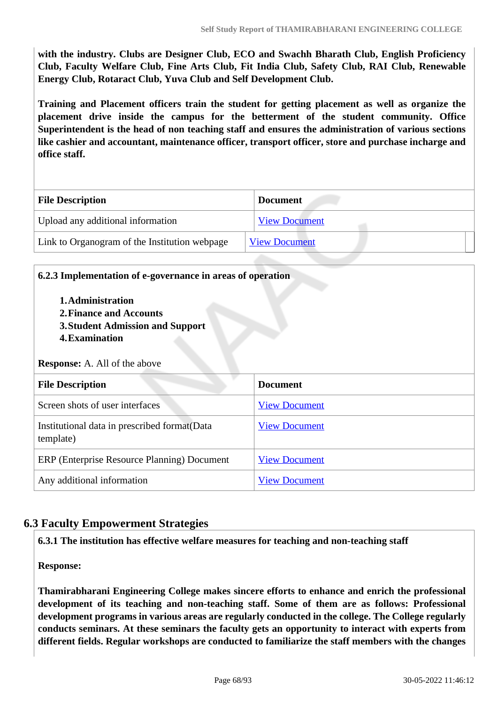**with the industry. Clubs are Designer Club, ECO and Swachh Bharath Club, English Proficiency Club, Faculty Welfare Club, Fine Arts Club, Fit India Club, Safety Club, RAI Club, Renewable Energy Club, Rotaract Club, Yuva Club and Self Development Club.**

**Training and Placement officers train the student for getting placement as well as organize the placement drive inside the campus for the betterment of the student community. Office Superintendent is the head of non teaching staff and ensures the administration of various sections like cashier and accountant, maintenance officer, transport officer, store and purchase incharge and office staff.**

| <b>File Description</b>                       | <b>Document</b>      |
|-----------------------------------------------|----------------------|
| Upload any additional information             | <b>View Document</b> |
| Link to Organogram of the Institution webpage | <b>View Document</b> |

| 6.2.3 Implementation of e-governance in areas of operation<br>1. Administration<br>2. Finance and Accounts<br>3. Student Admission and Support<br>4. Examination<br><b>Response:</b> A. All of the above |                      |  |
|----------------------------------------------------------------------------------------------------------------------------------------------------------------------------------------------------------|----------------------|--|
| <b>File Description</b>                                                                                                                                                                                  | <b>Document</b>      |  |
| Screen shots of user interfaces                                                                                                                                                                          | <b>View Document</b> |  |
| Institutional data in prescribed format (Data<br>template)                                                                                                                                               | <b>View Document</b> |  |
| ERP (Enterprise Resource Planning) Document                                                                                                                                                              | <b>View Document</b> |  |
| Any additional information                                                                                                                                                                               | <b>View Document</b> |  |

# **6.3 Faculty Empowerment Strategies**

**6.3.1 The institution has effective welfare measures for teaching and non-teaching staff**

**Response:** 

**Thamirabharani Engineering College makes sincere efforts to enhance and enrich the professional development of its teaching and non-teaching staff. Some of them are as follows: Professional development programs in various areas are regularly conducted in the college. The College regularly conducts seminars. At these seminars the faculty gets an opportunity to interact with experts from different fields. Regular workshops are conducted to familiarize the staff members with the changes**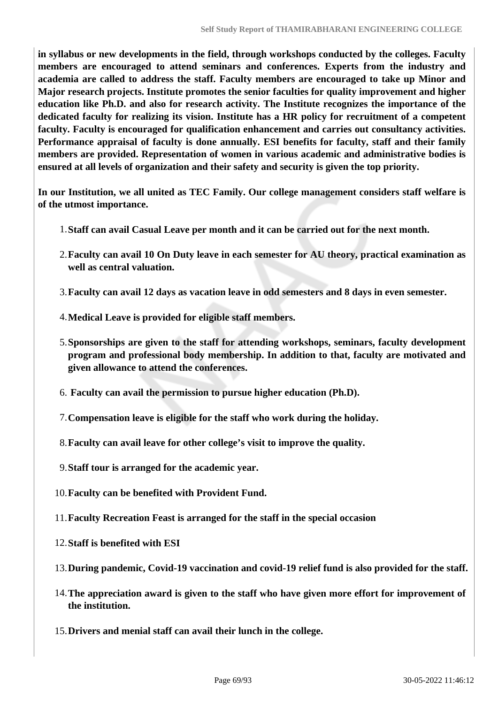**in syllabus or new developments in the field, through workshops conducted by the colleges. Faculty members are encouraged to attend seminars and conferences. Experts from the industry and academia are called to address the staff. Faculty members are encouraged to take up Minor and Major research projects. Institute promotes the senior faculties for quality improvement and higher education like Ph.D. and also for research activity. The Institute recognizes the importance of the dedicated faculty for realizing its vision. Institute has a HR policy for recruitment of a competent faculty. Faculty is encouraged for qualification enhancement and carries out consultancy activities. Performance appraisal of faculty is done annually. ESI benefits for faculty, staff and their family members are provided. Representation of women in various academic and administrative bodies is ensured at all levels of organization and their safety and security is given the top priority.**

**In our Institution, we all united as TEC Family. Our college management considers staff welfare is of the utmost importance.**

- 1.**Staff can avail Casual Leave per month and it can be carried out for the next month.**
- 2.**Faculty can avail 10 On Duty leave in each semester for AU theory, practical examination as well as central valuation.**
- 3.**Faculty can avail 12 days as vacation leave in odd semesters and 8 days in even semester.**
- 4.**Medical Leave is provided for eligible staff members.**
- 5.**Sponsorships are given to the staff for attending workshops, seminars, faculty development program and professional body membership. In addition to that, faculty are motivated and given allowance to attend the conferences.**
- 6. **Faculty can avail the permission to pursue higher education (Ph.D).**
- 7.**Compensation leave is eligible for the staff who work during the holiday.**
- 8.**Faculty can avail leave for other college's visit to improve the quality.**
- 9.**Staff tour is arranged for the academic year.**
- 10.**Faculty can be benefited with Provident Fund.**
- 11.**Faculty Recreation Feast is arranged for the staff in the special occasion**
- 12.**Staff is benefited with ESI**
- 13.**During pandemic, Covid-19 vaccination and covid-19 relief fund is also provided for the staff.**
- 14.**The appreciation award is given to the staff who have given more effort for improvement of the institution.**
- 15.**Drivers and menial staff can avail their lunch in the college.**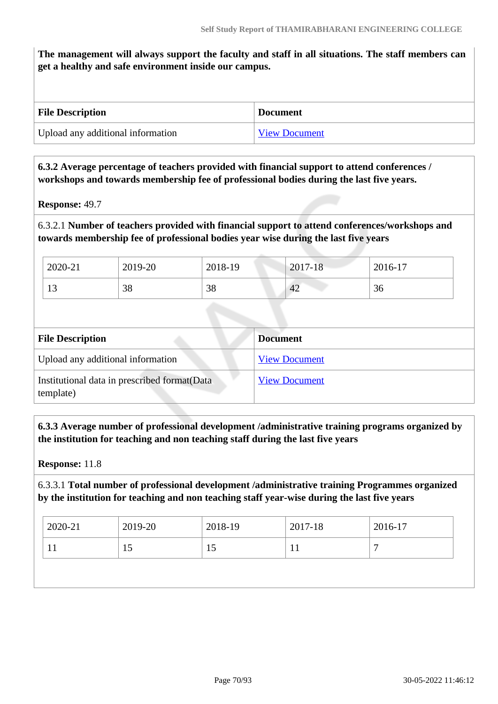**The management will always support the faculty and staff in all situations. The staff members can get a healthy and safe environment inside our campus.**

| <b>File Description</b>           | <b>Document</b>      |
|-----------------------------------|----------------------|
| Upload any additional information | <b>View Document</b> |

#### **6.3.2 Average percentage of teachers provided with financial support to attend conferences / workshops and towards membership fee of professional bodies during the last five years.**

**Response:** 49.7

6.3.2.1 **Number of teachers provided with financial support to attend conferences/workshops and towards membership fee of professional bodies year wise during the last five years**

| 2020-21 | 2019-20 | 2018-19 | 2017-18 | 2016-17 |
|---------|---------|---------|---------|---------|
| 13      | 38      | 38      | 42      | 36      |

| <b>File Description</b>                                    | <b>Document</b>      |
|------------------------------------------------------------|----------------------|
| Upload any additional information                          | <b>View Document</b> |
| Institutional data in prescribed format (Data<br>template) | <b>View Document</b> |

 **6.3.3 Average number of professional development /administrative training programs organized by the institution for teaching and non teaching staff during the last five years**

**Response:** 11.8

#### 6.3.3.1 **Total number of professional development /administrative training Programmes organized by the institution for teaching and non teaching staff year-wise during the last five years**

| 2020-21 | 2019-20 | $2018-19$ | 2017-18 | 2016-17 |
|---------|---------|-----------|---------|---------|
|         | 19      | 15        | . .     |         |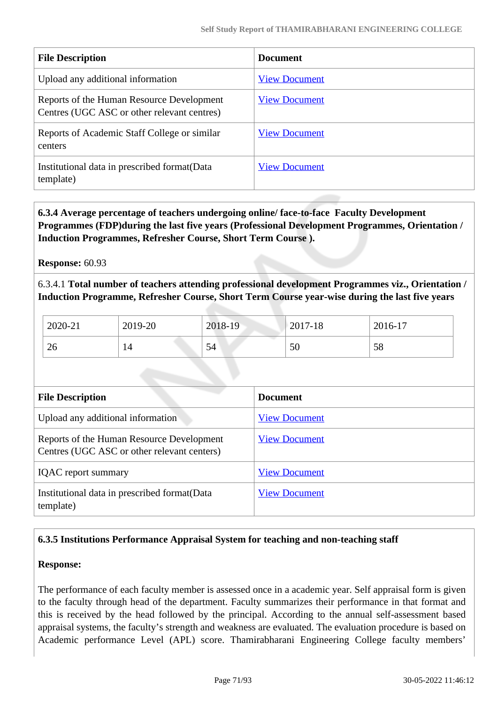| <b>File Description</b>                                                                  | <b>Document</b>      |
|------------------------------------------------------------------------------------------|----------------------|
| Upload any additional information                                                        | <b>View Document</b> |
| Reports of the Human Resource Development<br>Centres (UGC ASC or other relevant centres) | <b>View Document</b> |
| Reports of Academic Staff College or similar<br>centers                                  | <b>View Document</b> |
| Institutional data in prescribed format (Data<br>template)                               | <b>View Document</b> |

 **6.3.4 Average percentage of teachers undergoing online/ face-to-face Faculty Development Programmes (FDP)during the last five years (Professional Development Programmes, Orientation / Induction Programmes, Refresher Course, Short Term Course ).**

**Response:** 60.93

6.3.4.1 **Total number of teachers attending professional development Programmes viz., Orientation / Induction Programme, Refresher Course, Short Term Course year-wise during the last five years**

| 2020-21 | 2019-20 | 2018-19 | 2017-18 | 2016-17 |
|---------|---------|---------|---------|---------|
| 26      | 14      | 54      | 50      | 58      |

| <b>File Description</b>                                                                  | <b>Document</b>      |
|------------------------------------------------------------------------------------------|----------------------|
| Upload any additional information                                                        | <b>View Document</b> |
| Reports of the Human Resource Development<br>Centres (UGC ASC or other relevant centers) | <b>View Document</b> |
| <b>IQAC</b> report summary                                                               | <b>View Document</b> |
| Institutional data in prescribed format (Data<br>template)                               | <b>View Document</b> |

## **6.3.5 Institutions Performance Appraisal System for teaching and non-teaching staff**

#### **Response:**

The performance of each faculty member is assessed once in a academic year. Self appraisal form is given to the faculty through head of the department. Faculty summarizes their performance in that format and this is received by the head followed by the principal. According to the annual self-assessment based appraisal systems, the faculty's strength and weakness are evaluated. The evaluation procedure is based on Academic performance Level (APL) score. Thamirabharani Engineering College faculty members'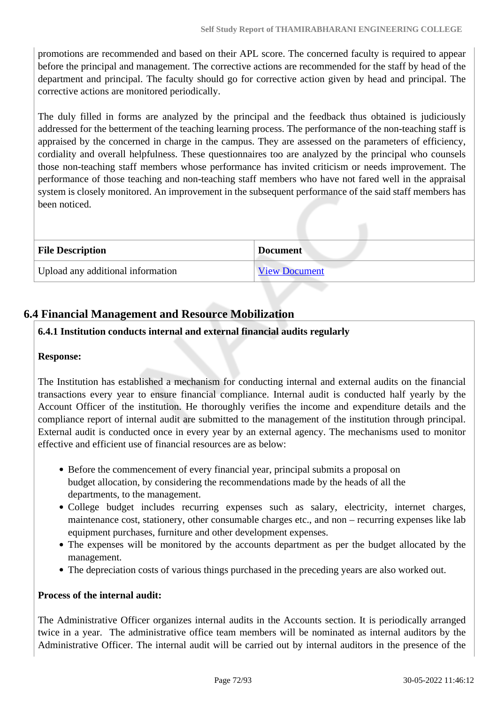promotions are recommended and based on their APL score. The concerned faculty is required to appear before the principal and management. The corrective actions are recommended for the staff by head of the department and principal. The faculty should go for corrective action given by head and principal. The corrective actions are monitored periodically.

The duly filled in forms are analyzed by the principal and the feedback thus obtained is judiciously addressed for the betterment of the teaching learning process. The performance of the non-teaching staff is appraised by the concerned in charge in the campus. They are assessed on the parameters of efficiency, cordiality and overall helpfulness. These questionnaires too are analyzed by the principal who counsels those non-teaching staff members whose performance has invited criticism or needs improvement. The performance of those teaching and non-teaching staff members who have not fared well in the appraisal system is closely monitored. An improvement in the subsequent performance of the said staff members has been noticed.

| <b>File Description</b>           | <b>Document</b>      |
|-----------------------------------|----------------------|
| Upload any additional information | <b>View Document</b> |

# **6.4 Financial Management and Resource Mobilization**

## **6.4.1 Institution conducts internal and external financial audits regularly**

#### **Response:**

The Institution has established a mechanism for conducting internal and external audits on the financial transactions every year to ensure financial compliance. Internal audit is conducted half yearly by the Account Officer of the institution. He thoroughly verifies the income and expenditure details and the compliance report of internal audit are submitted to the management of the institution through principal. External audit is conducted once in every year by an external agency. The mechanisms used to monitor effective and efficient use of financial resources are as below:

- Before the commencement of every financial year, principal submits a proposal on budget allocation, by considering the recommendations made by the heads of all the departments, to the management.
- College budget includes recurring expenses such as salary, electricity, internet charges, maintenance cost, stationery, other consumable charges etc., and non – recurring expenses like lab equipment purchases, furniture and other development expenses.
- The expenses will be monitored by the accounts department as per the budget allocated by the management.
- The depreciation costs of various things purchased in the preceding years are also worked out.

#### **Process of the internal audit:**

The Administrative Officer organizes internal audits in the Accounts section. It is periodically arranged twice in a year. The administrative office team members will be nominated as internal auditors by the Administrative Officer. The internal audit will be carried out by internal auditors in the presence of the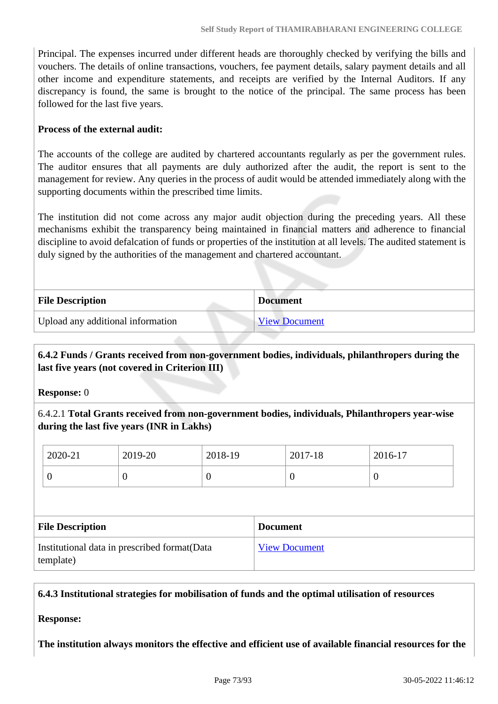Principal. The expenses incurred under different heads are thoroughly checked by verifying the bills and vouchers. The details of online transactions, vouchers, fee payment details, salary payment details and all other income and expenditure statements, and receipts are verified by the Internal Auditors. If any discrepancy is found, the same is brought to the notice of the principal. The same process has been followed for the last five years.

#### **Process of the external audit:**

The accounts of the college are audited by chartered accountants regularly as per the government rules. The auditor ensures that all payments are duly authorized after the audit, the report is sent to the management for review. Any queries in the process of audit would be attended immediately along with the supporting documents within the prescribed time limits.

The institution did not come across any major audit objection during the preceding years. All these mechanisms exhibit the transparency being maintained in financial matters and adherence to financial discipline to avoid defalcation of funds or properties of the institution at all levels. The audited statement is duly signed by the authorities of the management and chartered accountant.

| <b>File Description</b>           | <b>Document</b>      |
|-----------------------------------|----------------------|
| Upload any additional information | <b>View Document</b> |

## **6.4.2 Funds / Grants received from non-government bodies, individuals, philanthropers during the last five years (not covered in Criterion III)**

**Response:** 0

6.4.2.1 **Total Grants received from non-government bodies, individuals, Philanthropers year-wise during the last five years (INR in Lakhs)**

|                                                            | 2020-21        | 2019-20         | 2018-19              |  | 2017-18        | 2016-17        |
|------------------------------------------------------------|----------------|-----------------|----------------------|--|----------------|----------------|
|                                                            | $\overline{0}$ | $\theta$        | $\overline{0}$       |  | $\overline{0}$ | $\overline{0}$ |
|                                                            |                |                 |                      |  |                |                |
| <b>File Description</b>                                    |                | <b>Document</b> |                      |  |                |                |
| Institutional data in prescribed format (Data<br>template) |                |                 | <b>View Document</b> |  |                |                |

**6.4.3 Institutional strategies for mobilisation of funds and the optimal utilisation of resources**

**Response:** 

**The institution always monitors the effective and efficient use of available financial resources for the**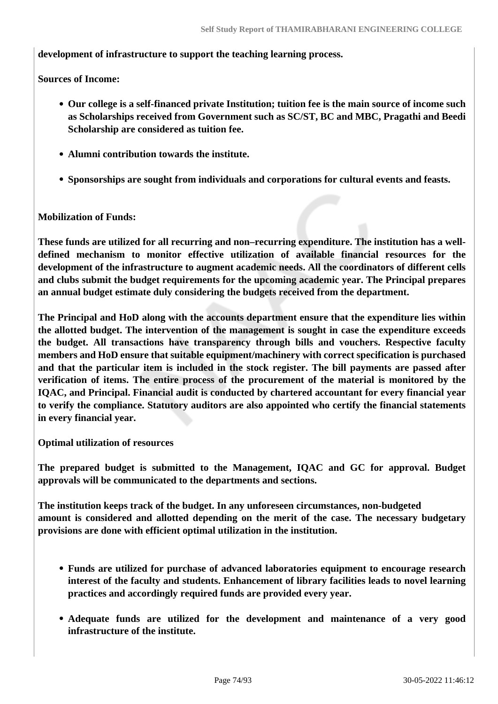#### **development of infrastructure to support the teaching learning process.**

**Sources of Income:**

- **Our college is a self-financed private Institution; tuition fee is the main source of income such as Scholarships received from Government such as SC/ST, BC and MBC, Pragathi and Beedi Scholarship are considered as tuition fee.**
- **Alumni contribution towards the institute.**
- **Sponsorships are sought from individuals and corporations for cultural events and feasts.**

#### **Mobilization of Funds:**

**These funds are utilized for all recurring and non–recurring expenditure. The institution has a welldefined mechanism to monitor effective utilization of available financial resources for the development of the infrastructure to augment academic needs. All the coordinators of different cells and clubs submit the budget requirements for the upcoming academic year. The Principal prepares an annual budget estimate duly considering the budgets received from the department.**

**The Principal and HoD along with the accounts department ensure that the expenditure lies within the allotted budget. The intervention of the management is sought in case the expenditure exceeds the budget. All transactions have transparency through bills and vouchers. Respective faculty members and HoD ensure that suitable equipment/machinery with correct specification is purchased and that the particular item is included in the stock register. The bill payments are passed after verification of items. The entire process of the procurement of the material is monitored by the IQAC, and Principal. Financial audit is conducted by chartered accountant for every financial year to verify the compliance. Statutory auditors are also appointed who certify the financial statements in every financial year.**

**Optimal utilization of resources**

**The prepared budget is submitted to the Management, IQAC and GC for approval. Budget approvals will be communicated to the departments and sections.**

**The institution keeps track of the budget. In any unforeseen circumstances, non-budgeted amount is considered and allotted depending on the merit of the case. The necessary budgetary provisions are done with efficient optimal utilization in the institution.**

- **Funds are utilized for purchase of advanced laboratories equipment to encourage research interest of the faculty and students. Enhancement of library facilities leads to novel learning practices and accordingly required funds are provided every year.**
- **Adequate funds are utilized for the development and maintenance of a very good infrastructure of the institute.**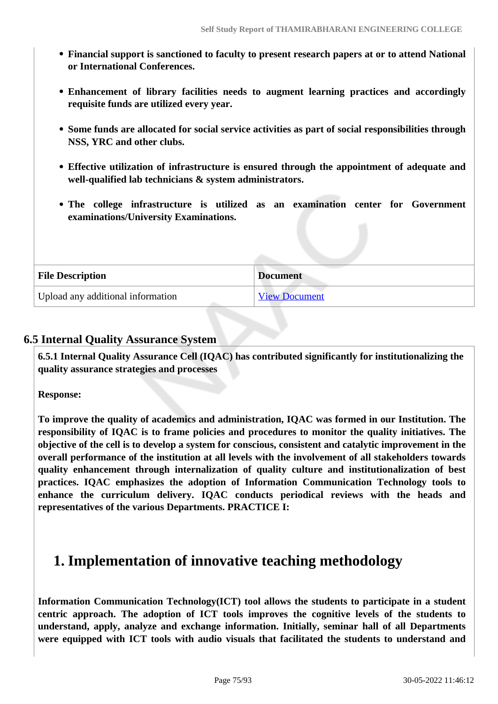- **Financial support is sanctioned to faculty to present research papers at or to attend National or International Conferences.**
- **Enhancement of library facilities needs to augment learning practices and accordingly requisite funds are utilized every year.**
- **Some funds are allocated for social service activities as part of social responsibilities through NSS, YRC and other clubs.**
- **Effective utilization of infrastructure is ensured through the appointment of adequate and well-qualified lab technicians & system administrators.**
- **The college infrastructure is utilized as an examination center for Government examinations/University Examinations.**

| <b>File Description</b>           | <b>Document</b>      |
|-----------------------------------|----------------------|
| Upload any additional information | <b>View Document</b> |

## **6.5 Internal Quality Assurance System**

 **6.5.1 Internal Quality Assurance Cell (IQAC) has contributed significantly for institutionalizing the quality assurance strategies and processes**

**Response:** 

**To improve the quality of academics and administration, IQAC was formed in our Institution. The responsibility of IQAC is to frame policies and procedures to monitor the quality initiatives. The objective of the cell is to develop a system for conscious, consistent and catalytic improvement in the overall performance of the institution at all levels with the involvement of all stakeholders towards quality enhancement through internalization of quality culture and institutionalization of best practices. IQAC emphasizes the adoption of Information Communication Technology tools to enhance the curriculum delivery. IQAC conducts periodical reviews with the heads and representatives of the various Departments. PRACTICE I:**

# **1. Implementation of innovative teaching methodology**

**Information Communication Technology(ICT) tool allows the students to participate in a student centric approach. The adoption of ICT tools improves the cognitive levels of the students to understand, apply, analyze and exchange information. Initially, seminar hall of all Departments were equipped with ICT tools with audio visuals that facilitated the students to understand and**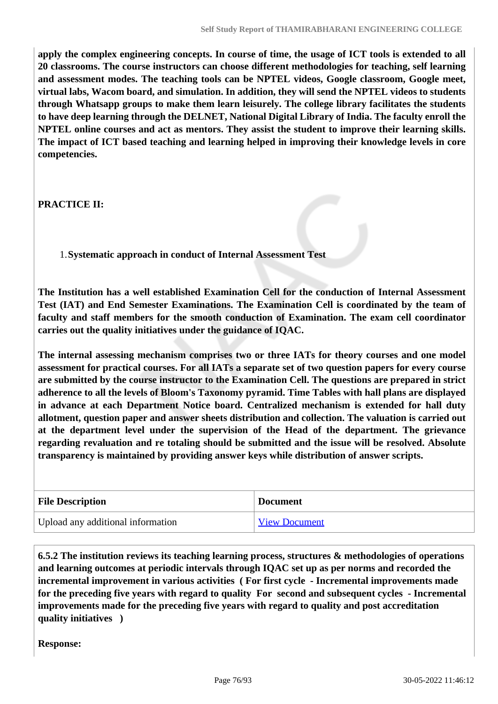**apply the complex engineering concepts. In course of time, the usage of ICT tools is extended to all 20 classrooms. The course instructors can choose different methodologies for teaching, self learning and assessment modes. The teaching tools can be NPTEL videos, Google classroom, Google meet, virtual labs, Wacom board, and simulation. In addition, they will send the NPTEL videos to students through Whatsapp groups to make them learn leisurely. The college library facilitates the students to have deep learning through the DELNET, National Digital Library of India. The faculty enroll the NPTEL online courses and act as mentors. They assist the student to improve their learning skills. The impact of ICT based teaching and learning helped in improving their knowledge levels in core competencies.**

**PRACTICE II:**

1.**Systematic approach in conduct of Internal Assessment Test**

**The Institution has a well established Examination Cell for the conduction of Internal Assessment Test (IAT) and End Semester Examinations. The Examination Cell is coordinated by the team of faculty and staff members for the smooth conduction of Examination. The exam cell coordinator carries out the quality initiatives under the guidance of IQAC.**

**The internal assessing mechanism comprises two or three IATs for theory courses and one model assessment for practical courses. For all IATs a separate set of two question papers for every course are submitted by the course instructor to the Examination Cell. The questions are prepared in strict adherence to all the levels of Bloom's Taxonomy pyramid. Time Tables with hall plans are displayed in advance at each Department Notice board. Centralized mechanism is extended for hall duty allotment, question paper and answer sheets distribution and collection. The valuation is carried out at the department level under the supervision of the Head of the department. The grievance regarding revaluation and re totaling should be submitted and the issue will be resolved. Absolute transparency is maintained by providing answer keys while distribution of answer scripts.** 

| <b>File Description</b>           | <b>Document</b> |
|-----------------------------------|-----------------|
| Upload any additional information | View Document   |

 **6.5.2 The institution reviews its teaching learning process, structures & methodologies of operations and learning outcomes at periodic intervals through IQAC set up as per norms and recorded the incremental improvement in various activities ( For first cycle - Incremental improvements made for the preceding five years with regard to quality For second and subsequent cycles - Incremental improvements made for the preceding five years with regard to quality and post accreditation quality initiatives )** 

**Response:**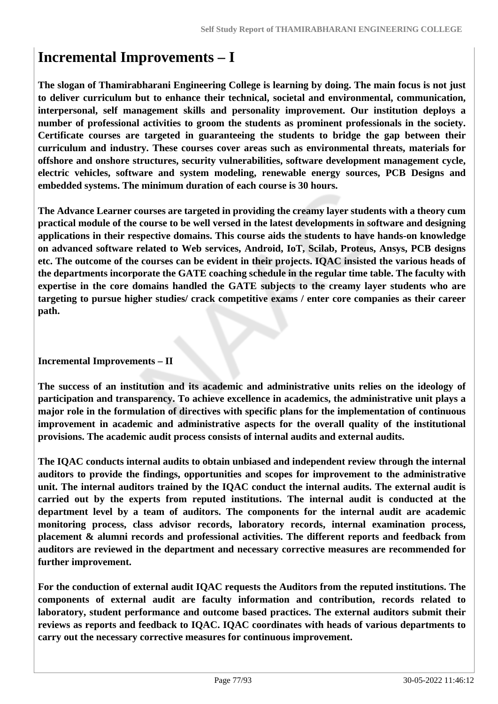# **Incremental Improvements – I**

**The slogan of Thamirabharani Engineering College is learning by doing. The main focus is not just to deliver curriculum but to enhance their technical, societal and environmental, communication, interpersonal, self management skills and personality improvement. Our institution deploys a number of professional activities to groom the students as prominent professionals in the society. Certificate courses are targeted in guaranteeing the students to bridge the gap between their curriculum and industry. These courses cover areas such as environmental threats, materials for offshore and onshore structures, security vulnerabilities, software development management cycle, electric vehicles, software and system modeling, renewable energy sources, PCB Designs and embedded systems. The minimum duration of each course is 30 hours.** 

**The Advance Learner courses are targeted in providing the creamy layer students with a theory cum practical module of the course to be well versed in the latest developments in software and designing applications in their respective domains. This course aids the students to have hands-on knowledge on advanced software related to Web services, Android, IoT, Scilab, Proteus, Ansys, PCB designs etc. The outcome of the courses can be evident in their projects. IQAC insisted the various heads of the departments incorporate the GATE coaching schedule in the regular time table. The faculty with expertise in the core domains handled the GATE subjects to the creamy layer students who are targeting to pursue higher studies/ crack competitive exams / enter core companies as their career path.**

### **Incremental Improvements – II**

**The success of an institution and its academic and administrative units relies on the ideology of participation and transparency. To achieve excellence in academics, the administrative unit plays a major role in the formulation of directives with specific plans for the implementation of continuous improvement in academic and administrative aspects for the overall quality of the institutional provisions. The academic audit process consists of internal audits and external audits.** 

**The IQAC conducts internal audits to obtain unbiased and independent review through the internal auditors to provide the findings, opportunities and scopes for improvement to the administrative unit. The internal auditors trained by the IQAC conduct the internal audits. The external audit is carried out by the experts from reputed institutions. The internal audit is conducted at the department level by a team of auditors. The components for the internal audit are academic monitoring process, class advisor records, laboratory records, internal examination process, placement & alumni records and professional activities. The different reports and feedback from auditors are reviewed in the department and necessary corrective measures are recommended for further improvement.** 

**For the conduction of external audit IQAC requests the Auditors from the reputed institutions. The components of external audit are faculty information and contribution, records related to laboratory, student performance and outcome based practices. The external auditors submit their reviews as reports and feedback to IQAC. IQAC coordinates with heads of various departments to carry out the necessary corrective measures for continuous improvement.**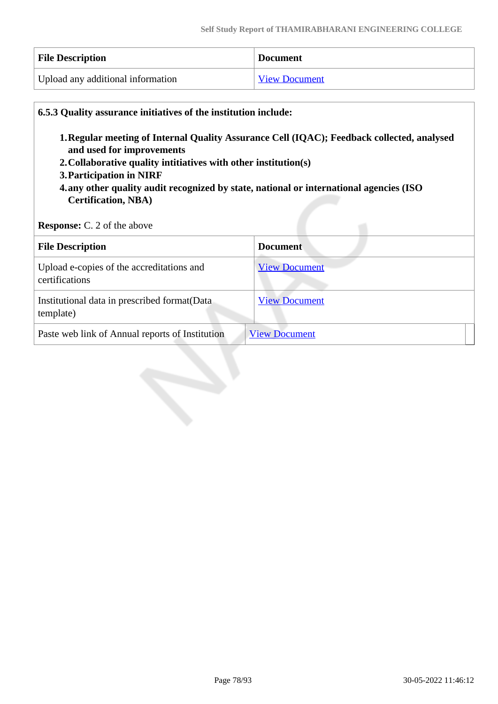| <b>File Description</b>           | <b>Document</b>      |
|-----------------------------------|----------------------|
| Upload any additional information | <b>View Document</b> |

| 1. Regular meeting of Internal Quality Assurance Cell (IQAC); Feedback collected, analysed<br>and used for improvements<br>2. Collaborative quality intitiatives with other institution(s)<br>3. Participation in NIRF<br>4.any other quality audit recognized by state, national or international agencies (ISO<br><b>Certification, NBA)</b><br><b>Response:</b> C. 2 of the above |                      |  |
|--------------------------------------------------------------------------------------------------------------------------------------------------------------------------------------------------------------------------------------------------------------------------------------------------------------------------------------------------------------------------------------|----------------------|--|
| <b>File Description</b>                                                                                                                                                                                                                                                                                                                                                              | <b>Document</b>      |  |
| Upload e-copies of the accreditations and<br>certifications                                                                                                                                                                                                                                                                                                                          | <b>View Document</b> |  |
| Institutional data in prescribed format (Data<br>template)                                                                                                                                                                                                                                                                                                                           | <b>View Document</b> |  |
|                                                                                                                                                                                                                                                                                                                                                                                      |                      |  |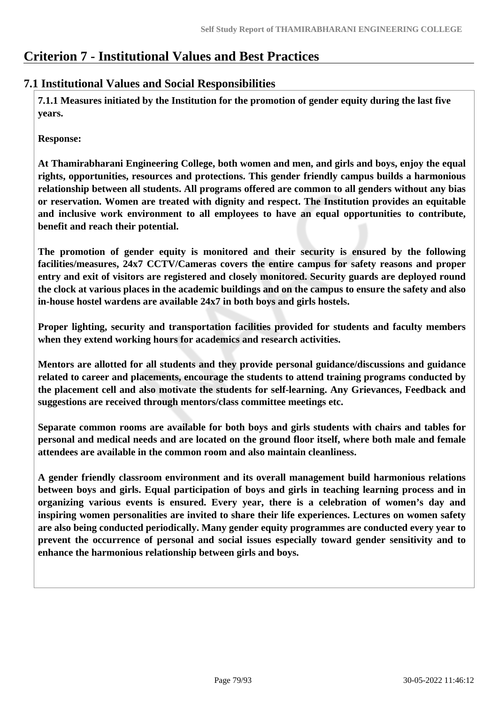# **Criterion 7 - Institutional Values and Best Practices**

## **7.1 Institutional Values and Social Responsibilities**

 **7.1.1 Measures initiated by the Institution for the promotion of gender equity during the last five years.**

**Response:** 

**At Thamirabharani Engineering College, both women and men, and girls and boys, enjoy the equal rights, opportunities, resources and protections. This gender friendly campus builds a harmonious relationship between all students. All programs offered are common to all genders without any bias or reservation. Women are treated with dignity and respect. The Institution provides an equitable and inclusive work environment to all employees to have an equal opportunities to contribute, benefit and reach their potential.**

**The promotion of gender equity is monitored and their security is ensured by the following facilities/measures, 24x7 CCTV/Cameras covers the entire campus for safety reasons and proper entry and exit of visitors are registered and closely monitored. Security guards are deployed round the clock at various places in the academic buildings and on the campus to ensure the safety and also in-house hostel wardens are available 24x7 in both boys and girls hostels.**

**Proper lighting, security and transportation facilities provided for students and faculty members when they extend working hours for academics and research activities.**

**Mentors are allotted for all students and they provide personal guidance/discussions and guidance related to career and placements, encourage the students to attend training programs conducted by the placement cell and also motivate the students for self-learning. Any Grievances, Feedback and suggestions are received through mentors/class committee meetings etc.** 

**Separate common rooms are available for both boys and girls students with chairs and tables for personal and medical needs and are located on the ground floor itself, where both male and female attendees are available in the common room and also maintain cleanliness.**

**A gender friendly classroom environment and its overall management build harmonious relations between boys and girls. Equal participation of boys and girls in teaching learning process and in organizing various events is ensured. Every year, there is a celebration of women's day and inspiring women personalities are invited to share their life experiences. Lectures on women safety are also being conducted periodically. Many gender equity programmes are conducted every year to prevent the occurrence of personal and social issues especially toward gender sensitivity and to enhance the harmonious relationship between girls and boys.**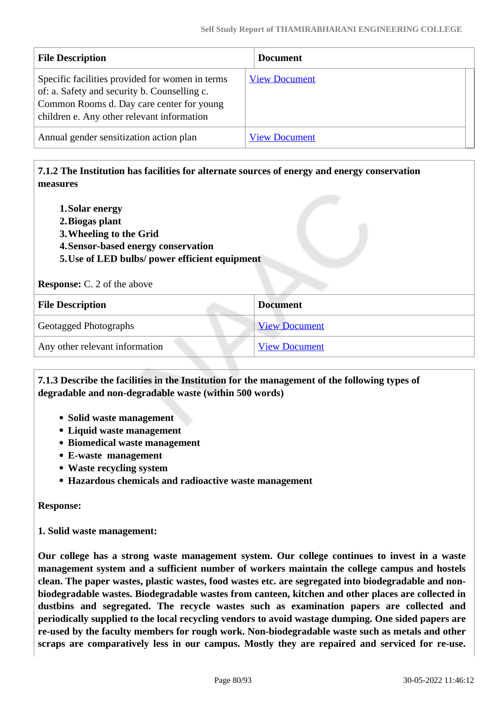| <b>File Description</b>                                                                                                                                                                    | <b>Document</b>      |  |
|--------------------------------------------------------------------------------------------------------------------------------------------------------------------------------------------|----------------------|--|
| Specific facilities provided for women in terms<br>of: a. Safety and security b. Counselling c.<br>Common Rooms d. Day care center for young<br>children e. Any other relevant information | <b>View Document</b> |  |
| Annual gender sensitization action plan                                                                                                                                                    | <b>View Document</b> |  |

## **7.1.2 The Institution has facilities for alternate sources of energy and energy conservation measures**

- **1.Solar energy**
- **2.Biogas plant**
- **3.Wheeling to the Grid**
- **4.Sensor-based energy conservation**
- **5.Use of LED bulbs/ power efficient equipment**

**Response:** C. 2 of the above

| <b>File Description</b>        | <b>Document</b>      |
|--------------------------------|----------------------|
| <b>Geotagged Photographs</b>   | <b>View Document</b> |
| Any other relevant information | <b>View Document</b> |

#### **7.1.3 Describe the facilities in the Institution for the management of the following types of degradable and non-degradable waste (within 500 words)**

- **Solid waste management**
- **Liquid waste management**
- **Biomedical waste management**
- **E-waste management**
- **Waste recycling system**
- **Hazardous chemicals and radioactive waste management**

**Response:** 

**1. Solid waste management:**

**Our college has a strong waste management system. Our college continues to invest in a waste management system and a sufficient number of workers maintain the college campus and hostels clean. The paper wastes, plastic wastes, food wastes etc. are segregated into biodegradable and nonbiodegradable wastes. Biodegradable wastes from canteen, kitchen and other places are collected in dustbins and segregated. The recycle wastes such as examination papers are collected and periodically supplied to the local recycling vendors to avoid wastage dumping. One sided papers are re-used by the faculty members for rough work. Non-biodegradable waste such as metals and other scraps are comparatively less in our campus. Mostly they are repaired and serviced for re-use.**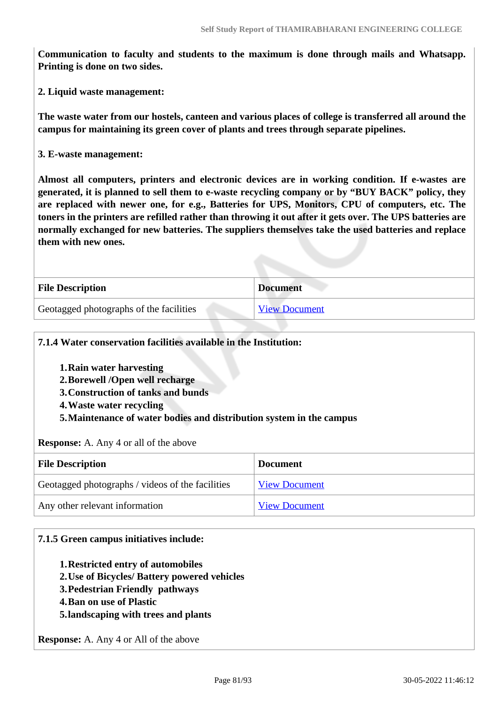**Communication to faculty and students to the maximum is done through mails and Whatsapp. Printing is done on two sides.**

**2. Liquid waste management:**

**The waste water from our hostels, canteen and various places of college is transferred all around the campus for maintaining its green cover of plants and trees through separate pipelines.** 

**3. E-waste management:**

**Almost all computers, printers and electronic devices are in working condition. If e-wastes are generated, it is planned to sell them to e-waste recycling company or by "BUY BACK" policy, they are replaced with newer one, for e.g., Batteries for UPS, Monitors, CPU of computers, etc. The toners in the printers are refilled rather than throwing it out after it gets over. The UPS batteries are normally exchanged for new batteries. The suppliers themselves take the used batteries and replace them with new ones.**

| <b>File Description</b>                 | <b>Document</b>      |
|-----------------------------------------|----------------------|
| Geotagged photographs of the facilities | <b>View Document</b> |

| 7.1.4 Water conservation facilities available in the Institution:<br>1. Rain water harvesting<br>2. Borewell / Open well recharge<br>3. Construction of tanks and bunds<br>4. Waste water recycling<br>5. Maintenance of water bodies and distribution system in the campus<br><b>Response:</b> A. Any 4 or all of the above |                      |
|------------------------------------------------------------------------------------------------------------------------------------------------------------------------------------------------------------------------------------------------------------------------------------------------------------------------------|----------------------|
| <b>File Description</b>                                                                                                                                                                                                                                                                                                      | <b>Document</b>      |
| Geotagged photographs / videos of the facilities                                                                                                                                                                                                                                                                             | <b>View Document</b> |
|                                                                                                                                                                                                                                                                                                                              |                      |

#### **7.1.5 Green campus initiatives include:**

- **1.Restricted entry of automobiles**
- **2.Use of Bicycles/ Battery powered vehicles**
- **3.Pedestrian Friendly pathways**
- **4.Ban on use of Plastic**
- **5.landscaping with trees and plants**

**Response:** A. Any 4 or All of the above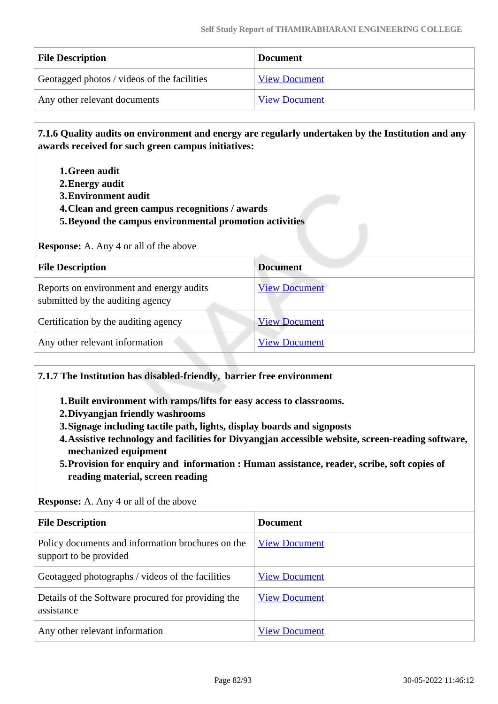| <b>File Description</b>                     | <b>Document</b>      |
|---------------------------------------------|----------------------|
| Geotagged photos / videos of the facilities | <b>View Document</b> |
| Any other relevant documents                | <b>View Document</b> |

 **7.1.6 Quality audits on environment and energy are regularly undertaken by the Institution and any awards received for such green campus initiatives:**

- **1.Green audit**
- **2.Energy audit**
- **3.Environment audit**
- **4.Clean and green campus recognitions / awards**
- **5.Beyond the campus environmental promotion activities**

**Response:** A. Any 4 or all of the above

| <b>File Description</b>                                                      | <b>Document</b>      |
|------------------------------------------------------------------------------|----------------------|
| Reports on environment and energy audits<br>submitted by the auditing agency | <b>View Document</b> |
| Certification by the auditing agency                                         | <b>View Document</b> |
| Any other relevant information                                               | <b>View Document</b> |

#### **7.1.7 The Institution has disabled-friendly, barrier free environment**

- **1.Built environment with ramps/lifts for easy access to classrooms.**
- **2.Divyangjan friendly washrooms**
- **3.Signage including tactile path, lights, display boards and signposts**
- **4.Assistive technology and facilities for Divyangjan accessible website, screen-reading software, mechanized equipment**
- **5.Provision for enquiry and information : Human assistance, reader, scribe, soft copies of reading material, screen reading**

**Response:** A. Any 4 or all of the above

| <b>File Description</b>                                                     | <b>Document</b>      |
|-----------------------------------------------------------------------------|----------------------|
| Policy documents and information brochures on the<br>support to be provided | <b>View Document</b> |
| Geotagged photographs / videos of the facilities                            | <b>View Document</b> |
| Details of the Software procured for providing the<br>assistance            | <b>View Document</b> |
| Any other relevant information                                              | <b>View Document</b> |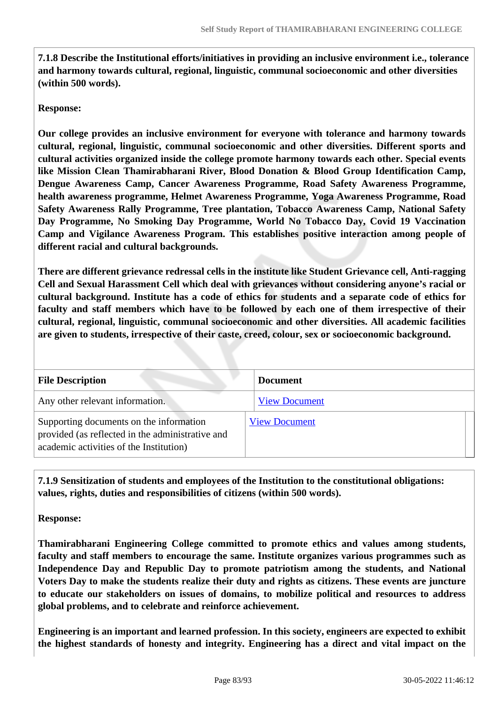**7.1.8 Describe the Institutional efforts/initiatives in providing an inclusive environment i.e., tolerance and harmony towards cultural, regional, linguistic, communal socioeconomic and other diversities (within 500 words).**

#### **Response:**

**Our college provides an inclusive environment for everyone with tolerance and harmony towards cultural, regional, linguistic, communal socioeconomic and other diversities. Different sports and cultural activities organized inside the college promote harmony towards each other. Special events like Mission Clean Thamirabharani River, Blood Donation & Blood Group Identification Camp, Dengue Awareness Camp, Cancer Awareness Programme, Road Safety Awareness Programme, health awareness programme, Helmet Awareness Programme, Yoga Awareness Programme, Road Safety Awareness Rally Programme, Tree plantation, Tobacco Awareness Camp, National Safety Day Programme, No Smoking Day Programme, World No Tobacco Day, Covid 19 Vaccination Camp and Vigilance Awareness Program. This establishes positive interaction among people of different racial and cultural backgrounds.** 

**There are different grievance redressal cells in the institute like Student Grievance cell, Anti-ragging Cell and Sexual Harassment Cell which deal with grievances without considering anyone's racial or cultural background. Institute has a code of ethics for students and a separate code of ethics for faculty and staff members which have to be followed by each one of them irrespective of their cultural, regional, linguistic, communal socioeconomic and other diversities. All academic facilities are given to students, irrespective of their caste, creed, colour, sex or socioeconomic background.**

| <b>File Description</b>                                                                                                                | <b>Document</b>      |
|----------------------------------------------------------------------------------------------------------------------------------------|----------------------|
| Any other relevant information.                                                                                                        | <b>View Document</b> |
| Supporting documents on the information<br>provided (as reflected in the administrative and<br>academic activities of the Institution) | <b>View Document</b> |

 **7.1.9 Sensitization of students and employees of the Institution to the constitutional obligations: values, rights, duties and responsibilities of citizens (within 500 words).**

**Response:** 

**Thamirabharani Engineering College committed to promote ethics and values among students, faculty and staff members to encourage the same. Institute organizes various programmes such as Independence Day and Republic Day to promote patriotism among the students, and National Voters Day to make the students realize their duty and rights as citizens. These events are juncture to educate our stakeholders on issues of domains, to mobilize political and resources to address global problems, and to celebrate and reinforce achievement.**

**Engineering is an important and learned profession. In this society, engineers are expected to exhibit the highest standards of honesty and integrity. Engineering has a direct and vital impact on the**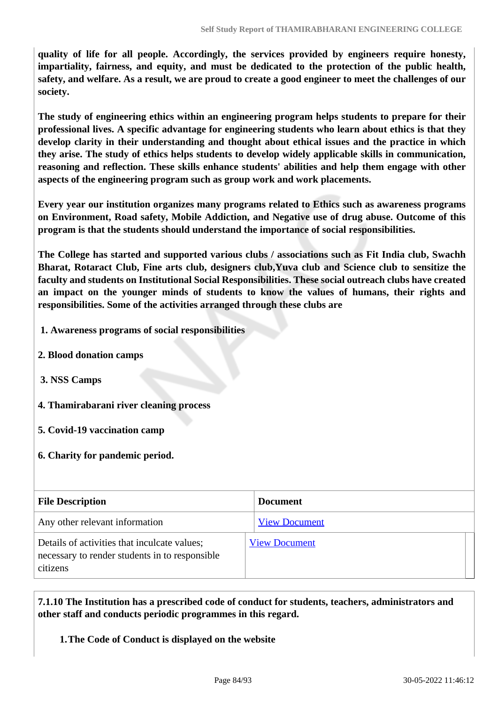**quality of life for all people. Accordingly, the services provided by engineers require honesty, impartiality, fairness, and equity, and must be dedicated to the protection of the public health, safety, and welfare. As a result, we are proud to create a good engineer to meet the challenges of our society.**

**The study of engineering ethics within an engineering program helps students to prepare for their professional lives. A specific advantage for engineering students who learn about ethics is that they develop clarity in their understanding and thought about ethical issues and the practice in which they arise. The study of ethics helps students to develop widely applicable skills in communication, reasoning and reflection. These skills enhance students' abilities and help them engage with other aspects of the engineering program such as group work and work placements.**

**Every year our institution organizes many programs related to Ethics such as awareness programs on Environment, Road safety, Mobile Addiction, and Negative use of drug abuse. Outcome of this program is that the students should understand the importance of social responsibilities.**

**The College has started and supported various clubs / associations such as Fit India club, Swachh Bharat, Rotaract Club, Fine arts club, designers club,Yuva club and Science club to sensitize the faculty and students on Institutional Social Responsibilities. These social outreach clubs have created an impact on the younger minds of students to know the values of humans, their rights and responsibilities. Some of the activities arranged through these clubs are**

- **1. Awareness programs of social responsibilities**
- **2. Blood donation camps**
- **3. NSS Camps**
- **4. Thamirabarani river cleaning process**
- **5. Covid-19 vaccination camp**
- **6. Charity for pandemic period.**

| <b>File Description</b>                                                                                    | <b>Document</b>      |
|------------------------------------------------------------------------------------------------------------|----------------------|
| Any other relevant information                                                                             | <b>View Document</b> |
| Details of activities that inculcate values;<br>necessary to render students in to responsible<br>citizens | <b>View Document</b> |

 **7.1.10 The Institution has a prescribed code of conduct for students, teachers, administrators and other staff and conducts periodic programmes in this regard.** 

**1.The Code of Conduct is displayed on the website**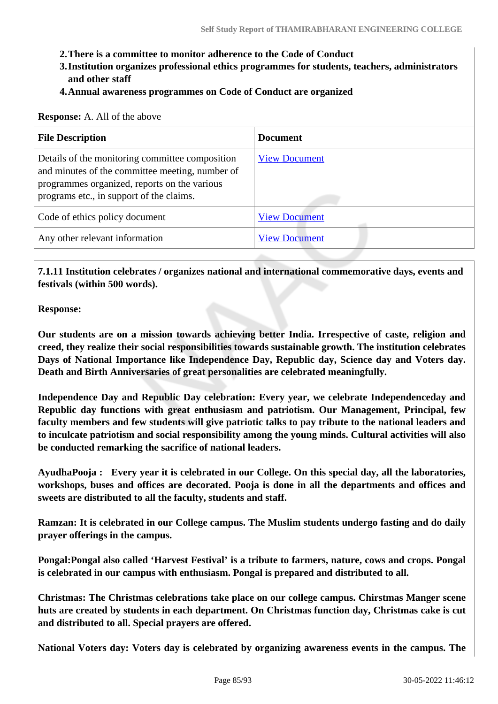- **2.There is a committee to monitor adherence to the Code of Conduct**
- **3.Institution organizes professional ethics programmes for students, teachers, administrators and other staff**
- **4.Annual awareness programmes on Code of Conduct are organized**

**Response:** A. All of the above

| <b>File Description</b>                                                                                                                                                                        | <b>Document</b>      |
|------------------------------------------------------------------------------------------------------------------------------------------------------------------------------------------------|----------------------|
| Details of the monitoring committee composition<br>and minutes of the committee meeting, number of<br>programmes organized, reports on the various<br>programs etc., in support of the claims. | <b>View Document</b> |
| Code of ethics policy document                                                                                                                                                                 | <b>View Document</b> |
| Any other relevant information                                                                                                                                                                 | <b>View Document</b> |

 **7.1.11 Institution celebrates / organizes national and international commemorative days, events and festivals (within 500 words).**

**Response:** 

**Our students are on a mission towards achieving better India. Irrespective of caste, religion and creed, they realize their social responsibilities towards sustainable growth. The institution celebrates Days of National Importance like Independence Day, Republic day, Science day and Voters day. Death and Birth Anniversaries of great personalities are celebrated meaningfully.**

**Independence Day and Republic Day celebration: Every year, we celebrate Independenceday and Republic day functions with great enthusiasm and patriotism. Our Management, Principal, few faculty members and few students will give patriotic talks to pay tribute to the national leaders and to inculcate patriotism and social responsibility among the young minds. Cultural activities will also be conducted remarking the sacrifice of national leaders.** 

**AyudhaPooja : Every year it is celebrated in our College. On this special day, all the laboratories, workshops, buses and offices are decorated. Pooja is done in all the departments and offices and sweets are distributed to all the faculty, students and staff.**

**Ramzan: It is celebrated in our College campus. The Muslim students undergo fasting and do daily prayer offerings in the campus.** 

**Pongal:Pongal also called 'Harvest Festival' is a tribute to farmers, nature, cows and crops. Pongal is celebrated in our campus with enthusiasm. Pongal is prepared and distributed to all.**

**Christmas: The Christmas celebrations take place on our college campus. Chirstmas Manger scene huts are created by students in each department. On Christmas function day, Christmas cake is cut and distributed to all. Special prayers are offered.**

**National Voters day: Voters day is celebrated by organizing awareness events in the campus. The**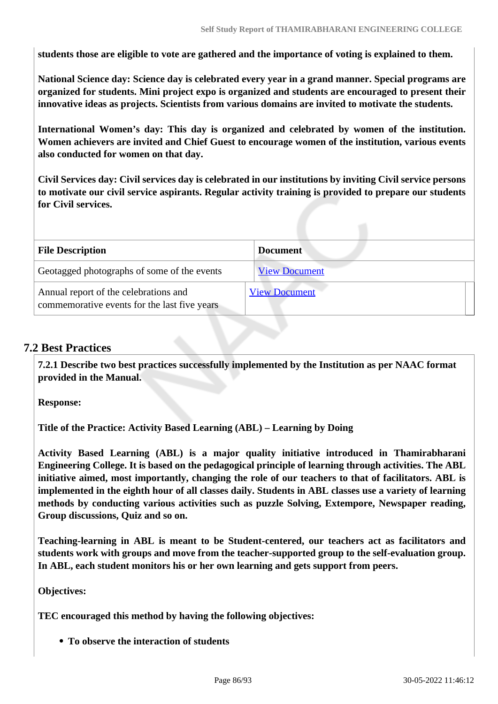**students those are eligible to vote are gathered and the importance of voting is explained to them.**

**National Science day: Science day is celebrated every year in a grand manner. Special programs are organized for students. Mini project expo is organized and students are encouraged to present their innovative ideas as projects. Scientists from various domains are invited to motivate the students.**

**International Women's day: This day is organized and celebrated by women of the institution. Women achievers are invited and Chief Guest to encourage women of the institution, various events also conducted for women on that day.**

**Civil Services day: Civil services day is celebrated in our institutions by inviting Civil service persons to motivate our civil service aspirants. Regular activity training is provided to prepare our students for Civil services.**

| <b>File Description</b>                                                               | <b>Document</b>      |
|---------------------------------------------------------------------------------------|----------------------|
| Geotagged photographs of some of the events                                           | <b>View Document</b> |
| Annual report of the celebrations and<br>commemorative events for the last five years | <b>View Document</b> |

## **7.2 Best Practices**

 **7.2.1 Describe two best practices successfully implemented by the Institution as per NAAC format provided in the Manual.**

**Response:** 

**Title of the Practice: Activity Based Learning (ABL) – Learning by Doing**

**Activity Based Learning (ABL) is a major quality initiative introduced in Thamirabharani Engineering College. It is based on the pedagogical principle of learning through activities. The ABL initiative aimed, most importantly, changing the role of our teachers to that of facilitators. ABL is implemented in the eighth hour of all classes daily. Students in ABL classes use a variety of learning methods by conducting various activities such as puzzle Solving, Extempore, Newspaper reading, Group discussions, Quiz and so on.** 

**Teaching-learning in ABL is meant to be Student-centered, our teachers act as facilitators and students work with groups and move from the teacher-supported group to the self-evaluation group. In ABL, each student monitors his or her own learning and gets support from peers.**

**Objectives:**

**TEC encouraged this method by having the following objectives:**

**To observe the interaction of students**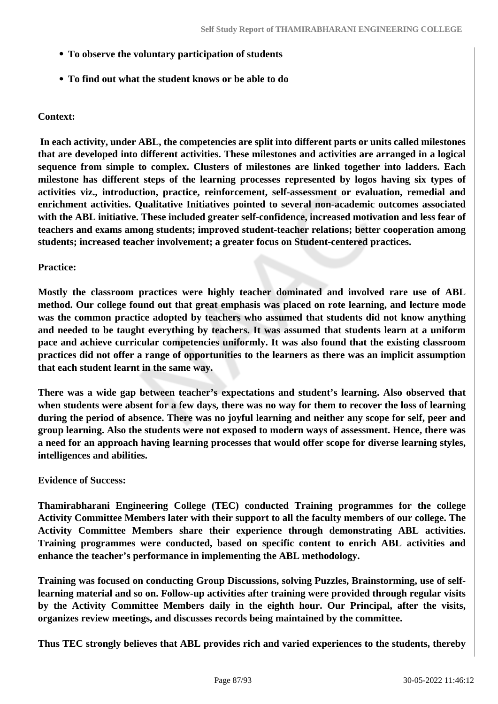- **To observe the voluntary participation of students**
- **To find out what the student knows or be able to do**

### **Context:**

 **In each activity, under ABL, the competencies are split into different parts or units called milestones that are developed into different activities. These milestones and activities are arranged in a logical sequence from simple to complex. Clusters of milestones are linked together into ladders. Each milestone has different steps of the learning processes represented by logos having six types of activities viz., introduction, practice, reinforcement, self-assessment or evaluation, remedial and enrichment activities. Qualitative Initiatives pointed to several non-academic outcomes associated with the ABL initiative. These included greater self-confidence, increased motivation and less fear of teachers and exams among students; improved student-teacher relations; better cooperation among students; increased teacher involvement; a greater focus on Student-centered practices.** 

#### **Practice:**

**Mostly the classroom practices were highly teacher dominated and involved rare use of ABL method. Our college found out that great emphasis was placed on rote learning, and lecture mode was the common practice adopted by teachers who assumed that students did not know anything and needed to be taught everything by teachers. It was assumed that students learn at a uniform pace and achieve curricular competencies uniformly. It was also found that the existing classroom practices did not offer a range of opportunities to the learners as there was an implicit assumption that each student learnt in the same way.** 

**There was a wide gap between teacher's expectations and student's learning. Also observed that when students were absent for a few days, there was no way for them to recover the loss of learning during the period of absence. There was no joyful learning and neither any scope for self, peer and group learning. Also the students were not exposed to modern ways of assessment. Hence, there was a need for an approach having learning processes that would offer scope for diverse learning styles, intelligences and abilities.** 

#### **Evidence of Success:**

**Thamirabharani Engineering College (TEC) conducted Training programmes for the college Activity Committee Members later with their support to all the faculty members of our college. The Activity Committee Members share their experience through demonstrating ABL activities. Training programmes were conducted, based on specific content to enrich ABL activities and enhance the teacher's performance in implementing the ABL methodology.** 

**Training was focused on conducting Group Discussions, solving Puzzles, Brainstorming, use of selflearning material and so on. Follow-up activities after training were provided through regular visits by the Activity Committee Members daily in the eighth hour. Our Principal, after the visits, organizes review meetings, and discusses records being maintained by the committee.**

**Thus TEC strongly believes that ABL provides rich and varied experiences to the students, thereby**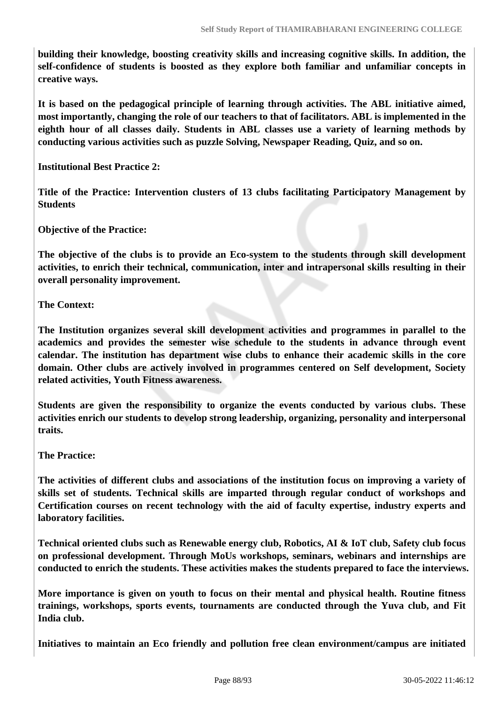**building their knowledge, boosting creativity skills and increasing cognitive skills. In addition, the self-confidence of students is boosted as they explore both familiar and unfamiliar concepts in creative ways.**

**It is based on the pedagogical principle of learning through activities. The ABL initiative aimed, most importantly, changing the role of our teachers to that of facilitators. ABL is implemented in the eighth hour of all classes daily. Students in ABL classes use a variety of learning methods by conducting various activities such as puzzle Solving, Newspaper Reading, Quiz, and so on.** 

**Institutional Best Practice 2:**

**Title of the Practice: Intervention clusters of 13 clubs facilitating Participatory Management by Students**

**Objective of the Practice:**

**The objective of the clubs is to provide an Eco-system to the students through skill development activities, to enrich their technical, communication, inter and intrapersonal skills resulting in their overall personality improvement.**

**The Context:**

**The Institution organizes several skill development activities and programmes in parallel to the academics and provides the semester wise schedule to the students in advance through event calendar. The institution has department wise clubs to enhance their academic skills in the core domain. Other clubs are actively involved in programmes centered on Self development, Society related activities, Youth Fitness awareness.**

**Students are given the responsibility to organize the events conducted by various clubs. These activities enrich our students to develop strong leadership, organizing, personality and interpersonal traits.**

**The Practice:**

**The activities of different clubs and associations of the institution focus on improving a variety of skills set of students. Technical skills are imparted through regular conduct of workshops and Certification courses on recent technology with the aid of faculty expertise, industry experts and laboratory facilities.**

**Technical oriented clubs such as Renewable energy club, Robotics, AI & IoT club, Safety club focus on professional development. Through MoUs workshops, seminars, webinars and internships are conducted to enrich the students. These activities makes the students prepared to face the interviews.**

**More importance is given on youth to focus on their mental and physical health. Routine fitness trainings, workshops, sports events, tournaments are conducted through the Yuva club, and Fit India club.**

**Initiatives to maintain an Eco friendly and pollution free clean environment/campus are initiated**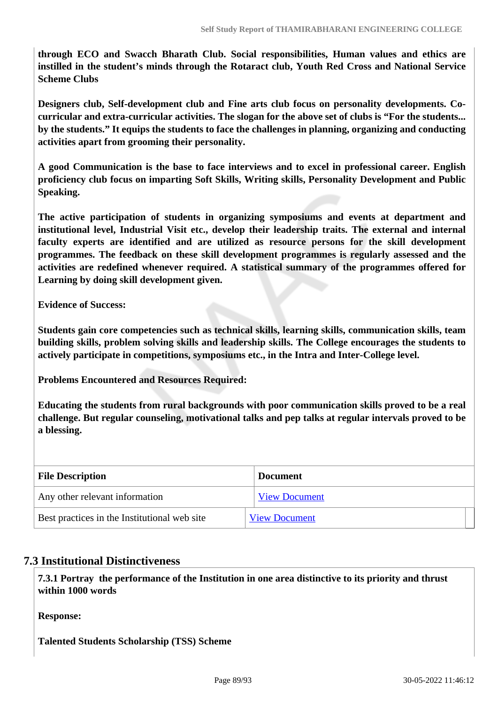**through ECO and Swacch Bharath Club. Social responsibilities, Human values and ethics are instilled in the student's minds through the Rotaract club, Youth Red Cross and National Service Scheme Clubs**

**Designers club, Self-development club and Fine arts club focus on personality developments. Cocurricular and extra-curricular activities. The slogan for the above set of clubs is "For the students... by the students." It equips the students to face the challenges in planning, organizing and conducting activities apart from grooming their personality.**

**A good Communication is the base to face interviews and to excel in professional career. English proficiency club focus on imparting Soft Skills, Writing skills, Personality Development and Public Speaking.**

**The active participation of students in organizing symposiums and events at department and institutional level, Industrial Visit etc., develop their leadership traits. The external and internal faculty experts are identified and are utilized as resource persons for the skill development programmes. The feedback on these skill development programmes is regularly assessed and the activities are redefined whenever required. A statistical summary of the programmes offered for Learning by doing skill development given.**

**Evidence of Success:**

**Students gain core competencies such as technical skills, learning skills, communication skills, team building skills, problem solving skills and leadership skills. The College encourages the students to actively participate in competitions, symposiums etc., in the Intra and Inter-College level.**

**Problems Encountered and Resources Required:**

**Educating the students from rural backgrounds with poor communication skills proved to be a real challenge. But regular counseling, motivational talks and pep talks at regular intervals proved to be a blessing.**

| <b>File Description</b>                      | <b>Document</b>      |
|----------------------------------------------|----------------------|
| Any other relevant information               | <b>View Document</b> |
| Best practices in the Institutional web site | <b>View Document</b> |

### **7.3 Institutional Distinctiveness**

 **7.3.1 Portray the performance of the Institution in one area distinctive to its priority and thrust within 1000 words**

**Response:** 

**Talented Students Scholarship (TSS) Scheme**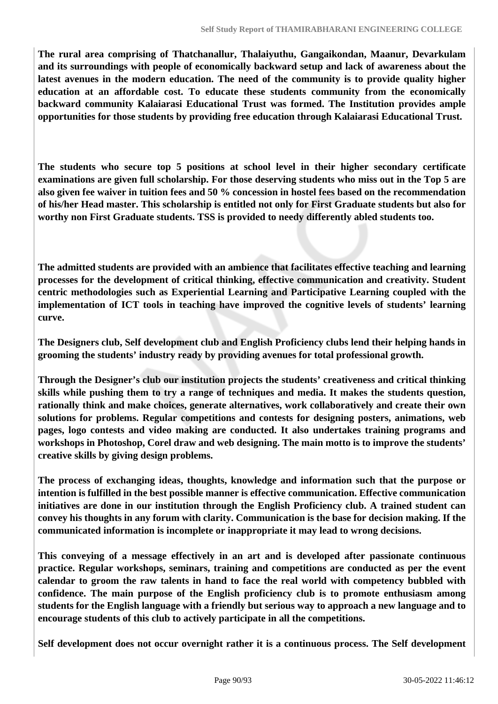**The rural area comprising of Thatchanallur, Thalaiyuthu, Gangaikondan, Maanur, Devarkulam and its surroundings with people of economically backward setup and lack of awareness about the latest avenues in the modern education. The need of the community is to provide quality higher education at an affordable cost. To educate these students community from the economically backward community Kalaiarasi Educational Trust was formed. The Institution provides ample opportunities for those students by providing free education through Kalaiarasi Educational Trust.**

**The students who secure top 5 positions at school level in their higher secondary certificate examinations are given full scholarship. For those deserving students who miss out in the Top 5 are also given fee waiver in tuition fees and 50 % concession in hostel fees based on the recommendation of his/her Head master. This scholarship is entitled not only for First Graduate students but also for worthy non First Graduate students. TSS is provided to needy differently abled students too.** 

**The admitted students are provided with an ambience that facilitates effective teaching and learning processes for the development of critical thinking, effective communication and creativity. Student centric methodologies such as Experiential Learning and Participative Learning coupled with the implementation of ICT tools in teaching have improved the cognitive levels of students' learning curve.**

**The Designers club, Self development club and English Proficiency clubs lend their helping hands in grooming the students' industry ready by providing avenues for total professional growth.**

**Through the Designer's club our institution projects the students' creativeness and critical thinking skills while pushing them to try a range of techniques and media. It makes the students question, rationally think and make choices, generate alternatives, work collaboratively and create their own solutions for problems. Regular competitions and contests for designing posters, animations, web pages, logo contests and video making are conducted. It also undertakes training programs and workshops in Photoshop, Corel draw and web designing. The main motto is to improve the students' creative skills by giving design problems.**

**The process of exchanging ideas, thoughts, knowledge and information such that the purpose or intention is fulfilled in the best possible manner is effective communication. Effective communication initiatives are done in our institution through the English Proficiency club. A trained student can convey his thoughts in any forum with clarity. Communication is the base for decision making. If the communicated information is incomplete or inappropriate it may lead to wrong decisions.** 

**This conveying of a message effectively in an art and is developed after passionate continuous practice. Regular workshops, seminars, training and competitions are conducted as per the event calendar to groom the raw talents in hand to face the real world with competency bubbled with confidence. The main purpose of the English proficiency club is to promote enthusiasm among students for the English language with a friendly but serious way to approach a new language and to encourage students of this club to actively participate in all the competitions.**

**Self development does not occur overnight rather it is a continuous process. The Self development**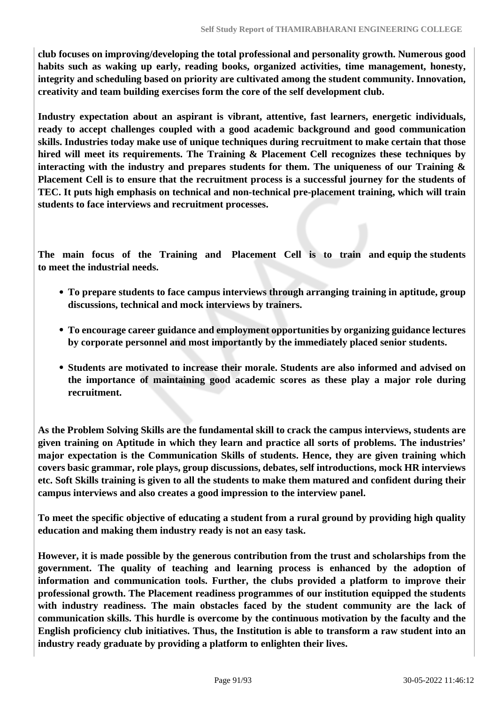**club focuses on improving/developing the total professional and personality growth. Numerous good habits such as waking up early, reading books, organized activities, time management, honesty, integrity and scheduling based on priority are cultivated among the student community. Innovation, creativity and team building exercises form the core of the self development club.**

**Industry expectation about an aspirant is vibrant, attentive, fast learners, energetic individuals, ready to accept challenges coupled with a good academic background and good communication skills. Industries today make use of unique techniques during recruitment to make certain that those hired will meet its requirements. The Training & Placement Cell recognizes these techniques by interacting with the industry and prepares students for them. The uniqueness of our Training & Placement Cell is to ensure that the recruitment process is a successful journey for the students of TEC. It puts high emphasis on technical and non-technical pre-placement training, which will train students to face interviews and recruitment processes.**

**The main focus of the Training and Placement Cell is to train and equip the students to meet the industrial needs.**

- **To prepare students to face campus interviews through arranging training in aptitude, group discussions, technical and mock interviews by trainers.**
- **To encourage career guidance and employment opportunities by organizing guidance lectures by corporate personnel and most importantly by the immediately placed senior students.**
- **Students are motivated to increase their morale. Students are also informed and advised on the importance of maintaining good academic scores as these play a major role during recruitment.**

**As the Problem Solving Skills are the fundamental skill to crack the campus interviews, students are given training on Aptitude in which they learn and practice all sorts of problems. The industries' major expectation is the Communication Skills of students. Hence, they are given training which covers basic grammar, role plays, group discussions, debates, self introductions, mock HR interviews etc. Soft Skills training is given to all the students to make them matured and confident during their campus interviews and also creates a good impression to the interview panel.**

**To meet the specific objective of educating a student from a rural ground by providing high quality education and making them industry ready is not an easy task.**

**However, it is made possible by the generous contribution from the trust and scholarships from the government. The quality of teaching and learning process is enhanced by the adoption of information and communication tools. Further, the clubs provided a platform to improve their professional growth. The Placement readiness programmes of our institution equipped the students with industry readiness. The main obstacles faced by the student community are the lack of communication skills. This hurdle is overcome by the continuous motivation by the faculty and the English proficiency club initiatives. Thus, the Institution is able to transform a raw student into an industry ready graduate by providing a platform to enlighten their lives.**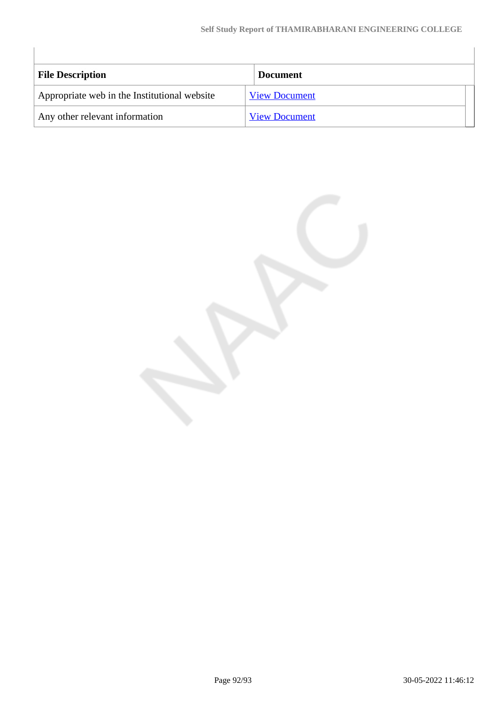| <b>File Description</b>                      | <b>Document</b>      |
|----------------------------------------------|----------------------|
| Appropriate web in the Institutional website | <b>View Document</b> |
| Any other relevant information               | <b>View Document</b> |

 $\begin{array}{c} \hline \end{array}$